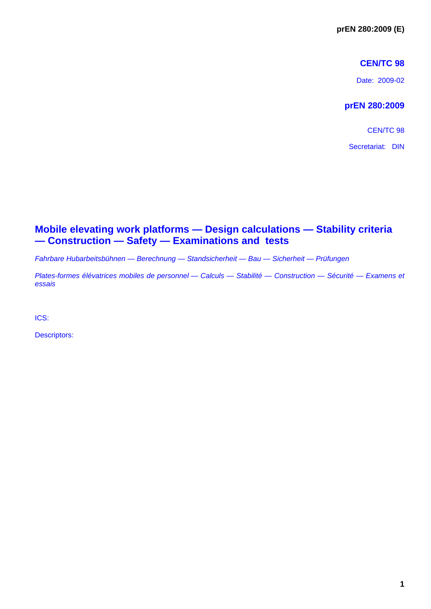## **CEN/TC 98**

Date: 2009-02

## **prEN 280:2009**

CEN/TC 98

Secretariat: DIN

## **Mobile elevating work platforms — Design calculations — Stability criteria — Construction — Safety — Examinations and tests**

*Fahrbare Hubarbeitsbühnen — Berechnung — Standsicherheit — Bau — Sicherheit — Prüfungen* 

*Plates-formes élévatrices mobiles de personnel — Calculs — Stabilité — Construction — Sécurité — Examens et essais* 

ICS:

Descriptors: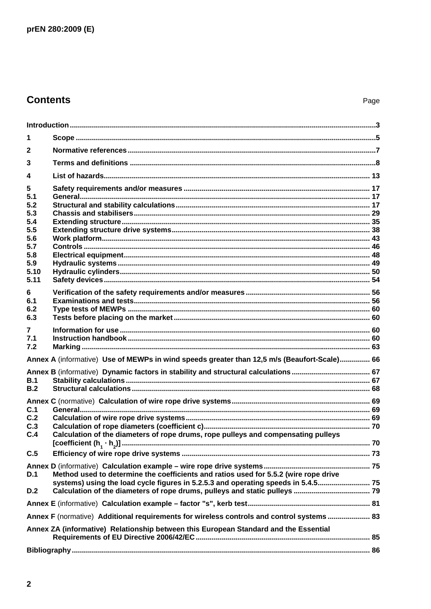# **Contents**

| 1                                                                                    |                                                                                             |  |  |  |  |
|--------------------------------------------------------------------------------------|---------------------------------------------------------------------------------------------|--|--|--|--|
| $\mathbf{2}$                                                                         |                                                                                             |  |  |  |  |
| 3                                                                                    |                                                                                             |  |  |  |  |
| 4                                                                                    |                                                                                             |  |  |  |  |
| 5                                                                                    |                                                                                             |  |  |  |  |
| 5.1<br>5.2                                                                           |                                                                                             |  |  |  |  |
| 5.3                                                                                  |                                                                                             |  |  |  |  |
| 5.4                                                                                  |                                                                                             |  |  |  |  |
| 5.5                                                                                  |                                                                                             |  |  |  |  |
| 5.6                                                                                  |                                                                                             |  |  |  |  |
| 5.7<br>5.8                                                                           |                                                                                             |  |  |  |  |
| 5.9                                                                                  |                                                                                             |  |  |  |  |
| 5.10                                                                                 |                                                                                             |  |  |  |  |
| 5.11                                                                                 |                                                                                             |  |  |  |  |
| 6.                                                                                   |                                                                                             |  |  |  |  |
| 6.1                                                                                  |                                                                                             |  |  |  |  |
| 6.2                                                                                  |                                                                                             |  |  |  |  |
| 6.3                                                                                  |                                                                                             |  |  |  |  |
| 7                                                                                    |                                                                                             |  |  |  |  |
| 7.1                                                                                  |                                                                                             |  |  |  |  |
| 7.2                                                                                  |                                                                                             |  |  |  |  |
|                                                                                      | Annex A (informative) Use of MEWPs in wind speeds greater than 12,5 m/s (Beaufort-Scale) 66 |  |  |  |  |
|                                                                                      |                                                                                             |  |  |  |  |
| B.1<br>B.2                                                                           |                                                                                             |  |  |  |  |
|                                                                                      |                                                                                             |  |  |  |  |
| C.1                                                                                  |                                                                                             |  |  |  |  |
| C.2                                                                                  |                                                                                             |  |  |  |  |
| C.3                                                                                  |                                                                                             |  |  |  |  |
| C.4                                                                                  | Calculation of the diameters of rope drums, rope pulleys and compensating pulleys           |  |  |  |  |
| C.5                                                                                  |                                                                                             |  |  |  |  |
|                                                                                      |                                                                                             |  |  |  |  |
| D.1                                                                                  | Method used to determine the coefficients and ratios used for 5.5.2 (wire rope drive        |  |  |  |  |
|                                                                                      | systems) using the load cycle figures in 5.2.5.3 and operating speeds in 5.4.5              |  |  |  |  |
| D.2                                                                                  |                                                                                             |  |  |  |  |
|                                                                                      |                                                                                             |  |  |  |  |
|                                                                                      | Annex F (normative) Additional requirements for wireless controls and control systems  83   |  |  |  |  |
| Annex ZA (informative) Relationship between this European Standard and the Essential |                                                                                             |  |  |  |  |
|                                                                                      |                                                                                             |  |  |  |  |
|                                                                                      |                                                                                             |  |  |  |  |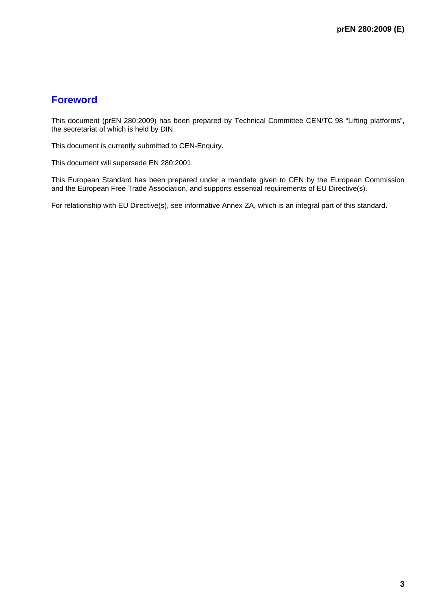## **Foreword**

This document (prEN 280:2009) has been prepared by Technical Committee CEN/TC 98 "Lifting platforms", the secretariat of which is held by DIN.

This document is currently submitted to CEN-Enquiry.

This document will supersede EN 280:2001.

This European Standard has been prepared under a mandate given to CEN by the European Commission and the European Free Trade Association, and supports essential requirements of EU Directive(s).

For relationship with EU Directive(s), see informative Annex ZA, which is an integral part of this standard.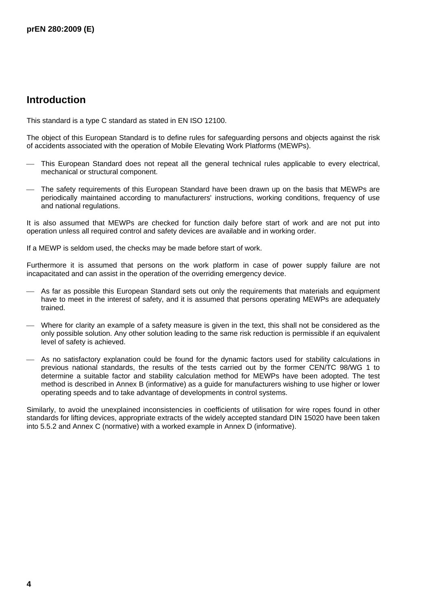## **Introduction**

This standard is a type C standard as stated in EN ISO 12100.

The object of this European Standard is to define rules for safeguarding persons and objects against the risk of accidents associated with the operation of Mobile Elevating Work Platforms (MEWPs).

- This European Standard does not repeat all the general technical rules applicable to every electrical, mechanical or structural component.
- The safety requirements of this European Standard have been drawn up on the basis that MEWPs are periodically maintained according to manufacturers' instructions, working conditions, frequency of use and national regulations.

It is also assumed that MEWPs are checked for function daily before start of work and are not put into operation unless all required control and safety devices are available and in working order.

If a MEWP is seldom used, the checks may be made before start of work.

Furthermore it is assumed that persons on the work platform in case of power supply failure are not incapacitated and can assist in the operation of the overriding emergency device.

- As far as possible this European Standard sets out only the requirements that materials and equipment have to meet in the interest of safety, and it is assumed that persons operating MEWPs are adequately trained.
- Where for clarity an example of a safety measure is given in the text, this shall not be considered as the only possible solution. Any other solution leading to the same risk reduction is permissible if an equivalent level of safety is achieved.
- ⎯ As no satisfactory explanation could be found for the dynamic factors used for stability calculations in previous national standards, the results of the tests carried out by the former CEN/TC 98/WG 1 to determine a suitable factor and stability calculation method for MEWPs have been adopted. The test method is described in Annex B (informative) as a guide for manufacturers wishing to use higher or lower operating speeds and to take advantage of developments in control systems.

Similarly, to avoid the unexplained inconsistencies in coefficients of utilisation for wire ropes found in other standards for lifting devices, appropriate extracts of the widely accepted standard DIN 15020 have been taken into 5.5.2 and Annex C (normative) with a worked example in Annex D (informative).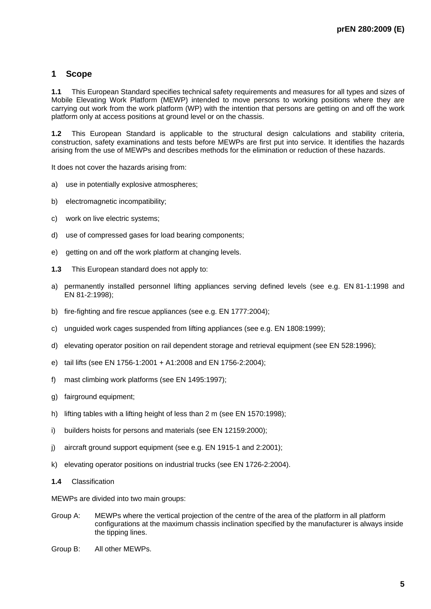## **1 Scope**

**1.1** This European Standard specifies technical safety requirements and measures for all types and sizes of Mobile Elevating Work Platform (MEWP) intended to move persons to working positions where they are carrying out work from the work platform (WP) with the intention that persons are getting on and off the work platform only at access positions at ground level or on the chassis.

**1.2** This European Standard is applicable to the structural design calculations and stability criteria, construction, safety examinations and tests before MEWPs are first put into service. It identifies the hazards arising from the use of MEWPs and describes methods for the elimination or reduction of these hazards.

It does not cover the hazards arising from:

- a) use in potentially explosive atmospheres;
- b) electromagnetic incompatibility;
- c) work on live electric systems;
- d) use of compressed gases for load bearing components;
- e) getting on and off the work platform at changing levels.
- **1.3** This European standard does not apply to:
- a) permanently installed personnel lifting appliances serving defined levels (see e.g. EN 81-1:1998 and EN 81-2:1998);
- b) fire-fighting and fire rescue appliances (see e.g. EN 1777:2004);
- c) unguided work cages suspended from lifting appliances (see e.g. EN 1808:1999);
- d) elevating operator position on rail dependent storage and retrieval equipment (see EN 528:1996);
- e) tail lifts (see EN 1756-1:2001 + A1:2008 and EN 1756-2:2004);
- f) mast climbing work platforms (see EN 1495:1997);
- g) fairground equipment;
- h) lifting tables with a lifting height of less than 2 m (see EN 1570:1998);
- i) builders hoists for persons and materials (see EN 12159:2000);
- j) aircraft ground support equipment (see e.g. EN 1915-1 and 2:2001);
- k) elevating operator positions on industrial trucks (see EN 1726-2:2004).
- **1.4** Classification

MEWPs are divided into two main groups:

- Group A: MEWPs where the vertical projection of the centre of the area of the platform in all platform configurations at the maximum chassis inclination specified by the manufacturer is always inside the tipping lines.
- Group B: All other MEWPs.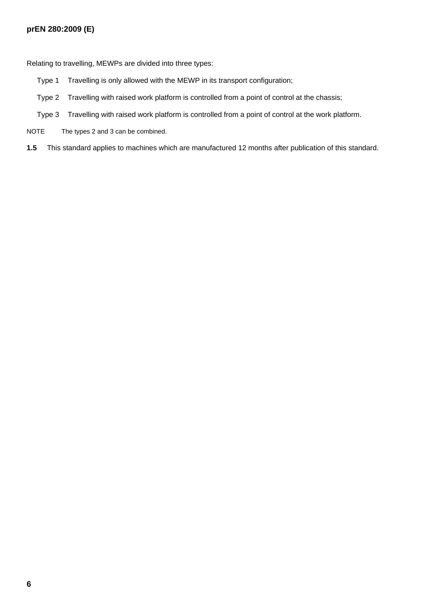## **prEN 280:2009 (E)**

Relating to travelling, MEWPs are divided into three types:

- Type 1 Travelling is only allowed with the MEWP in its transport configuration;
- Type 2 Travelling with raised work platform is controlled from a point of control at the chassis;
- Type 3 Travelling with raised work platform is controlled from a point of control at the work platform.
- NOTE The types 2 and 3 can be combined.
- **1.5** This standard applies to machines which are manufactured 12 months after publication of this standard.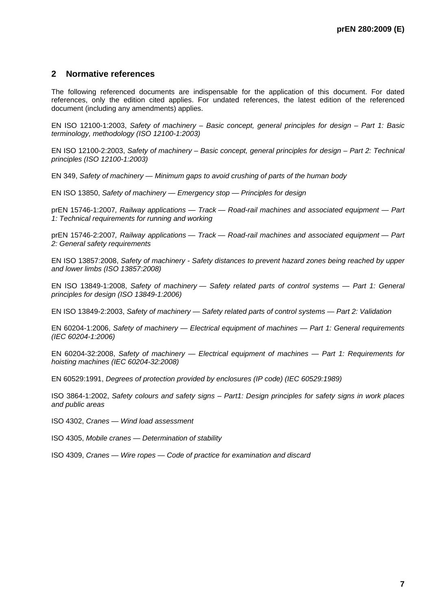## **2 Normative references**

The following referenced documents are indispensable for the application of this document. For dated references, only the edition cited applies. For undated references, the latest edition of the referenced document (including any amendments) applies.

EN ISO 12100-1:2003, *Safety of machinery – Basic concept, general principles for design – Part 1: Basic terminology, methodology (ISO 12100-1:2003)*

EN ISO 12100-2:2003, *Safety of machinery – Basic concept, general principles for design – Part 2: Technical principles (ISO 12100-1:2003)*

EN 349, *Safety of machinery — Minimum gaps to avoid crushing of parts of the human body*

EN ISO 13850, *Safety of machinery — Emergency stop — Principles for design*

prEN 15746-1:2007*, Railway applications — Track — Road-rail machines and associated equipment — Part 1: Technical requirements for running and working* 

prEN 15746-2:2007*, Railway applications — Track — Road-rail machines and associated equipment — Part 2: General safety requirements* 

EN ISO 13857:2008, *Safety of machinery - Safety distances to prevent hazard zones being reached by upper and lower limbs (ISO 13857:2008)*

EN ISO 13849-1:2008, *Safety of machinery — Safety related parts of control systems — Part 1: General principles for design (ISO 13849-1:2006)*

EN ISO 13849-2:2003, *Safety of machinery — Safety related parts of control systems — Part 2: Validation* 

EN 60204-1:2006, *Safety of machinery — Electrical equipment of machines — Part 1: General requirements (IEC 60204-1:2006)* 

EN 60204-32:2008, *Safety of machinery — Electrical equipment of machines — Part 1: Requirements for hoisting machines (IEC 60204-32:2008)*

EN 60529:1991, *Degrees of protection provided by enclosures (IP code) (IEC 60529:1989)*

ISO 3864-1:2002, *Safety colours and safety signs – Part1: Design principles for safety signs in work places and public areas*

ISO 4302, *Cranes — Wind load assessment*

ISO 4305, *Mobile cranes — Determination of stability*

ISO 4309, *Cranes — Wire ropes — Code of practice for examination and discard*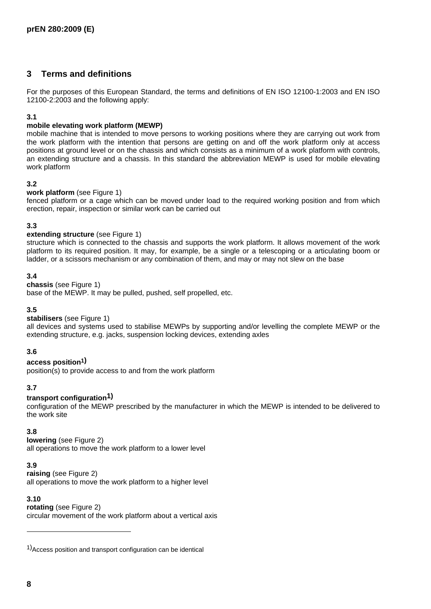## **3 Terms and definitions**

For the purposes of this European Standard, the terms and definitions of EN ISO 12100-1:2003 and EN ISO 12100-2:2003 and the following apply:

#### **3.1**

### **mobile elevating work platform (MEWP)**

mobile machine that is intended to move persons to working positions where they are carrying out work from the work platform with the intention that persons are getting on and off the work platform only at access positions at ground level or on the chassis and which consists as a minimum of a work platform with controls, an extending structure and a chassis. In this standard the abbreviation MEWP is used for mobile elevating work platform

#### **3.2**

#### **work platform** (see Figure 1)

fenced platform or a cage which can be moved under load to the required working position and from which erection, repair, inspection or similar work can be carried out

## **3.3**

## **extending structure** (see Figure 1)

structure which is connected to the chassis and supports the work platform. It allows movement of the work platform to its required position. It may, for example, be a single or a telescoping or a articulating boom or ladder, or a scissors mechanism or any combination of them, and may or may not slew on the base

#### **3.4**

#### **chassis** (see Figure 1)

base of the MEWP. It may be pulled, pushed, self propelled, etc.

#### **3.5**

## **stabilisers** (see Figure 1)

all devices and systems used to stabilise MEWPs by supporting and/or levelling the complete MEWP or the extending structure, e.g. jacks, suspension locking devices, extending axles

## **3.6**

## **access position1)**

position(s) to provide access to and from the work platform

## **3.7**

## **transport configuration1)**

configuration of the MEWP prescribed by the manufacturer in which the MEWP is intended to be delivered to the work site

## **3.8**

## **lowering** (see Figure 2)

all operations to move the work platform to a lower level

## **3.9**

**raising** (see Figure 2) all operations to move the work platform to a higher level

#### **3.10**

**rotating** (see Figure 2) circular movement of the work platform about a vertical axis

l

<sup>1)</sup>Access position and transport configuration can be identical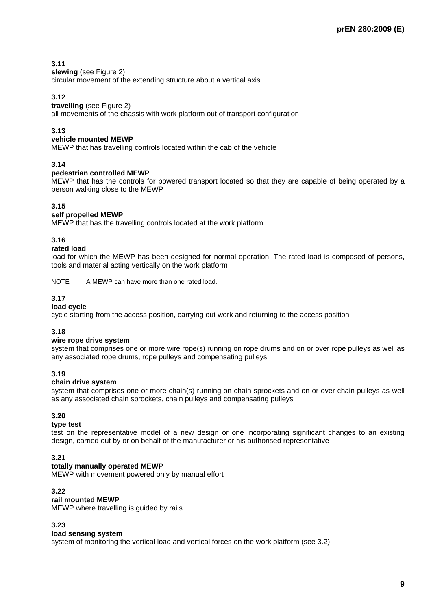## **3.11**

#### **slewing** (see Figure 2)

circular movement of the extending structure about a vertical axis

## **3.12**

### **travelling** (see Figure 2)

all movements of the chassis with work platform out of transport configuration

## **3.13**

## **vehicle mounted MEWP**

MEWP that has travelling controls located within the cab of the vehicle

## **3.14**

## **pedestrian controlled MEWP**

MEWP that has the controls for powered transport located so that they are capable of being operated by a person walking close to the MEWP

## **3.15**

#### **self propelled MEWP**

MEWP that has the travelling controls located at the work platform

#### **3.16**

#### **rated load**

load for which the MEWP has been designed for normal operation. The rated load is composed of persons, tools and material acting vertically on the work platform

NOTE A MEWP can have more than one rated load.

## **3.17**

### **load cycle**

cycle starting from the access position, carrying out work and returning to the access position

## **3.18**

#### **wire rope drive system**

system that comprises one or more wire rope(s) running on rope drums and on or over rope pulleys as well as any associated rope drums, rope pulleys and compensating pulleys

## **3.19**

## **chain drive system**

system that comprises one or more chain(s) running on chain sprockets and on or over chain pulleys as well as any associated chain sprockets, chain pulleys and compensating pulleys

## **3.20**

#### **type test**

test on the representative model of a new design or one incorporating significant changes to an existing design, carried out by or on behalf of the manufacturer or his authorised representative

## **3.21**

## **totally manually operated MEWP**

MEWP with movement powered only by manual effort

### **3.22**

## **rail mounted MEWP**

MEWP where travelling is guided by rails

## **3.23**

#### **load sensing system**

system of monitoring the vertical load and vertical forces on the work platform (see 3.2)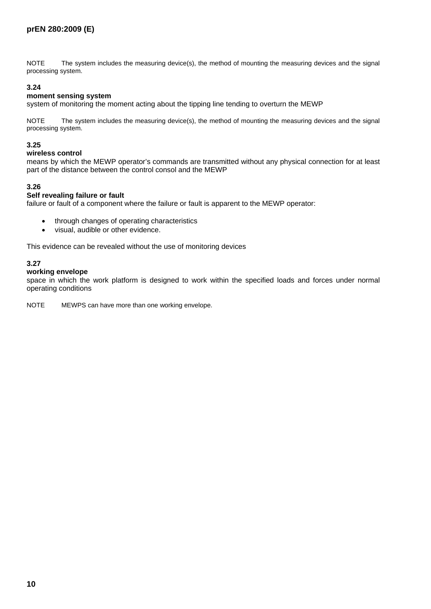NOTE The system includes the measuring device(s), the method of mounting the measuring devices and the signal processing system.

### **3.24**

### **moment sensing system**

system of monitoring the moment acting about the tipping line tending to overturn the MEWP

NOTE The system includes the measuring device(s), the method of mounting the measuring devices and the signal processing system.

#### **3.25**

#### **wireless control**

means by which the MEWP operator's commands are transmitted without any physical connection for at least part of the distance between the control consol and the MEWP

#### **3.26**

## **Self revealing failure or fault**

failure or fault of a component where the failure or fault is apparent to the MEWP operator:

- through changes of operating characteristics
- visual, audible or other evidence.

This evidence can be revealed without the use of monitoring devices

## **3.27**

#### **working envelope**

space in which the work platform is designed to work within the specified loads and forces under normal operating conditions

NOTE MEWPS can have more than one working envelope.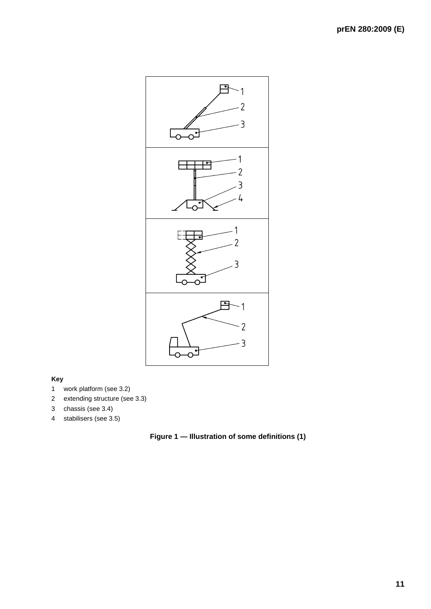

## **Key**

- 1 work platform (see 3.2)
- 2 extending structure (see 3.3)
- 3 chassis (see 3.4)
- 4 stabilisers (see 3.5)

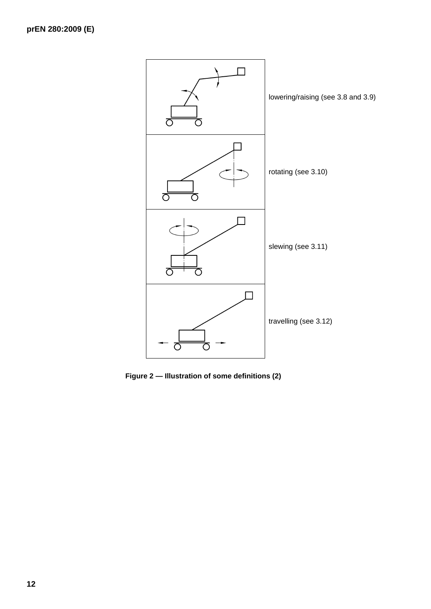

**Figure 2 — Illustration of some definitions (2)**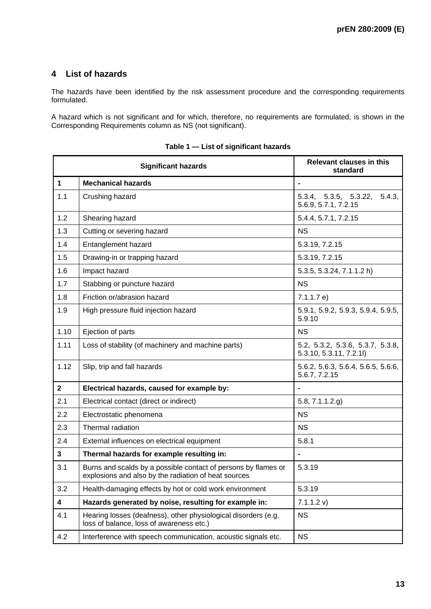## **4 List of hazards**

The hazards have been identified by the risk assessment procedure and the corresponding requirements formulated.

A hazard which is not significant and for which, therefore, no requirements are formulated, is shown in the Corresponding Requirements column as NS (not significant).

|                | <b>Significant hazards</b>                                                                                             | <b>Relevant clauses in this</b><br>standard                |  |  |  |  |
|----------------|------------------------------------------------------------------------------------------------------------------------|------------------------------------------------------------|--|--|--|--|
| $\mathbf{1}$   | <b>Mechanical hazards</b>                                                                                              |                                                            |  |  |  |  |
| 1.1            | Crushing hazard                                                                                                        | 5.3.4, 5.3.5, 5.3.22,<br>5.4.3.<br>5.6.9, 5.7.1, 7.2.15    |  |  |  |  |
| 1.2            | Shearing hazard                                                                                                        | 5.4.4, 5.7.1, 7.2.15                                       |  |  |  |  |
| 1.3            | Cutting or severing hazard                                                                                             | <b>NS</b>                                                  |  |  |  |  |
| 1.4            | Entanglement hazard                                                                                                    | 5.3.19, 7.2.15                                             |  |  |  |  |
| 1.5            | Drawing-in or trapping hazard                                                                                          | 5.3.19, 7.2.15                                             |  |  |  |  |
| 1.6            | Impact hazard                                                                                                          | 5.3.5, 5.3.24, 7.1.1.2 h)                                  |  |  |  |  |
| 1.7            | Stabbing or puncture hazard                                                                                            | <b>NS</b>                                                  |  |  |  |  |
| 1.8            | Friction or/abrasion hazard                                                                                            | 7.1.1.7 e)                                                 |  |  |  |  |
| 1.9            | High pressure fluid injection hazard                                                                                   | 5.9.1, 5.9.2, 5.9.3, 5.9.4, 5.9.5,<br>5.9.10               |  |  |  |  |
| 1.10           | Ejection of parts                                                                                                      | <b>NS</b>                                                  |  |  |  |  |
| 1.11           | Loss of stability (of machinery and machine parts)                                                                     | 5.2, 5.3.2, 5.3.6, 5.3.7, 5.3.8,<br>5.3.10, 5.3.11, 7.2.11 |  |  |  |  |
| 1.12           | Slip, trip and fall hazards                                                                                            | 5.6.2, 5.6.3, 5.6.4, 5.6.5, 5.6.6,<br>5.6.7, 7.2.15        |  |  |  |  |
| $\overline{2}$ | Electrical hazards, caused for example by:                                                                             | $\blacksquare$                                             |  |  |  |  |
| 2.1            | Electrical contact (direct or indirect)                                                                                | 5.8, 7.1.1.2.9                                             |  |  |  |  |
| 2.2            | Electrostatic phenomena                                                                                                | <b>NS</b>                                                  |  |  |  |  |
| 2.3            | Thermal radiation                                                                                                      | <b>NS</b>                                                  |  |  |  |  |
| 2.4            | External influences on electrical equipment                                                                            | 5.8.1                                                      |  |  |  |  |
| 3              | Thermal hazards for example resulting in:                                                                              |                                                            |  |  |  |  |
| 3.1            | Burns and scalds by a possible contact of persons by flames or<br>explosions and also by the radiation of heat sources | 5.3.19                                                     |  |  |  |  |
| 3.2            | Health-damaging effects by hot or cold work environment                                                                | 5.3.19                                                     |  |  |  |  |
| 4              | Hazards generated by noise, resulting for example in:                                                                  | 7.1.1.2 v)                                                 |  |  |  |  |
| 4.1            | Hearing losses (deafness), other physiological disorders (e.g.<br>loss of balance, loss of awareness etc.)             | <b>NS</b>                                                  |  |  |  |  |
| 4.2            | Interference with speech communication, acoustic signals etc.                                                          | <b>NS</b>                                                  |  |  |  |  |

**Table 1 — List of significant hazards**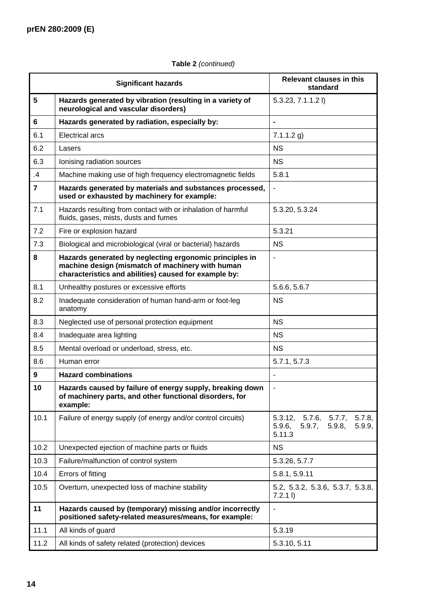## **Table 2** *(continued)*

|                | <b>Significant hazards</b>                                                                                                                                           | Relevant clauses in this<br>standard                                                |  |  |  |  |
|----------------|----------------------------------------------------------------------------------------------------------------------------------------------------------------------|-------------------------------------------------------------------------------------|--|--|--|--|
| $5\phantom{1}$ | Hazards generated by vibration (resulting in a variety of<br>neurological and vascular disorders)                                                                    | $5.3.23, 7.1.1.2$ I)                                                                |  |  |  |  |
| $6\phantom{1}$ | Hazards generated by radiation, especially by:                                                                                                                       | ÷                                                                                   |  |  |  |  |
| 6.1            | <b>Electrical arcs</b>                                                                                                                                               | $7.1.1.2$ g)                                                                        |  |  |  |  |
| 6.2            | Lasers                                                                                                                                                               | <b>NS</b>                                                                           |  |  |  |  |
| 6.3            | Ionising radiation sources                                                                                                                                           | <b>NS</b>                                                                           |  |  |  |  |
| $\mathcal{A}$  | Machine making use of high frequency electromagnetic fields                                                                                                          | 5.8.1                                                                               |  |  |  |  |
| $\overline{7}$ | Hazards generated by materials and substances processed,<br>used or exhausted by machinery for example:                                                              | Ĭ.                                                                                  |  |  |  |  |
| 7.1            | Hazards resulting from contact with or inhalation of harmful<br>fluids, gases, mists, dusts and fumes                                                                | 5.3.20, 5.3.24                                                                      |  |  |  |  |
| 7.2            | Fire or explosion hazard                                                                                                                                             | 5.3.21                                                                              |  |  |  |  |
| 7.3            | Biological and microbiological (viral or bacterial) hazards                                                                                                          | <b>NS</b>                                                                           |  |  |  |  |
| 8              | Hazards generated by neglecting ergonomic principles in<br>machine design (mismatch of machinery with human<br>characteristics and abilities) caused for example by: | L,                                                                                  |  |  |  |  |
| 8.1            | Unhealthy postures or excessive efforts                                                                                                                              | 5.6.6, 5.6.7                                                                        |  |  |  |  |
| 8.2            | Inadequate consideration of human hand-arm or foot-leg<br>anatomy                                                                                                    | <b>NS</b>                                                                           |  |  |  |  |
| 8.3            | Neglected use of personal protection equipment                                                                                                                       | <b>NS</b>                                                                           |  |  |  |  |
| 8.4            | Inadequate area lighting                                                                                                                                             | <b>NS</b>                                                                           |  |  |  |  |
| 8.5            | Mental overload or underload, stress, etc.                                                                                                                           | <b>NS</b>                                                                           |  |  |  |  |
| 8.6            | Human error                                                                                                                                                          | 5.7.1, 5.7.3                                                                        |  |  |  |  |
| 9              | <b>Hazard combinations</b>                                                                                                                                           |                                                                                     |  |  |  |  |
| 10             | Hazards caused by failure of energy supply, breaking down<br>of machinery parts, and other functional disorders, for<br>example:                                     | $\qquad \qquad \blacksquare$                                                        |  |  |  |  |
| 10.1           | Failure of energy supply (of energy and/or control circuits)                                                                                                         | 5.7.6, 5.7.7,<br>5.7.8<br>5.3.12,<br>5.9.6,<br>5.9.7,<br>5.9.8,<br>5.9.9,<br>5.11.3 |  |  |  |  |
| 10.2           | Unexpected ejection of machine parts or fluids                                                                                                                       | <b>NS</b>                                                                           |  |  |  |  |
| 10.3           | Failure/malfunction of control system                                                                                                                                | 5.3.26, 5.7.7                                                                       |  |  |  |  |
| 10.4           | Errors of fitting                                                                                                                                                    | 5.8.1, 5.9.11                                                                       |  |  |  |  |
| 10.5           | Overturn, unexpected loss of machine stability                                                                                                                       | 5.2, 5.3.2, 5.3.6, 5.3.7, 5.3.8,<br>$7.2.1$ I)                                      |  |  |  |  |
| 11             | Hazards caused by (temporary) missing and/or incorrectly<br>positioned safety-related measures/means, for example:                                                   |                                                                                     |  |  |  |  |
| 11.1           | All kinds of guard                                                                                                                                                   | 5.3.19                                                                              |  |  |  |  |
| 11.2           | All kinds of safety related (protection) devices<br>5.3.10, 5.11                                                                                                     |                                                                                     |  |  |  |  |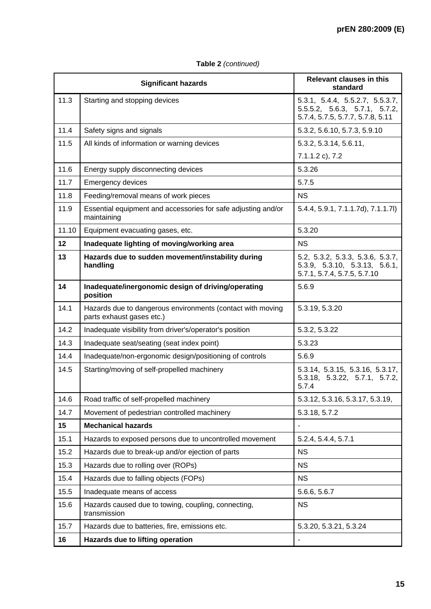|       | <b>Significant hazards</b>                                                              | <b>Relevant clauses in this</b><br>standard                                                                      |  |  |  |
|-------|-----------------------------------------------------------------------------------------|------------------------------------------------------------------------------------------------------------------|--|--|--|
| 11.3  | Starting and stopping devices                                                           | 5.3.1, 5.4.4, 5.5.2.7, 5.5.3.7,<br>$5.5.5.2$ , $5.6.3$ , $5.7.1$ , $5.7.2$ ,<br>5.7.4, 5.7.5, 5.7.7, 5.7.8, 5.11 |  |  |  |
| 11.4  | Safety signs and signals                                                                | 5.3.2, 5.6.10, 5.7.3, 5.9.10                                                                                     |  |  |  |
| 11.5  | All kinds of information or warning devices                                             | 5.3.2, 5.3.14, 5.6.11,                                                                                           |  |  |  |
|       |                                                                                         | 7.1.1.2 c), 7.2                                                                                                  |  |  |  |
| 11.6  | Energy supply disconnecting devices                                                     | 5.3.26                                                                                                           |  |  |  |
| 11.7  | <b>Emergency devices</b>                                                                | 5.7.5                                                                                                            |  |  |  |
| 11.8  | Feeding/removal means of work pieces                                                    | <b>NS</b>                                                                                                        |  |  |  |
| 11.9  | Essential equipment and accessories for safe adjusting and/or<br>maintaining            | 5.4.4, 5.9.1, 7.1.1.7d), 7.1.1.7l)                                                                               |  |  |  |
| 11.10 | Equipment evacuating gases, etc.                                                        | 5.3.20                                                                                                           |  |  |  |
| 12    | Inadequate lighting of moving/working area                                              | <b>NS</b>                                                                                                        |  |  |  |
| 13    | Hazards due to sudden movement/instability during<br>handling                           | 5.2, 5.3.2, 5.3.3, 5.3.6, 5.3.7,<br>5.3.9, 5.3.10, 5.3.13, 5.6.1,<br>5.7.1, 5.7.4, 5.7.5, 5.7.10                 |  |  |  |
| 14    | Inadequate/inergonomic design of driving/operating<br>position                          | 5.6.9                                                                                                            |  |  |  |
| 14.1  | Hazards due to dangerous environments (contact with moving<br>parts exhaust gases etc.) | 5.3.19, 5.3.20                                                                                                   |  |  |  |
| 14.2  | Inadequate visibility from driver's/operator's position                                 | 5.3.2, 5.3.22                                                                                                    |  |  |  |
| 14.3  | Inadequate seat/seating (seat index point)                                              | 5.3.23                                                                                                           |  |  |  |
| 14.4  | Inadequate/non-ergonomic design/positioning of controls                                 | 5.6.9                                                                                                            |  |  |  |
| 14.5  | Starting/moving of self-propelled machinery                                             | 5.3.14, 5.3.15, 5.3.16, 5.3.17,<br>5.3.18, 5.3.22, 5.7.1, 5.7.2,<br>5.7.4                                        |  |  |  |
| 14.6  | Road traffic of self-propelled machinery                                                | 5.3.12, 5.3.16, 5.3.17, 5.3.19,                                                                                  |  |  |  |
| 14.7  | Movement of pedestrian controlled machinery                                             | 5.3.18, 5.7.2                                                                                                    |  |  |  |
| 15    | <b>Mechanical hazards</b>                                                               | $\overline{\phantom{a}}$                                                                                         |  |  |  |
| 15.1  | Hazards to exposed persons due to uncontrolled movement                                 | 5.2.4, 5.4.4, 5.7.1                                                                                              |  |  |  |
| 15.2  | Hazards due to break-up and/or ejection of parts                                        | <b>NS</b>                                                                                                        |  |  |  |
| 15.3  | Hazards due to rolling over (ROPs)                                                      | <b>NS</b>                                                                                                        |  |  |  |
| 15.4  | Hazards due to falling objects (FOPs)                                                   | <b>NS</b>                                                                                                        |  |  |  |
| 15.5  | Inadequate means of access                                                              | 5.6.6, 5.6.7                                                                                                     |  |  |  |
| 15.6  | Hazards caused due to towing, coupling, connecting,<br>transmission                     | <b>NS</b>                                                                                                        |  |  |  |
| 15.7  | Hazards due to batteries, fire, emissions etc.                                          | 5.3.20, 5.3.21, 5.3.24                                                                                           |  |  |  |
| 16    | Hazards due to lifting operation                                                        | $\blacksquare$                                                                                                   |  |  |  |

## **Table 2** *(continued)*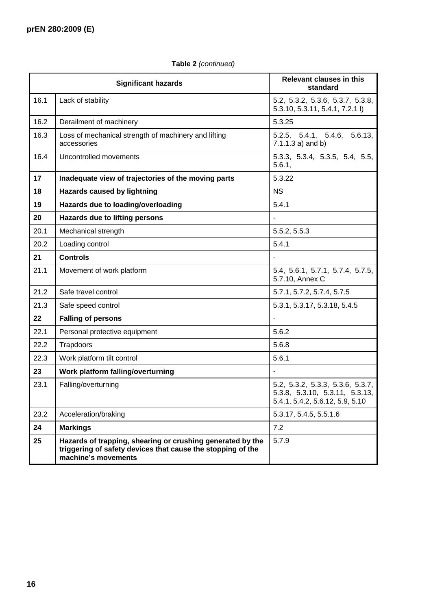## **Significant hazards Relevant clauses in this standard**  16.1 Lack of stability 1.5.2, 5.3.2, 5.3.6, 5.3.7, 5.3.8, 5.3.7, 5.3.8, 5.3.7, 5.3.8, 5.3.10, 5.3.11, 5.4.1, 7.2.1 l) 16.2 Derailment of machinery 5.3.25 16.3 | Loss of mechanical strength of machinery and lifting accessories 5.2.5, 5.4.1, 5.4.6, 5.6.13, 7.1.1.3 a) and b) 16.4 Uncontrolled movements 5.3.3, 5.3.4, 5.3.5, 5.4, 5.5, 5.4, 5.5, 5.4, 5.5, 5.4, 5.5, 5.4, 5.5, 5.4, 5.5, 5.6.1, **17 Inadequate view of trajectories of the moving parts** 5.3.22 **18** | Hazards caused by lightning **NS** | NS **19 Hazards due to loading/overloading** 5.4.1 **20 Hazards due to lifting persons** - 20.1 Mechanical strength 5.5.2, 5.5.3 20.2 | Loading control 5.4.1 **21 Controls** - 21.1 Movement of work platform 5.4, 5.6.1, 5.7.1, 5.7.4, 5.7.5, 5.7.10, Annex C 21.2 Safe travel control 3.7.1, 5.7.2, 5.7.4, 5.7.5 21.3 Safe speed control 3.3.1, 5.3.17, 5.3.18, 5.4.5 **22 Falling of persons** - 22.1 Personal protective equipment 122.1 | Personal protective equipment  $22.2$  Trapdoors 3.6.8 22.3 Work platform tilt control 5.6.1 **23 Work platform falling/overturning** - 23.1 Falling/overturning 5.2, 5.3.2, 5.3.3, 5.3.6, 5.3.7, 5.3.8, 5.3.10, 5.3.11, 5.3.13, 5.4.1, 5.4.2, 5.6.12, 5.9, 5.10 23.2 Acceleration/braking 5.3.17, 5.4.5, 5.5.1.6 **24 Markings** 7.2 **25 Hazards of trapping, shearing or crushing generated by the triggering of safety devices that cause the stopping of the machine's movements**  5.7.9

## **Table 2** *(continued)*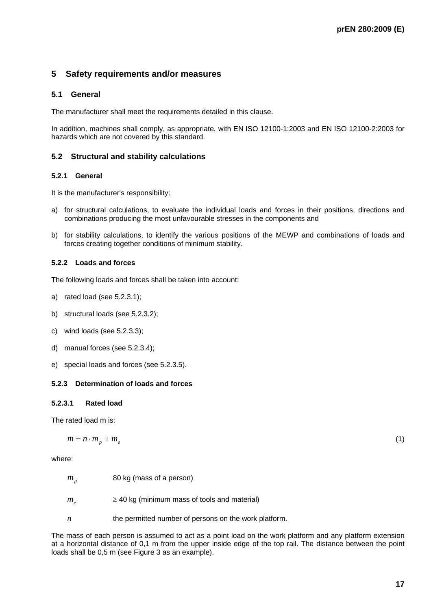## **5 Safety requirements and/or measures**

## **5.1 General**

The manufacturer shall meet the requirements detailed in this clause.

In addition, machines shall comply, as appropriate, with EN ISO 12100-1:2003 and EN ISO 12100-2:2003 for hazards which are not covered by this standard.

## **5.2 Structural and stability calculations**

#### **5.2.1 General**

It is the manufacturer's responsibility:

- a) for structural calculations, to evaluate the individual loads and forces in their positions, directions and combinations producing the most unfavourable stresses in the components and
- b) for stability calculations, to identify the various positions of the MEWP and combinations of loads and forces creating together conditions of minimum stability.

## **5.2.2 Loads and forces**

The following loads and forces shall be taken into account:

- a) rated load (see 5.2.3.1);
- b) structural loads (see 5.2.3.2);
- c) wind loads (see 5.2.3.3);
- d) manual forces (see 5.2.3.4);
- e) special loads and forces (see 5.2.3.5).

## **5.2.3 Determination of loads and forces**

## **5.2.3.1 Rated load**

The rated load m is:

$$
m = n \cdot m_p + m_e \tag{1}
$$

where:

- $m<sub>p</sub>$  80 kg (mass of a person)
- $m_e$   $\geq$  40 kg (minimum mass of tools and material)
- *n* the permitted number of persons on the work platform.

The mass of each person is assumed to act as a point load on the work platform and any platform extension at a horizontal distance of 0,1 m from the upper inside edge of the top rail. The distance between the point loads shall be 0,5 m (see Figure 3 as an example).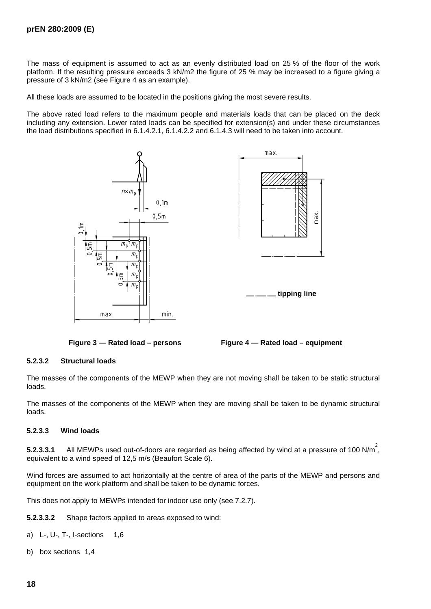The mass of equipment is assumed to act as an evenly distributed load on 25 % of the floor of the work platform. If the resulting pressure exceeds 3 kN/m2 the figure of 25 % may be increased to a figure giving a pressure of 3 kN/m2 (see Figure 4 as an example).

All these loads are assumed to be located in the positions giving the most severe results.

The above rated load refers to the maximum people and materials loads that can be placed on the deck including any extension. Lower rated loads can be specified for extension(s) and under these circumstances the load distributions specified in 6.1.4.2.1, 6.1.4.2.2 and 6.1.4.3 will need to be taken into account.







## **5.2.3.2 Structural loads**

The masses of the components of the MEWP when they are not moving shall be taken to be static structural loads.

The masses of the components of the MEWP when they are moving shall be taken to be dynamic structural loads.

#### **5.2.3.3 Wind loads**

**5.2.3.3.1** All MEWPs used out-of-doors are regarded as being affected by wind at a pressure of 100 N/m<sup>2</sup>, equivalent to a wind speed of 12,5 m/s (Beaufort Scale 6).

Wind forces are assumed to act horizontally at the centre of area of the parts of the MEWP and persons and equipment on the work platform and shall be taken to be dynamic forces.

This does not apply to MEWPs intended for indoor use only (see 7.2.7).

**5.2.3.3.2** Shape factors applied to areas exposed to wind:

- a) L-, U-, T-, I-sections 1,6
- b) box sections 1,4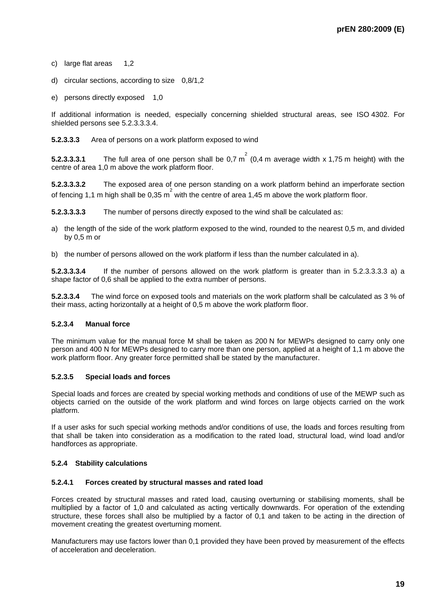- c) large flat areas 1,2
- d) circular sections, according to size 0,8/1,2
- e) persons directly exposed 1,0

If additional information is needed, especially concerning shielded structural areas, see ISO 4302. For shielded persons see 5.2.3.3.3.4.

**5.2.3.3.3** Area of persons on a work platform exposed to wind

**5.2.3.3.3.1** The full area of one person shall be 0,7 m<sup>2</sup> (0,4 m average width x 1,75 m height) with the centre of area 1,0 m above the work platform floor.

**5.2.3.3.3.2** The exposed area of one person standing on a work platform behind an imperforate section of fencing 1,1 m high shall be 0,35  $m^2$  with the centre of area 1,45 m above the work platform floor.

**5.2.3.3.3.3** The number of persons directly exposed to the wind shall be calculated as:

- a) the length of the side of the work platform exposed to the wind, rounded to the nearest 0,5 m, and divided by 0,5 m or
- b) the number of persons allowed on the work platform if less than the number calculated in a).

**5.2.3.3.3.4** If the number of persons allowed on the work platform is greater than in 5.2.3.3.3.3 a) a shape factor of 0,6 shall be applied to the extra number of persons.

**5.2.3.3.4** The wind force on exposed tools and materials on the work platform shall be calculated as 3 % of their mass, acting horizontally at a height of 0,5 m above the work platform floor.

## **5.2.3.4 Manual force**

The minimum value for the manual force M shall be taken as 200 N for MEWPs designed to carry only one person and 400 N for MEWPs designed to carry more than one person, applied at a height of 1,1 m above the work platform floor. Any greater force permitted shall be stated by the manufacturer.

## **5.2.3.5 Special loads and forces**

Special loads and forces are created by special working methods and conditions of use of the MEWP such as objects carried on the outside of the work platform and wind forces on large objects carried on the work platform.

If a user asks for such special working methods and/or conditions of use, the loads and forces resulting from that shall be taken into consideration as a modification to the rated load, structural load, wind load and/or handforces as appropriate.

#### **5.2.4 Stability calculations**

#### **5.2.4.1 Forces created by structural masses and rated load**

Forces created by structural masses and rated load, causing overturning or stabilising moments, shall be multiplied by a factor of 1,0 and calculated as acting vertically downwards. For operation of the extending structure, these forces shall also be multiplied by a factor of 0,1 and taken to be acting in the direction of movement creating the greatest overturning moment.

Manufacturers may use factors lower than 0,1 provided they have been proved by measurement of the effects of acceleration and deceleration.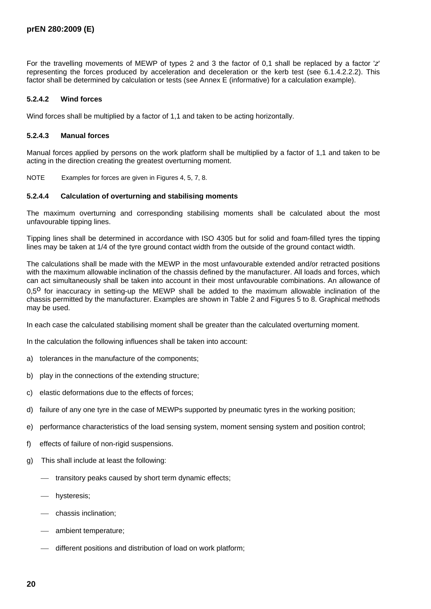For the travelling movements of MEWP of types 2 and 3 the factor of 0,1 shall be replaced by a factor '*z*' representing the forces produced by acceleration and deceleration or the kerb test (see 6.1.4.2.2.2). This factor shall be determined by calculation or tests (see Annex E (informative) for a calculation example).

### **5.2.4.2 Wind forces**

Wind forces shall be multiplied by a factor of 1,1 and taken to be acting horizontally.

#### **5.2.4.3 Manual forces**

Manual forces applied by persons on the work platform shall be multiplied by a factor of 1,1 and taken to be acting in the direction creating the greatest overturning moment.

NOTE Examples for forces are given in Figures 4, 5, 7, 8.

#### **5.2.4.4 Calculation of overturning and stabilising moments**

The maximum overturning and corresponding stabilising moments shall be calculated about the most unfavourable tipping lines.

Tipping lines shall be determined in accordance with ISO 4305 but for solid and foam-filled tyres the tipping lines may be taken at 1/4 of the tyre ground contact width from the outside of the ground contact width.

The calculations shall be made with the MEWP in the most unfavourable extended and/or retracted positions with the maximum allowable inclination of the chassis defined by the manufacturer. All loads and forces, which can act simultaneously shall be taken into account in their most unfavourable combinations. An allowance of 0.5<sup>o</sup> for inaccuracy in setting-up the MEWP shall be added to the maximum allowable inclination of the chassis permitted by the manufacturer. Examples are shown in Table 2 and Figures 5 to 8. Graphical methods may be used.

In each case the calculated stabilising moment shall be greater than the calculated overturning moment.

In the calculation the following influences shall be taken into account:

- a) tolerances in the manufacture of the components;
- b) play in the connections of the extending structure;
- c) elastic deformations due to the effects of forces;
- d) failure of any one tyre in the case of MEWPs supported by pneumatic tyres in the working position;
- e) performance characteristics of the load sensing system, moment sensing system and position control;
- f) effects of failure of non-rigid suspensions.
- g) This shall include at least the following:
	- $-$  transitory peaks caused by short term dynamic effects;
	- hysteresis;
	- chassis inclination;
	- $—$  ambient temperature;
	- $-$  different positions and distribution of load on work platform;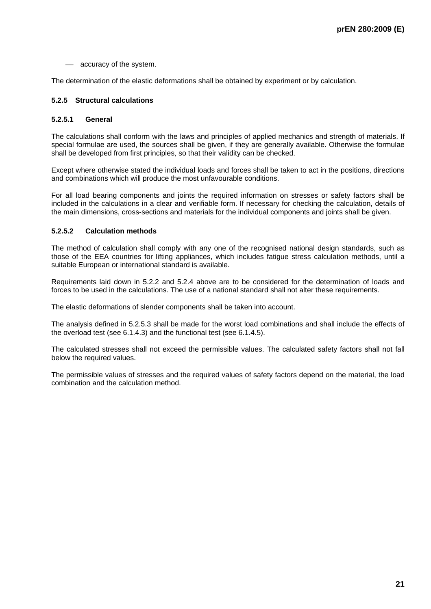- accuracy of the system.

The determination of the elastic deformations shall be obtained by experiment or by calculation.

## **5.2.5 Structural calculations**

#### **5.2.5.1 General**

The calculations shall conform with the laws and principles of applied mechanics and strength of materials. If special formulae are used, the sources shall be given, if they are generally available. Otherwise the formulae shall be developed from first principles, so that their validity can be checked.

Except where otherwise stated the individual loads and forces shall be taken to act in the positions, directions and combinations which will produce the most unfavourable conditions.

For all load bearing components and joints the required information on stresses or safety factors shall be included in the calculations in a clear and verifiable form. If necessary for checking the calculation, details of the main dimensions, cross-sections and materials for the individual components and joints shall be given.

#### **5.2.5.2 Calculation methods**

The method of calculation shall comply with any one of the recognised national design standards, such as those of the EEA countries for lifting appliances, which includes fatigue stress calculation methods, until a suitable European or international standard is available.

Requirements laid down in 5.2.2 and 5.2.4 above are to be considered for the determination of loads and forces to be used in the calculations. The use of a national standard shall not alter these requirements.

The elastic deformations of slender components shall be taken into account.

The analysis defined in 5.2.5.3 shall be made for the worst load combinations and shall include the effects of the overload test (see 6.1.4.3) and the functional test (see 6.1.4.5).

The calculated stresses shall not exceed the permissible values. The calculated safety factors shall not fall below the required values.

The permissible values of stresses and the required values of safety factors depend on the material, the load combination and the calculation method.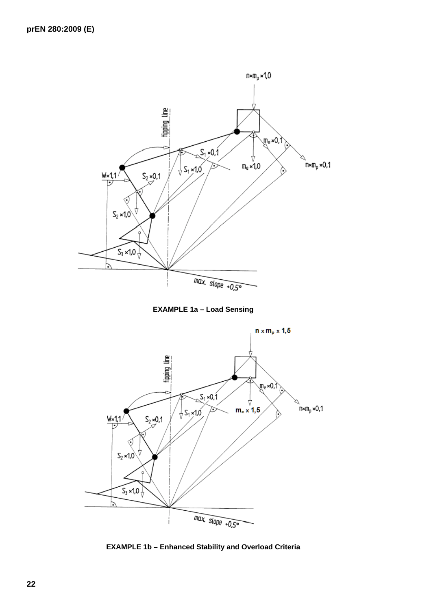





**EXAMPLE 1b – Enhanced Stability and Overload Criteria**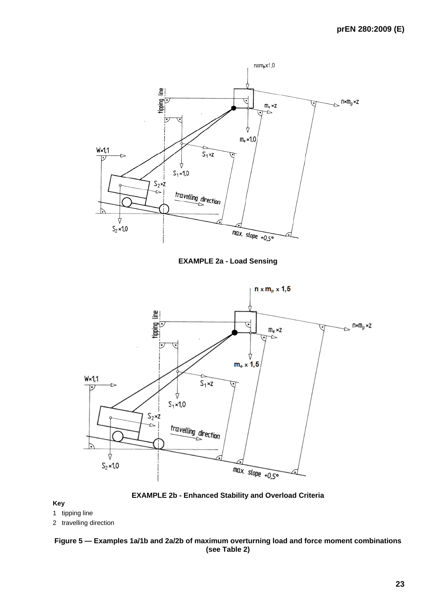

**EXAMPLE 2a - Load Sensing** 





#### **Key**

- 1 tipping line
- 2 travelling direction

### **Figure 5 — Examples 1a/1b and 2a/2b of maximum overturning load and force moment combinations (see Table 2)**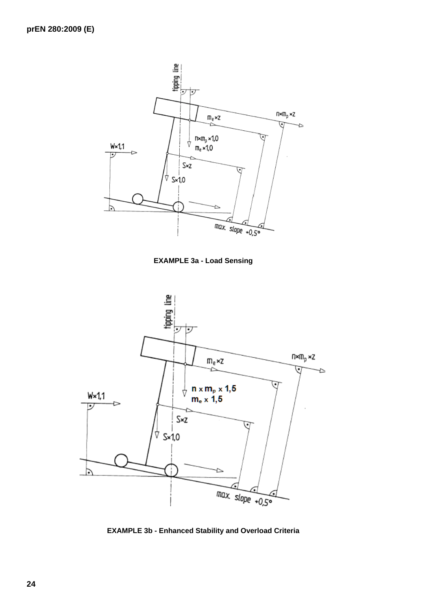

**EXAMPLE 3a - Load Sensing** 



**EXAMPLE 3b - Enhanced Stability and Overload Criteria**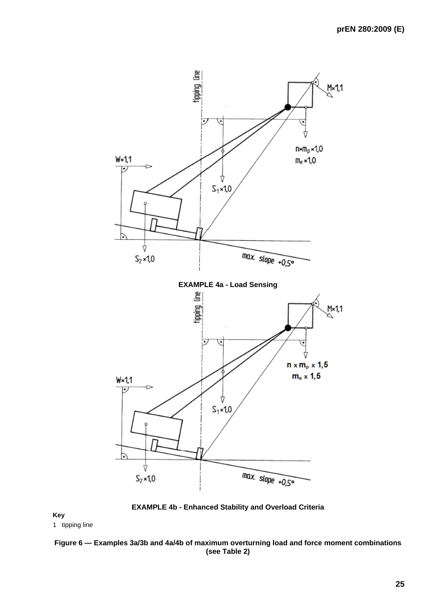

**EXAMPLE 4b - Enhanced Stability and Overload Criteria**

**Key** 

1 tipping line

## **Figure 6 — Examples 3a/3b and 4a/4b of maximum overturning load and force moment combinations (see Table 2)**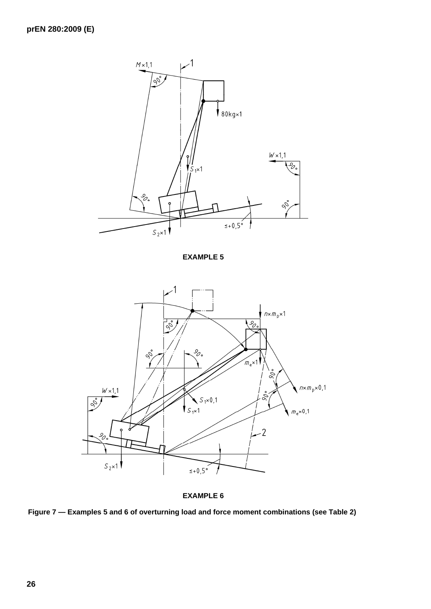

**EXAMPLE 5** 



**EXAMPLE 6** 

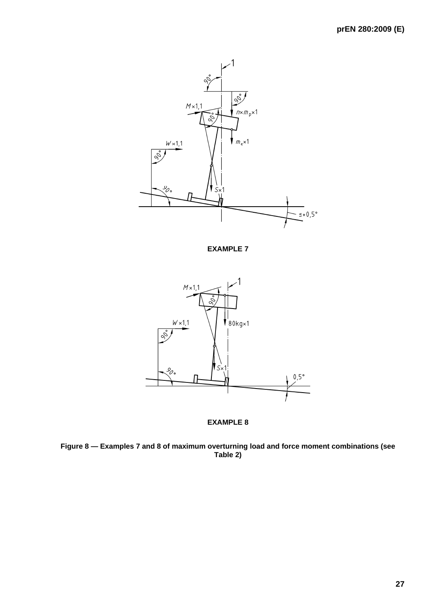

**EXAMPLE 7** 





**Figure 8 — Examples 7 and 8 of maximum overturning load and force moment combinations (see Table 2)**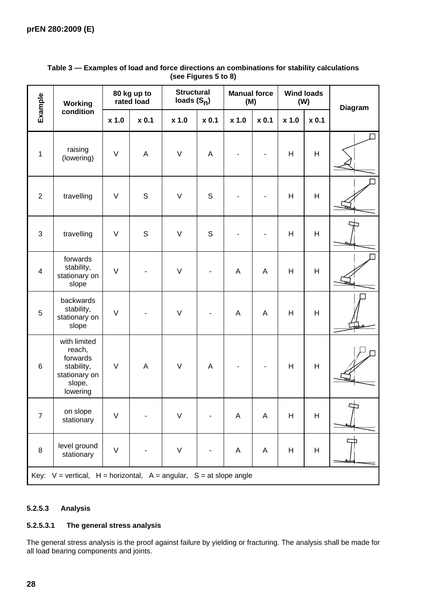| Example                                                                       | Working                                                                                 |        | 80 kg up to<br>rated load | <b>Structural</b><br>loads $(S_n)$ |             | <b>Manual force</b><br>(M) |         | <b>Wind loads</b><br>(W) |       | <b>Diagram</b> |
|-------------------------------------------------------------------------------|-----------------------------------------------------------------------------------------|--------|---------------------------|------------------------------------|-------------|----------------------------|---------|--------------------------|-------|----------------|
|                                                                               | condition                                                                               | x 1.0  | $x$ 0.1                   | x 1.0                              | x 0.1       | x 1.0                      | $x$ 0.1 | x 1.0                    | x 0.1 |                |
| $\mathbf{1}$                                                                  | raising<br>(lowering)                                                                   | $\vee$ | A                         | $\vee$                             | $\mathsf A$ |                            |         | H                        | H     |                |
| $\overline{2}$                                                                | travelling                                                                              | $\vee$ | $\mathsf{S}$              | $\vee$                             | $\mathsf S$ |                            |         | H                        | H     |                |
| 3                                                                             | travelling                                                                              | $\vee$ | S                         | $\vee$                             | S           |                            |         | Н                        | H     |                |
| $\overline{\mathbf{4}}$                                                       | forwards<br>stability,<br>stationary on<br>slope                                        | $\vee$ |                           | $\vee$                             |             | $\boldsymbol{\mathsf{A}}$  | A       | H                        | H     |                |
| $\mathbf 5$                                                                   | backwards<br>stability,<br>stationary on<br>slope                                       | $\vee$ |                           | $\vee$                             |             | A                          | A       | H                        | H     |                |
| $6\phantom{1}$                                                                | with limited<br>reach,<br>forwards<br>stability,<br>stationary on<br>slope,<br>lowering | $\vee$ | A                         | $\vee$                             | A           |                            |         | Н                        | H     |                |
| $\overline{7}$                                                                | on slope<br>stationary                                                                  | $\vee$ |                           | V                                  |             | Α                          | Α       | H                        | Н     | $\Rightarrow$  |
| $\bf 8$                                                                       | level ground<br>stationary                                                              | $\vee$ |                           | $\sf V$                            |             | A                          | A       | Н                        | Н     |                |
| Key: $V = vertical$ , $H = horizontal$ , $A = angular$ , $S = at slope angle$ |                                                                                         |        |                           |                                    |             |                            |         |                          |       |                |

## **Table 3 — Examples of load and force directions an combinations for stability calculations (see Figures 5 to 8)**

## **5.2.5.3 Analysis**

### **5.2.5.3.1 The general stress analysis**

The general stress analysis is the proof against failure by yielding or fracturing. The analysis shall be made for all load bearing components and joints.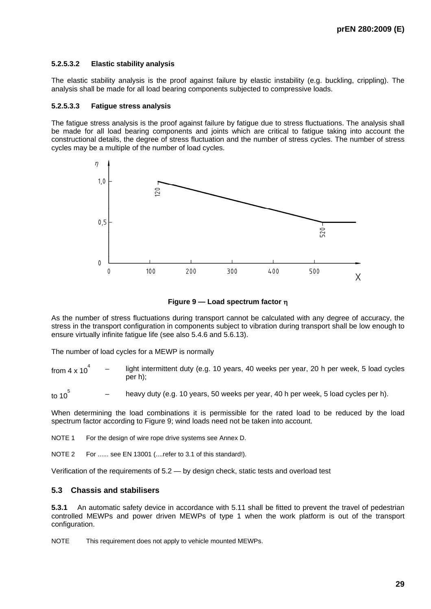## **5.2.5.3.2 Elastic stability analysis**

The elastic stability analysis is the proof against failure by elastic instability (e.g. buckling, crippling). The analysis shall be made for all load bearing components subjected to compressive loads.

#### **5.2.5.3.3 Fatigue stress analysis**

The fatigue stress analysis is the proof against failure by fatigue due to stress fluctuations. The analysis shall be made for all load bearing components and joints which are critical to fatigue taking into account the constructional details, the degree of stress fluctuation and the number of stress cycles. The number of stress cycles may be a multiple of the number of load cycles.



**Figure 9 — Load spectrum factor** η

As the number of stress fluctuations during transport cannot be calculated with any degree of accuracy, the stress in the transport configuration in components subject to vibration during transport shall be low enough to ensure virtually infinite fatigue life (see also 5.4.6 and 5.6.13).

The number of load cycles for a MEWP is normally

from  $4 \times 10^{4}$ light intermittent duty (e.g. 10 years, 40 weeks per year, 20 h per week, 5 load cycles per h);

to 10 $\frac{5}{2}$ heavy duty (e.g. 10 years, 50 weeks per year, 40 h per week, 5 load cycles per h).

When determining the load combinations it is permissible for the rated load to be reduced by the load spectrum factor according to Figure 9; wind loads need not be taken into account.

NOTE 1 For the design of wire rope drive systems see Annex D.

NOTE 2 For ...... see EN 13001 (....refer to 3.1 of this standard!).

Verification of the requirements of 5.2 — by design check, static tests and overload test

## **5.3 Chassis and stabilisers**

**5.3.1** An automatic safety device in accordance with 5.11 shall be fitted to prevent the travel of pedestrian controlled MEWPs and power driven MEWPs of type 1 when the work platform is out of the transport configuration.

NOTE This requirement does not apply to vehicle mounted MEWPs.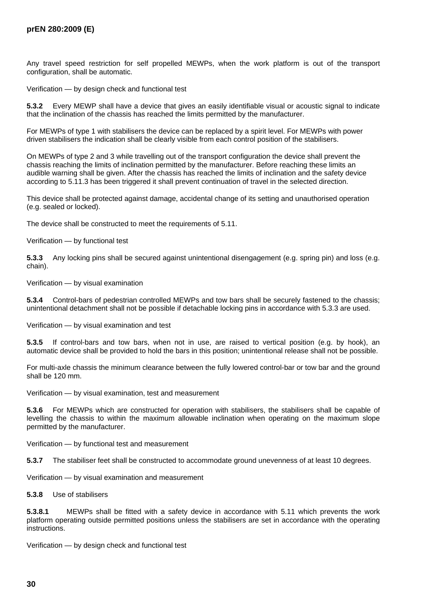Any travel speed restriction for self propelled MEWPs, when the work platform is out of the transport configuration, shall be automatic.

Verification — by design check and functional test

**5.3.2** Every MEWP shall have a device that gives an easily identifiable visual or acoustic signal to indicate that the inclination of the chassis has reached the limits permitted by the manufacturer.

For MEWPs of type 1 with stabilisers the device can be replaced by a spirit level. For MEWPs with power driven stabilisers the indication shall be clearly visible from each control position of the stabilisers.

On MEWPs of type 2 and 3 while travelling out of the transport configuration the device shall prevent the chassis reaching the limits of inclination permitted by the manufacturer. Before reaching these limits an audible warning shall be given. After the chassis has reached the limits of inclination and the safety device according to 5.11.3 has been triggered it shall prevent continuation of travel in the selected direction.

This device shall be protected against damage, accidental change of its setting and unauthorised operation (e.g. sealed or locked).

The device shall be constructed to meet the requirements of 5.11.

Verification — by functional test

**5.3.3** Any locking pins shall be secured against unintentional disengagement (e.g. spring pin) and loss (e.g. chain).

Verification — by visual examination

**5.3.4** Control-bars of pedestrian controlled MEWPs and tow bars shall be securely fastened to the chassis; unintentional detachment shall not be possible if detachable locking pins in accordance with 5.3.3 are used.

Verification — by visual examination and test

**5.3.5** If control-bars and tow bars, when not in use, are raised to vertical position (e.g. by hook), an automatic device shall be provided to hold the bars in this position; unintentional release shall not be possible.

For multi-axle chassis the minimum clearance between the fully lowered control-bar or tow bar and the ground shall be 120 mm.

Verification — by visual examination, test and measurement

**5.3.6** For MEWPs which are constructed for operation with stabilisers, the stabilisers shall be capable of levelling the chassis to within the maximum allowable inclination when operating on the maximum slope permitted by the manufacturer.

Verification — by functional test and measurement

**5.3.7** The stabiliser feet shall be constructed to accommodate ground unevenness of at least 10 degrees.

Verification — by visual examination and measurement

**5.3.8** Use of stabilisers

**5.3.8.1** MEWPs shall be fitted with a safety device in accordance with 5.11 which prevents the work platform operating outside permitted positions unless the stabilisers are set in accordance with the operating **instructions** 

Verification — by design check and functional test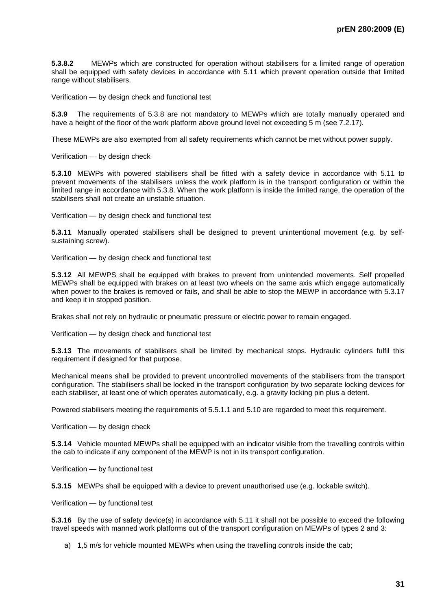**5.3.8.2** MEWPs which are constructed for operation without stabilisers for a limited range of operation shall be equipped with safety devices in accordance with 5.11 which prevent operation outside that limited range without stabilisers.

Verification — by design check and functional test

**5.3.9** The requirements of 5.3.8 are not mandatory to MEWPs which are totally manually operated and have a height of the floor of the work platform above ground level not exceeding 5 m (see 7.2.17).

These MEWPs are also exempted from all safety requirements which cannot be met without power supply.

Verification — by design check

**5.3.10** MEWPs with powered stabilisers shall be fitted with a safety device in accordance with 5.11 to prevent movements of the stabilisers unless the work platform is in the transport configuration or within the limited range in accordance with 5.3.8. When the work platform is inside the limited range, the operation of the stabilisers shall not create an unstable situation.

Verification — by design check and functional test

**5.3.11** Manually operated stabilisers shall be designed to prevent unintentional movement (e.g. by selfsustaining screw).

Verification — by design check and functional test

**5.3.12** All MEWPS shall be equipped with brakes to prevent from unintended movements. Self propelled MEWPs shall be equipped with brakes on at least two wheels on the same axis which engage automatically when power to the brakes is removed or fails, and shall be able to stop the MEWP in accordance with 5.3.17 and keep it in stopped position.

Brakes shall not rely on hydraulic or pneumatic pressure or electric power to remain engaged.

Verification — by design check and functional test

**5.3.13** The movements of stabilisers shall be limited by mechanical stops. Hydraulic cylinders fulfil this requirement if designed for that purpose.

Mechanical means shall be provided to prevent uncontrolled movements of the stabilisers from the transport configuration. The stabilisers shall be locked in the transport configuration by two separate locking devices for each stabiliser, at least one of which operates automatically, e.g. a gravity locking pin plus a detent.

Powered stabilisers meeting the requirements of 5.5.1.1 and 5.10 are regarded to meet this requirement.

Verification — by design check

**5.3.14** Vehicle mounted MEWPs shall be equipped with an indicator visible from the travelling controls within the cab to indicate if any component of the MEWP is not in its transport configuration.

Verification — by functional test

**5.3.15** MEWPs shall be equipped with a device to prevent unauthorised use (e.g. lockable switch).

Verification — by functional test

**5.3.16** By the use of safety device(s) in accordance with 5.11 it shall not be possible to exceed the following travel speeds with manned work platforms out of the transport configuration on MEWPs of types 2 and 3:

a) 1,5 m/s for vehicle mounted MEWPs when using the travelling controls inside the cab;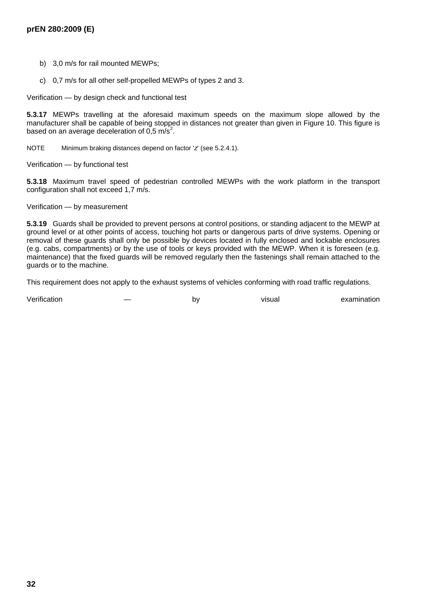- b) 3,0 m/s for rail mounted MEWPs;
- c) 0,7 m/s for all other self-propelled MEWPs of types 2 and 3.

Verification — by design check and functional test

**5.3.17** MEWPs travelling at the aforesaid maximum speeds on the maximum slope allowed by the manufacturer shall be capable of being stopped in distances not greater than given in Figure 10. This figure is based on an average deceleration of  $0.5 \text{ m/s}^2$ .

NOTE Minimum braking distances depend on factor '*z*' (see 5.2.4.1).

Verification — by functional test

**5.3.18** Maximum travel speed of pedestrian controlled MEWPs with the work platform in the transport configuration shall not exceed 1,7 m/s.

#### Verification — by measurement

**5.3.19** Guards shall be provided to prevent persons at control positions, or standing adjacent to the MEWP at ground level or at other points of access, touching hot parts or dangerous parts of drive systems. Opening or removal of these guards shall only be possible by devices located in fully enclosed and lockable enclosures (e.g. cabs, compartments) or by the use of tools or keys provided with the MEWP. When it is foreseen (e.g. maintenance) that the fixed guards will be removed regularly then the fastenings shall remain attached to the guards or to the machine.

This requirement does not apply to the exhaust systems of vehicles conforming with road traffic regulations.

Verification — by visual examination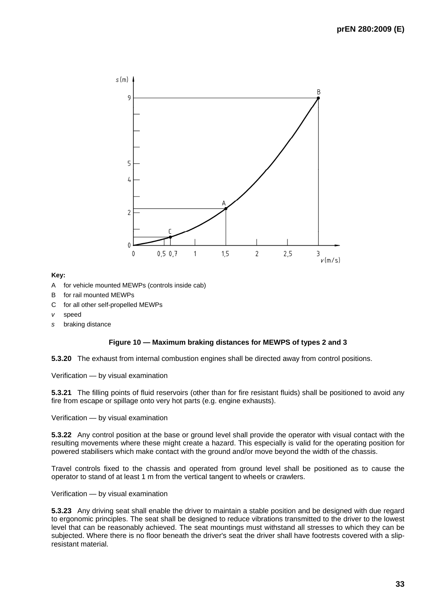

#### **Key:**

- A for vehicle mounted MEWPs (controls inside cab)
- B for rail mounted MEWPs
- C for all other self-propelled MEWPs
- *v* speed
- *s* braking distance

#### **Figure 10 — Maximum braking distances for MEWPS of types 2 and 3**

**5.3.20** The exhaust from internal combustion engines shall be directed away from control positions.

Verification — by visual examination

**5.3.21** The filling points of fluid reservoirs (other than for fire resistant fluids) shall be positioned to avoid any fire from escape or spillage onto very hot parts (e.g. engine exhausts).

Verification — by visual examination

**5.3.22** Any control position at the base or ground level shall provide the operator with visual contact with the resulting movements where these might create a hazard. This especially is valid for the operating position for powered stabilisers which make contact with the ground and/or move beyond the width of the chassis.

Travel controls fixed to the chassis and operated from ground level shall be positioned as to cause the operator to stand of at least 1 m from the vertical tangent to wheels or crawlers.

Verification — by visual examination

**5.3.23** Any driving seat shall enable the driver to maintain a stable position and be designed with due regard to ergonomic principles. The seat shall be designed to reduce vibrations transmitted to the driver to the lowest level that can be reasonably achieved. The seat mountings must withstand all stresses to which they can be subjected. Where there is no floor beneath the driver's seat the driver shall have footrests covered with a slipresistant material.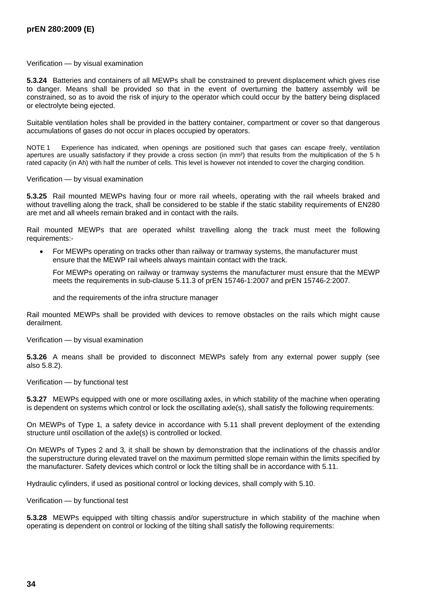Verification — by visual examination

**5.3.24** Batteries and containers of all MEWPs shall be constrained to prevent displacement which gives rise to danger. Means shall be provided so that in the event of overturning the battery assembly will be constrained, so as to avoid the risk of injury to the operator which could occur by the battery being displaced or electrolyte being ejected.

Suitable ventilation holes shall be provided in the battery container, compartment or cover so that dangerous accumulations of gases do not occur in places occupied by operators.

NOTE 1 Experience has indicated, when openings are positioned such that gases can escape freely, ventilation apertures are usually satisfactory if they provide a cross section (in mm²) that results from the multiplication of the 5 h rated capacity (in Ah) with half the number of cells. This level is however not intended to cover the charging condition.

Verification — by visual examination

**5.3.25** Rail mounted MEWPs having four or more rail wheels, operating with the rail wheels braked and without travelling along the track, shall be considered to be stable if the static stability requirements of EN280 are met and all wheels remain braked and in contact with the rails.

Rail mounted MEWPs that are operated whilst travelling along the track must meet the following requirements:-

• For MEWPs operating on tracks other than railway or tramway systems, the manufacturer must ensure that the MEWP rail wheels always maintain contact with the track.

For MEWPs operating on railway or tramway systems the manufacturer must ensure that the MEWP meets the requirements in sub-clause 5.11.3 of prEN 15746-1:2007 and prEN 15746-2:2007*.*

and the requirements of the infra structure manager

Rail mounted MEWPs shall be provided with devices to remove obstacles on the rails which might cause derailment.

Verification — by visual examination

**5.3.26** A means shall be provided to disconnect MEWPs safely from any external power supply (see also 5.8.2).

Verification — by functional test

**5.3.27** MEWPs equipped with one or more oscillating axles, in which stability of the machine when operating is dependent on systems which control or lock the oscillating axle(s), shall satisfy the following requirements:

On MEWPs of Type 1*,* a safety device in accordance with 5.11 shall prevent deployment of the extending structure until oscillation of the axle(s) is controlled or locked.

On MEWPs of Types 2 and 3*,* it shall be shown by demonstration that the inclinations of the chassis and/or the superstructure during elevated travel on the maximum permitted slope remain within the limits specified by the manufacturer. Safety devices which control or lock the tilting shall be in accordance with 5.11.

Hydraulic cylinders, if used as positional control or locking devices, shall comply with 5.10.

Verification — by functional test

**5.3.28** MEWPs equipped with tilting chassis and/or superstructure in which stability of the machine when operating is dependent on control or locking of the tilting shall satisfy the following requirements: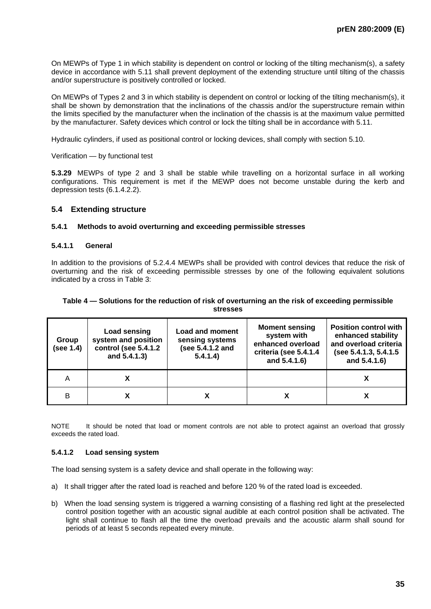On MEWPs of Type 1 in which stability is dependent on control or locking of the tilting mechanism(s), a safety device in accordance with 5.11 shall prevent deployment of the extending structure until tilting of the chassis and/or superstructure is positively controlled or locked.

On MEWPs of Types 2 and 3 in which stability is dependent on control or locking of the tilting mechanism(s), it shall be shown by demonstration that the inclinations of the chassis and/or the superstructure remain within the limits specified by the manufacturer when the inclination of the chassis is at the maximum value permitted by the manufacturer. Safety devices which control or lock the tilting shall be in accordance with 5.11.

Hydraulic cylinders, if used as positional control or locking devices, shall comply with section 5.10.

Verification — by functional test

**5.3.29** MEWPs of type 2 and 3 shall be stable while travelling on a horizontal surface in all working configurations. This requirement is met if the MEWP does not become unstable during the kerb and depression tests (6.1.4.2.2).

## **5.4 Extending structure**

#### **5.4.1 Methods to avoid overturning and exceeding permissible stresses**

#### **5.4.1.1 General**

In addition to the provisions of 5.2.4.4 MEWPs shall be provided with control devices that reduce the risk of overturning and the risk of exceeding permissible stresses by one of the following equivalent solutions indicated by a cross in Table 3:

#### **Table 4 — Solutions for the reduction of risk of overturning an the risk of exceeding permissible stresses**

| Group<br>(see 1.4) | Load sensing<br>system and position<br>control (see 5.4.1.2<br>and 5.4.1.3) | <b>Load and moment</b><br>sensing systems<br>(see 5.4.1.2 and<br>5.4.1.4) | <b>Moment sensing</b><br>system with<br>enhanced overload<br>criteria (see 5.4.1.4<br>and 5.4.1.6) | <b>Position control with</b><br>enhanced stability<br>and overload criteria<br>(see 5.4.1.3, 5.4.1.5<br>and 5.4.1.6) |
|--------------------|-----------------------------------------------------------------------------|---------------------------------------------------------------------------|----------------------------------------------------------------------------------------------------|----------------------------------------------------------------------------------------------------------------------|
| Α                  |                                                                             |                                                                           |                                                                                                    |                                                                                                                      |
| в                  |                                                                             |                                                                           |                                                                                                    |                                                                                                                      |

NOTE It should be noted that load or moment controls are not able to protect against an overload that grossly exceeds the rated load.

## **5.4.1.2 Load sensing system**

The load sensing system is a safety device and shall operate in the following way:

- a) It shall trigger after the rated load is reached and before 120 % of the rated load is exceeded.
- b) When the load sensing system is triggered a warning consisting of a flashing red light at the preselected control position together with an acoustic signal audible at each control position shall be activated. The light shall continue to flash all the time the overload prevails and the acoustic alarm shall sound for periods of at least 5 seconds repeated every minute.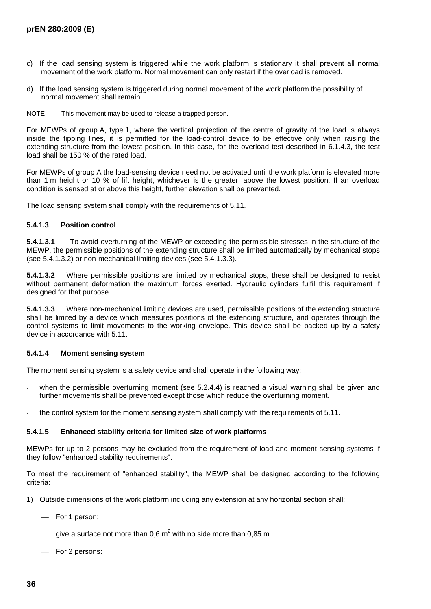- c) If the load sensing system is triggered while the work platform is stationary it shall prevent all normal movement of the work platform. Normal movement can only restart if the overload is removed.
- d) If the load sensing system is triggered during normal movement of the work platform the possibility of normal movement shall remain.
- NOTE This movement may be used to release a trapped person.

For MEWPs of group A, type 1, where the vertical projection of the centre of gravity of the load is always inside the tipping lines, it is permitted for the load-control device to be effective only when raising the extending structure from the lowest position. In this case, for the overload test described in 6.1.4.3, the test load shall be 150 % of the rated load.

For MEWPs of group A the load-sensing device need not be activated until the work platform is elevated more than 1 m height or 10 % of lift height, whichever is the greater, above the lowest position. If an overload condition is sensed at or above this height, further elevation shall be prevented.

The load sensing system shall comply with the requirements of 5.11.

#### **5.4.1.3 Position control**

**5.4.1.3.1** To avoid overturning of the MEWP or exceeding the permissible stresses in the structure of the MEWP, the permissible positions of the extending structure shall be limited automatically by mechanical stops (see 5.4.1.3.2) or non-mechanical limiting devices (see 5.4.1.3.3).

**5.4.1.3.2** Where permissible positions are limited by mechanical stops, these shall be designed to resist without permanent deformation the maximum forces exerted. Hydraulic cylinders fulfil this requirement if designed for that purpose.

**5.4.1.3.3** Where non-mechanical limiting devices are used, permissible positions of the extending structure shall be limited by a device which measures positions of the extending structure, and operates through the control systems to limit movements to the working envelope. This device shall be backed up by a safety device in accordance with 5.11.

#### **5.4.1.4 Moment sensing system**

The moment sensing system is a safety device and shall operate in the following way:

- when the permissible overturning moment (see 5.2.4.4) is reached a visual warning shall be given and further movements shall be prevented except those which reduce the overturning moment.
- the control system for the moment sensing system shall comply with the requirements of 5.11.

#### **5.4.1.5 Enhanced stability criteria for limited size of work platforms**

MEWPs for up to 2 persons may be excluded from the requirement of load and moment sensing systems if they follow "enhanced stability requirements".

To meet the requirement of "enhanced stability", the MEWP shall be designed according to the following criteria:

- 1) Outside dimensions of the work platform including any extension at any horizontal section shall:
	- For 1 person:

give a surface not more than 0,6  $m^2$  with no side more than 0,85 m.

- For 2 persons: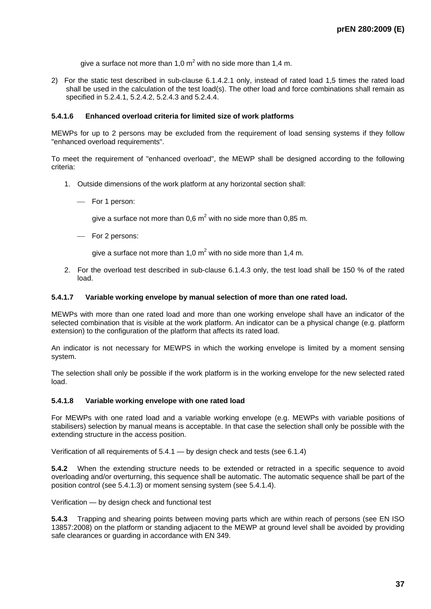give a surface not more than 1,0  $m^2$  with no side more than 1,4 m.

2) For the static test described in sub-clause 6.1.4.2.1 only, instead of rated load 1,5 times the rated load shall be used in the calculation of the test load(s). The other load and force combinations shall remain as specified in 5.2.4.1, 5.2.4.2, 5.2.4.3 and 5.2.4.4.

#### **5.4.1.6 Enhanced overload criteria for limited size of work platforms**

MEWPs for up to 2 persons may be excluded from the requirement of load sensing systems if they follow "enhanced overload requirements".

To meet the requirement of "enhanced overload", the MEWP shall be designed according to the following criteria:

- 1. Outside dimensions of the work platform at any horizontal section shall:
	- For 1 person:

give a surface not more than 0,6  $m^2$  with no side more than 0,85 m.

- For 2 persons:

give a surface not more than 1,0  $m^2$  with no side more than 1,4 m.

2. For the overload test described in sub-clause 6.1.4.3 only, the test load shall be 150 % of the rated load.

#### **5.4.1.7 Variable working envelope by manual selection of more than one rated load.**

MEWPs with more than one rated load and more than one working envelope shall have an indicator of the selected combination that is visible at the work platform. An indicator can be a physical change (e.g. platform extension) to the configuration of the platform that affects its rated load.

An indicator is not necessary for MEWPS in which the working envelope is limited by a moment sensing system.

The selection shall only be possible if the work platform is in the working envelope for the new selected rated load.

#### **5.4.1.8 Variable working envelope with one rated load**

For MEWPs with one rated load and a variable working envelope (e.g. MEWPs with variable positions of stabilisers) selection by manual means is acceptable. In that case the selection shall only be possible with the extending structure in the access position.

Verification of all requirements of 5.4.1 — by design check and tests (see 6.1.4)

**5.4.2** When the extending structure needs to be extended or retracted in a specific sequence to avoid overloading and/or overturning, this sequence shall be automatic. The automatic sequence shall be part of the position control (see 5.4.1.3) or moment sensing system (see 5.4.1.4).

Verification — by design check and functional test

**5.4.3** Trapping and shearing points between moving parts which are within reach of persons (see EN ISO 13857:2008) on the platform or standing adjacent to the MEWP at ground level shall be avoided by providing safe clearances or guarding in accordance with EN 349.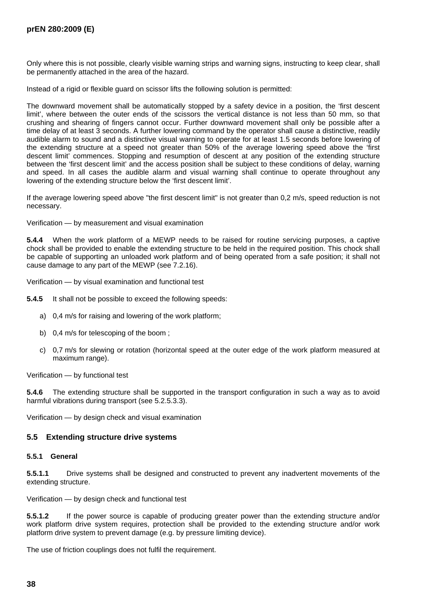Only where this is not possible, clearly visible warning strips and warning signs, instructing to keep clear, shall be permanently attached in the area of the hazard.

Instead of a rigid or flexible guard on scissor lifts the following solution is permitted:

The downward movement shall be automatically stopped by a safety device in a position, the 'first descent limit', where between the outer ends of the scissors the vertical distance is not less than 50 mm, so that crushing and shearing of fingers cannot occur. Further downward movement shall only be possible after a time delay of at least 3 seconds. A further lowering command by the operator shall cause a distinctive, readily audible alarm to sound and a distinctive visual warning to operate for at least 1.5 seconds before lowering of the extending structure at a speed not greater than 50% of the average lowering speed above the 'first descent limit' commences. Stopping and resumption of descent at any position of the extending structure between the 'first descent limit' and the access position shall be subject to these conditions of delay, warning and speed. In all cases the audible alarm and visual warning shall continue to operate throughout any lowering of the extending structure below the 'first descent limit'.

If the average lowering speed above "the first descent limit" is not greater than 0,2 m/s, speed reduction is not necessary.

Verification — by measurement and visual examination

**5.4.4** When the work platform of a MEWP needs to be raised for routine servicing purposes, a captive chock shall be provided to enable the extending structure to be held in the required position. This chock shall be capable of supporting an unloaded work platform and of being operated from a safe position; it shall not cause damage to any part of the MEWP (see 7.2.16).

Verification — by visual examination and functional test

**5.4.5** It shall not be possible to exceed the following speeds:

- a) 0,4 m/s for raising and lowering of the work platform;
- b) 0,4 m/s for telescoping of the boom ;
- c) 0,7 m/s for slewing or rotation (horizontal speed at the outer edge of the work platform measured at maximum range).

Verification — by functional test

**5.4.6** The extending structure shall be supported in the transport configuration in such a way as to avoid harmful vibrations during transport (see 5.2.5.3.3).

Verification — by design check and visual examination

#### **5.5 Extending structure drive systems**

#### **5.5.1 General**

**5.5.1.1** Drive systems shall be designed and constructed to prevent any inadvertent movements of the extending structure.

Verification — by design check and functional test

**5.5.1.2** If the power source is capable of producing greater power than the extending structure and/or work platform drive system requires, protection shall be provided to the extending structure and/or work platform drive system to prevent damage (e.g. by pressure limiting device).

The use of friction couplings does not fulfil the requirement.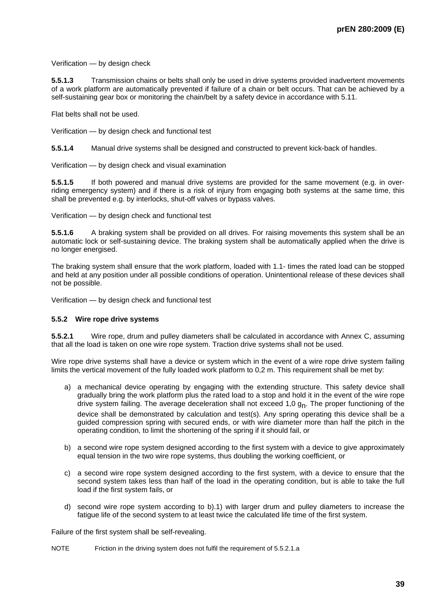Verification — by design check

**5.5.1.3** Transmission chains or belts shall only be used in drive systems provided inadvertent movements of a work platform are automatically prevented if failure of a chain or belt occurs. That can be achieved by a self-sustaining gear box or monitoring the chain/belt by a safety device in accordance with 5.11.

Flat belts shall not be used.

Verification — by design check and functional test

**5.5.1.4** Manual drive systems shall be designed and constructed to prevent kick-back of handles.

Verification — by design check and visual examination

**5.5.1.5** If both powered and manual drive systems are provided for the same movement (e.g. in overriding emergency system) and if there is a risk of injury from engaging both systems at the same time, this shall be prevented e.g. by interlocks, shut-off valves or bypass valves.

Verification — by design check and functional test

**5.5.1.6** A braking system shall be provided on all drives. For raising movements this system shall be an automatic lock or self-sustaining device. The braking system shall be automatically applied when the drive is no longer energised.

The braking system shall ensure that the work platform, loaded with 1.1- times the rated load can be stopped and held at any position under all possible conditions of operation. Unintentional release of these devices shall not be possible.

Verification — by design check and functional test

#### **5.5.2 Wire rope drive systems**

**5.5.2.1** Wire rope, drum and pulley diameters shall be calculated in accordance with Annex C, assuming that all the load is taken on one wire rope system. Traction drive systems shall not be used.

Wire rope drive systems shall have a device or system which in the event of a wire rope drive system failing limits the vertical movement of the fully loaded work platform to 0,2 m. This requirement shall be met by:

- a) a mechanical device operating by engaging with the extending structure. This safety device shall gradually bring the work platform plus the rated load to a stop and hold it in the event of the wire rope drive system failing. The average deceleration shall not exceed 1,0  $g<sub>n</sub>$ . The proper functioning of the device shall be demonstrated by calculation and test(s). Any spring operating this device shall be a guided compression spring with secured ends, or with wire diameter more than half the pitch in the operating condition, to limit the shortening of the spring if it should fail, or
- b) a second wire rope system designed according to the first system with a device to give approximately equal tension in the two wire rope systems, thus doubling the working coefficient, or
- c) a second wire rope system designed according to the first system, with a device to ensure that the second system takes less than half of the load in the operating condition, but is able to take the full load if the first system fails, or
- d) second wire rope system according to b).1) with larger drum and pulley diameters to increase the fatigue life of the second system to at least twice the calculated life time of the first system.

Failure of the first system shall be self-revealing.

NOTE Friction in the driving system does not fulfil the requirement of 5.5.2.1.a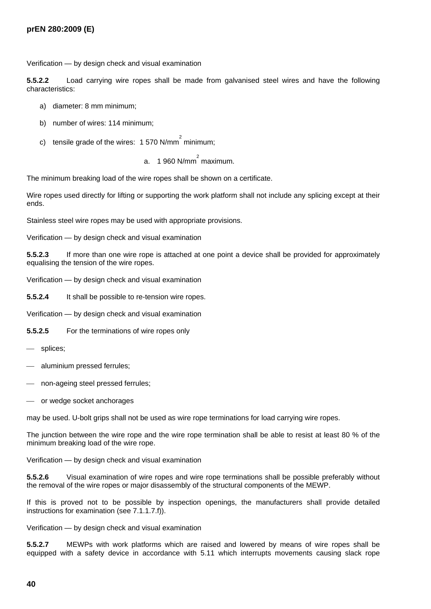Verification — by design check and visual examination

**5.5.2.2** Load carrying wire ropes shall be made from galvanised steel wires and have the following characteristics:

- a) diameter: 8 mm minimum;
- b) number of wires: 114 minimum;
- c) tensile grade of the wires: 1 570 N/mm<sup>2</sup> minimum;
	- a.  $1960$  N/mm<sup>2</sup> maximum.

The minimum breaking load of the wire ropes shall be shown on a certificate.

Wire ropes used directly for lifting or supporting the work platform shall not include any splicing except at their ends.

Stainless steel wire ropes may be used with appropriate provisions.

Verification — by design check and visual examination

**5.5.2.3** If more than one wire rope is attached at one point a device shall be provided for approximately equalising the tension of the wire ropes.

Verification — by design check and visual examination

**5.5.2.4** It shall be possible to re-tension wire ropes.

Verification — by design check and visual examination

**5.5.2.5** For the terminations of wire ropes only

- splices;
- aluminium pressed ferrules;
- non-ageing steel pressed ferrules;
- or wedge socket anchorages

may be used. U-bolt grips shall not be used as wire rope terminations for load carrying wire ropes.

The junction between the wire rope and the wire rope termination shall be able to resist at least 80 % of the minimum breaking load of the wire rope.

Verification — by design check and visual examination

**5.5.2.6** Visual examination of wire ropes and wire rope terminations shall be possible preferably without the removal of the wire ropes or major disassembly of the structural components of the MEWP.

If this is proved not to be possible by inspection openings, the manufacturers shall provide detailed instructions for examination (see 7.1.1.7.f)).

Verification — by design check and visual examination

**5.5.2.7** MEWPs with work platforms which are raised and lowered by means of wire ropes shall be equipped with a safety device in accordance with 5.11 which interrupts movements causing slack rope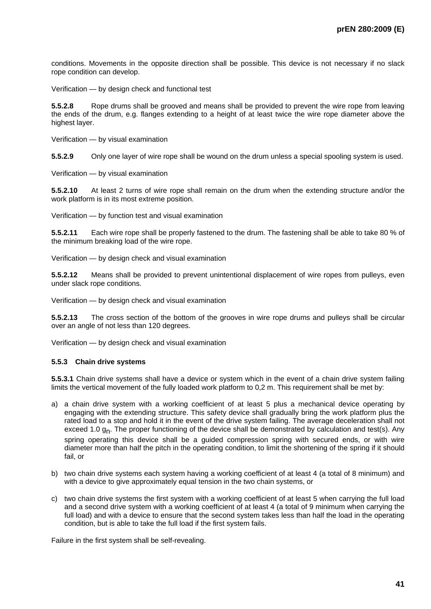conditions. Movements in the opposite direction shall be possible. This device is not necessary if no slack rope condition can develop.

Verification — by design check and functional test

**5.5.2.8** Rope drums shall be grooved and means shall be provided to prevent the wire rope from leaving the ends of the drum, e.g. flanges extending to a height of at least twice the wire rope diameter above the highest layer.

Verification — by visual examination

**5.5.2.9** Only one layer of wire rope shall be wound on the drum unless a special spooling system is used.

Verification — by visual examination

**5.5.2.10** At least 2 turns of wire rope shall remain on the drum when the extending structure and/or the work platform is in its most extreme position.

Verification — by function test and visual examination

**5.5.2.11** Each wire rope shall be properly fastened to the drum. The fastening shall be able to take 80 % of the minimum breaking load of the wire rope.

Verification — by design check and visual examination

**5.5.2.12** Means shall be provided to prevent unintentional displacement of wire ropes from pulleys, even under slack rope conditions.

Verification — by design check and visual examination

**5.5.2.13** The cross section of the bottom of the grooves in wire rope drums and pulleys shall be circular over an angle of not less than 120 degrees.

Verification — by design check and visual examination

#### **5.5.3 Chain drive systems**

**5.5.3.1** Chain drive systems shall have a device or system which in the event of a chain drive system failing limits the vertical movement of the fully loaded work platform to 0,2 m. This requirement shall be met by:

- a) a chain drive system with a working coefficient of at least 5 plus a mechanical device operating by engaging with the extending structure. This safety device shall gradually bring the work platform plus the rated load to a stop and hold it in the event of the drive system failing. The average deceleration shall not exceed 1.0 g<sub>n</sub>. The proper functioning of the device shall be demonstrated by calculation and test(s). Any spring operating this device shall be a guided compression spring with secured ends, or with wire diameter more than half the pitch in the operating condition, to limit the shortening of the spring if it should fail, or
- b) two chain drive systems each system having a working coefficient of at least 4 (a total of 8 minimum) and with a device to give approximately equal tension in the two chain systems, or
- c) two chain drive systems the first system with a working coefficient of at least 5 when carrying the full load and a second drive system with a working coefficient of at least 4 (a total of 9 minimum when carrying the full load) and with a device to ensure that the second system takes less than half the load in the operating condition, but is able to take the full load if the first system fails.

Failure in the first system shall be self-revealing.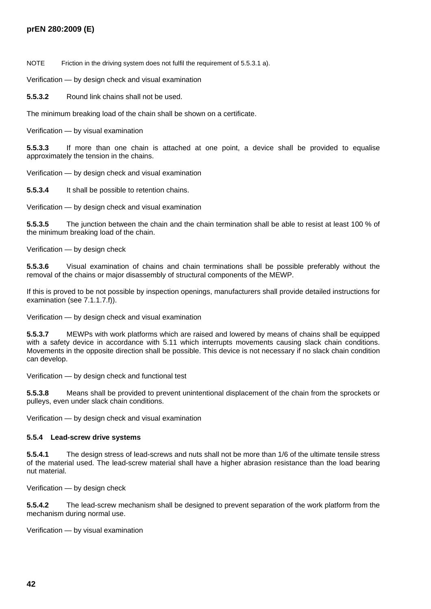NOTE Friction in the driving system does not fulfil the requirement of 5.5.3.1 a).

Verification — by design check and visual examination

**5.5.3.2** Round link chains shall not be used.

The minimum breaking load of the chain shall be shown on a certificate.

Verification — by visual examination

**5.5.3.3** If more than one chain is attached at one point, a device shall be provided to equalise approximately the tension in the chains.

Verification — by design check and visual examination

**5.5.3.4** It shall be possible to retention chains.

Verification — by design check and visual examination

**5.5.3.5** The junction between the chain and the chain termination shall be able to resist at least 100 % of the minimum breaking load of the chain.

Verification — by design check

**5.5.3.6** Visual examination of chains and chain terminations shall be possible preferably without the removal of the chains or major disassembly of structural components of the MEWP.

If this is proved to be not possible by inspection openings, manufacturers shall provide detailed instructions for examination (see 7.1.1.7.f)).

Verification — by design check and visual examination

**5.5.3.7** MEWPs with work platforms which are raised and lowered by means of chains shall be equipped with a safety device in accordance with 5.11 which interrupts movements causing slack chain conditions. Movements in the opposite direction shall be possible. This device is not necessary if no slack chain condition can develop.

Verification — by design check and functional test

**5.5.3.8** Means shall be provided to prevent unintentional displacement of the chain from the sprockets or pulleys, even under slack chain conditions.

Verification — by design check and visual examination

#### **5.5.4 Lead-screw drive systems**

**5.5.4.1** The design stress of lead-screws and nuts shall not be more than 1/6 of the ultimate tensile stress of the material used. The lead-screw material shall have a higher abrasion resistance than the load bearing nut material.

Verification — by design check

**5.5.4.2** The lead-screw mechanism shall be designed to prevent separation of the work platform from the mechanism during normal use.

Verification — by visual examination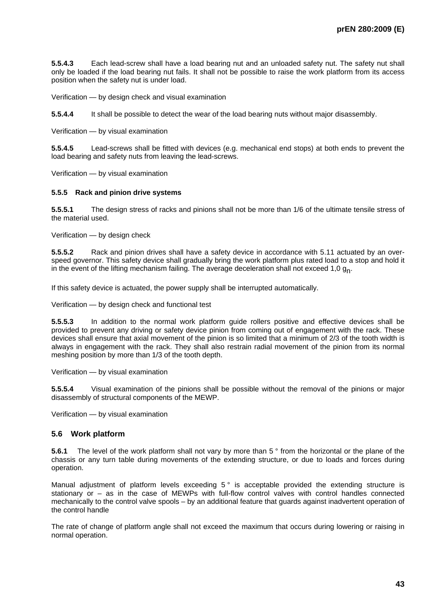**5.5.4.3** Each lead-screw shall have a load bearing nut and an unloaded safety nut. The safety nut shall only be loaded if the load bearing nut fails. It shall not be possible to raise the work platform from its access position when the safety nut is under load.

Verification — by design check and visual examination

**5.5.4.4** It shall be possible to detect the wear of the load bearing nuts without major disassembly.

Verification — by visual examination

**5.5.4.5** Lead-screws shall be fitted with devices (e.g. mechanical end stops) at both ends to prevent the load bearing and safety nuts from leaving the lead-screws.

Verification — by visual examination

### **5.5.5 Rack and pinion drive systems**

**5.5.5.1** The design stress of racks and pinions shall not be more than 1/6 of the ultimate tensile stress of the material used.

Verification — by design check

**5.5.5.2** Rack and pinion drives shall have a safety device in accordance with 5.11 actuated by an overspeed governor. This safety device shall gradually bring the work platform plus rated load to a stop and hold it in the event of the lifting mechanism failing. The average deceleration shall not exceed 1,0  $g<sub>n</sub>$ .

If this safety device is actuated, the power supply shall be interrupted automatically.

Verification — by design check and functional test

**5.5.5.3** In addition to the normal work platform guide rollers positive and effective devices shall be provided to prevent any driving or safety device pinion from coming out of engagement with the rack. These devices shall ensure that axial movement of the pinion is so limited that a minimum of 2/3 of the tooth width is always in engagement with the rack. They shall also restrain radial movement of the pinion from its normal meshing position by more than 1/3 of the tooth depth.

Verification — by visual examination

**5.5.5.4** Visual examination of the pinions shall be possible without the removal of the pinions or major disassembly of structural components of the MEWP.

Verification — by visual examination

## **5.6 Work platform**

**5.6.1** The level of the work platform shall not vary by more than 5 ° from the horizontal or the plane of the chassis or any turn table during movements of the extending structure, or due to loads and forces during operation.

Manual adjustment of platform levels exceeding 5° is acceptable provided the extending structure is stationary or – as in the case of MEWPs with full-flow control valves with control handles connected mechanically to the control valve spools – by an additional feature that guards against inadvertent operation of the control handle

The rate of change of platform angle shall not exceed the maximum that occurs during lowering or raising in normal operation.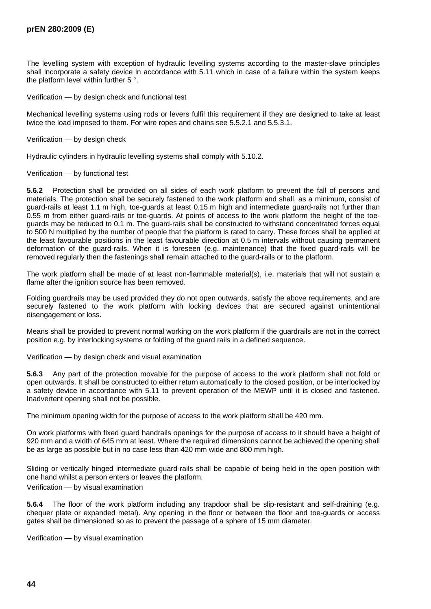The levelling system with exception of hydraulic levelling systems according to the master-slave principles shall incorporate a safety device in accordance with 5.11 which in case of a failure within the system keeps the platform level within further 5 °.

Verification — by design check and functional test

Mechanical levelling systems using rods or levers fulfil this requirement if they are designed to take at least twice the load imposed to them. For wire ropes and chains see 5.5.2.1 and 5.5.3.1.

Verification — by design check

Hydraulic cylinders in hydraulic levelling systems shall comply with 5.10.2.

#### Verification — by functional test

**5.6.2** Protection shall be provided on all sides of each work platform to prevent the fall of persons and materials. The protection shall be securely fastened to the work platform and shall, as a minimum, consist of guard-rails at least 1.1 m high, toe-guards at least 0.15 m high and intermediate guard-rails not further than 0.55 m from either guard-rails or toe-guards. At points of access to the work platform the height of the toeguards may be reduced to 0.1 m. The guard-rails shall be constructed to withstand concentrated forces equal to 500 N multiplied by the number of people that the platform is rated to carry. These forces shall be applied at the least favourable positions in the least favourable direction at 0.5 m intervals without causing permanent deformation of the guard-rails. When it is foreseen (e.g. maintenance) that the fixed guard-rails will be removed regularly then the fastenings shall remain attached to the guard-rails or to the platform.

The work platform shall be made of at least non-flammable material(s), i.e. materials that will not sustain a flame after the ignition source has been removed.

Folding guardrails may be used provided they do not open outwards, satisfy the above requirements, and are securely fastened to the work platform with locking devices that are secured against unintentional disengagement or loss.

Means shall be provided to prevent normal working on the work platform if the guardrails are not in the correct position e.g. by interlocking systems or folding of the guard rails in a defined sequence.

Verification — by design check and visual examination

**5.6.3** Any part of the protection movable for the purpose of access to the work platform shall not fold or open outwards. It shall be constructed to either return automatically to the closed position, or be interlocked by a safety device in accordance with 5.11 to prevent operation of the MEWP until it is closed and fastened. Inadvertent opening shall not be possible.

The minimum opening width for the purpose of access to the work platform shall be 420 mm.

On work platforms with fixed guard handrails openings for the purpose of access to it should have a height of 920 mm and a width of 645 mm at least. Where the required dimensions cannot be achieved the opening shall be as large as possible but in no case less than 420 mm wide and 800 mm high.

Sliding or vertically hinged intermediate guard-rails shall be capable of being held in the open position with one hand whilst a person enters or leaves the platform.

Verification — by visual examination

**5.6.4** The floor of the work platform including any trapdoor shall be slip-resistant and self-draining (e.g. chequer plate or expanded metal). Any opening in the floor or between the floor and toe-guards or access gates shall be dimensioned so as to prevent the passage of a sphere of 15 mm diameter.

Verification — by visual examination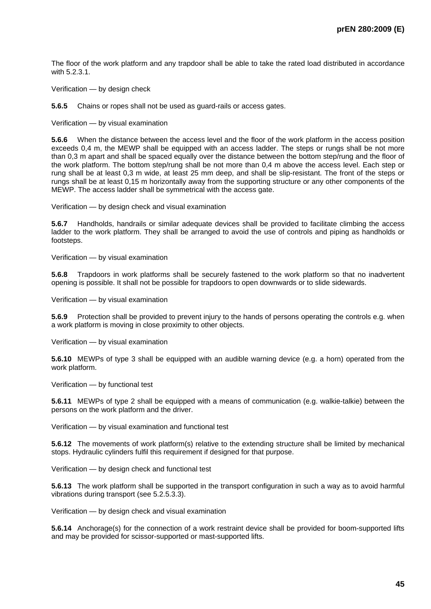The floor of the work platform and any trapdoor shall be able to take the rated load distributed in accordance with 5.2.3.1.

Verification — by design check

**5.6.5** Chains or ropes shall not be used as guard-rails or access gates.

Verification — by visual examination

**5.6.6** When the distance between the access level and the floor of the work platform in the access position exceeds 0.4 m, the MEWP shall be equipped with an access ladder. The steps or rungs shall be not more than 0,3 m apart and shall be spaced equally over the distance between the bottom step/rung and the floor of the work platform. The bottom step/rung shall be not more than 0,4 m above the access level. Each step or rung shall be at least 0,3 m wide, at least 25 mm deep, and shall be slip-resistant. The front of the steps or rungs shall be at least 0,15 m horizontally away from the supporting structure or any other components of the MEWP. The access ladder shall be symmetrical with the access gate.

Verification — by design check and visual examination

**5.6.7** Handholds, handrails or similar adequate devices shall be provided to facilitate climbing the access ladder to the work platform. They shall be arranged to avoid the use of controls and piping as handholds or footsteps.

Verification — by visual examination

**5.6.8** Trapdoors in work platforms shall be securely fastened to the work platform so that no inadvertent opening is possible. It shall not be possible for trapdoors to open downwards or to slide sidewards.

Verification — by visual examination

**5.6.9** Protection shall be provided to prevent injury to the hands of persons operating the controls e.g. when a work platform is moving in close proximity to other objects.

Verification — by visual examination

**5.6.10** MEWPs of type 3 shall be equipped with an audible warning device (e.g. a horn) operated from the work platform.

Verification — by functional test

**5.6.11** MEWPs of type 2 shall be equipped with a means of communication (e.g. walkie-talkie) between the persons on the work platform and the driver.

Verification — by visual examination and functional test

**5.6.12** The movements of work platform(s) relative to the extending structure shall be limited by mechanical stops. Hydraulic cylinders fulfil this requirement if designed for that purpose.

Verification — by design check and functional test

**5.6.13** The work platform shall be supported in the transport configuration in such a way as to avoid harmful vibrations during transport (see 5.2.5.3.3).

Verification — by design check and visual examination

**5.6.14** Anchorage(s) for the connection of a work restraint device shall be provided for boom-supported lifts and may be provided for scissor-supported or mast-supported lifts.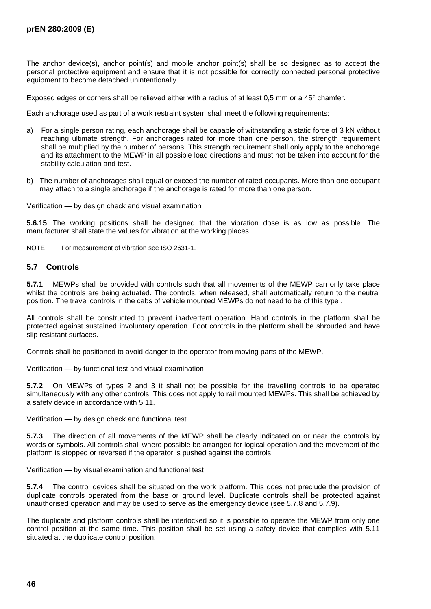The anchor device(s), anchor point(s) and mobile anchor point(s) shall be so designed as to accept the personal protective equipment and ensure that it is not possible for correctly connected personal protective equipment to become detached unintentionally.

Exposed edges or corners shall be relieved either with a radius of at least 0,5 mm or a 45° chamfer.

Each anchorage used as part of a work restraint system shall meet the following requirements:

- a) For a single person rating, each anchorage shall be capable of withstanding a static force of 3 kN without reaching ultimate strength. For anchorages rated for more than one person, the strength requirement shall be multiplied by the number of persons. This strength requirement shall only apply to the anchorage and its attachment to the MEWP in all possible load directions and must not be taken into account for the stability calculation and test.
- b) The number of anchorages shall equal or exceed the number of rated occupants. More than one occupant may attach to a single anchorage if the anchorage is rated for more than one person.

Verification — by design check and visual examination

**5.6.15** The working positions shall be designed that the vibration dose is as low as possible. The manufacturer shall state the values for vibration at the working places.

NOTE For measurement of vibration see ISO 2631-1.

### **5.7 Controls**

**5.7.1** MEWPs shall be provided with controls such that all movements of the MEWP can only take place whilst the controls are being actuated. The controls, when released, shall automatically return to the neutral position. The travel controls in the cabs of vehicle mounted MEWPs do not need to be of this type .

All controls shall be constructed to prevent inadvertent operation. Hand controls in the platform shall be protected against sustained involuntary operation. Foot controls in the platform shall be shrouded and have slip resistant surfaces.

Controls shall be positioned to avoid danger to the operator from moving parts of the MEWP.

Verification — by functional test and visual examination

**5.7.2** On MEWPs of types 2 and 3 it shall not be possible for the travelling controls to be operated simultaneously with any other controls. This does not apply to rail mounted MEWPs. This shall be achieved by a safety device in accordance with 5.11.

Verification — by design check and functional test

**5.7.3** The direction of all movements of the MEWP shall be clearly indicated on or near the controls by words or symbols. All controls shall where possible be arranged for logical operation and the movement of the platform is stopped or reversed if the operator is pushed against the controls.

Verification — by visual examination and functional test

**5.7.4** The control devices shall be situated on the work platform. This does not preclude the provision of duplicate controls operated from the base or ground level. Duplicate controls shall be protected against unauthorised operation and may be used to serve as the emergency device (see 5.7.8 and 5.7.9).

The duplicate and platform controls shall be interlocked so it is possible to operate the MEWP from only one control position at the same time. This position shall be set using a safety device that complies with 5.11 situated at the duplicate control position.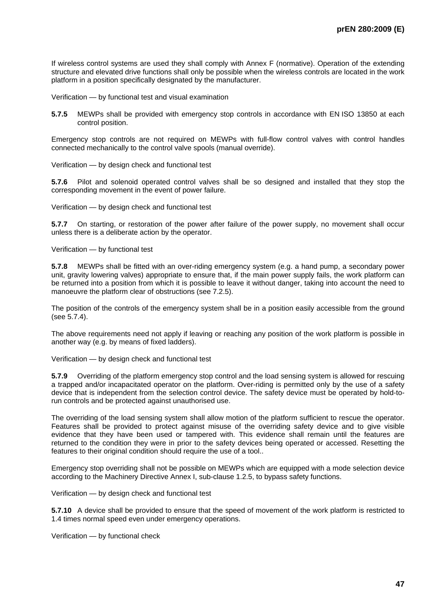If wireless control systems are used they shall comply with Annex F (normative). Operation of the extending structure and elevated drive functions shall only be possible when the wireless controls are located in the work platform in a position specifically designated by the manufacturer.

Verification — by functional test and visual examination

**5.7.5** MEWPs shall be provided with emergency stop controls in accordance with EN ISO 13850 at each control position.

Emergency stop controls are not required on MEWPs with full-flow control valves with control handles connected mechanically to the control valve spools (manual override).

Verification — by design check and functional test

**5.7.6** Pilot and solenoid operated control valves shall be so designed and installed that they stop the corresponding movement in the event of power failure.

Verification — by design check and functional test

**5.7.7** On starting, or restoration of the power after failure of the power supply, no movement shall occur unless there is a deliberate action by the operator.

Verification — by functional test

**5.7.8** MEWPs shall be fitted with an over-riding emergency system (e.g. a hand pump, a secondary power unit, gravity lowering valves) appropriate to ensure that, if the main power supply fails, the work platform can be returned into a position from which it is possible to leave it without danger, taking into account the need to manoeuvre the platform clear of obstructions (see 7.2.5).

The position of the controls of the emergency system shall be in a position easily accessible from the ground (see 5.7.4).

The above requirements need not apply if leaving or reaching any position of the work platform is possible in another way (e.g. by means of fixed ladders).

Verification — by design check and functional test

**5.7.9** Overriding of the platform emergency stop control and the load sensing system is allowed for rescuing a trapped and/or incapacitated operator on the platform. Over-riding is permitted only by the use of a safety device that is independent from the selection control device. The safety device must be operated by hold-torun controls and be protected against unauthorised use.

The overriding of the load sensing system shall allow motion of the platform sufficient to rescue the operator. Features shall be provided to protect against misuse of the overriding safety device and to give visible evidence that they have been used or tampered with. This evidence shall remain until the features are returned to the condition they were in prior to the safety devices being operated or accessed. Resetting the features to their original condition should require the use of a tool..

Emergency stop overriding shall not be possible on MEWPs which are equipped with a mode selection device according to the Machinery Directive Annex I, sub-clause 1.2.5, to bypass safety functions.

Verification — by design check and functional test

**5.7.10** A device shall be provided to ensure that the speed of movement of the work platform is restricted to 1.4 times normal speed even under emergency operations.

Verification — by functional check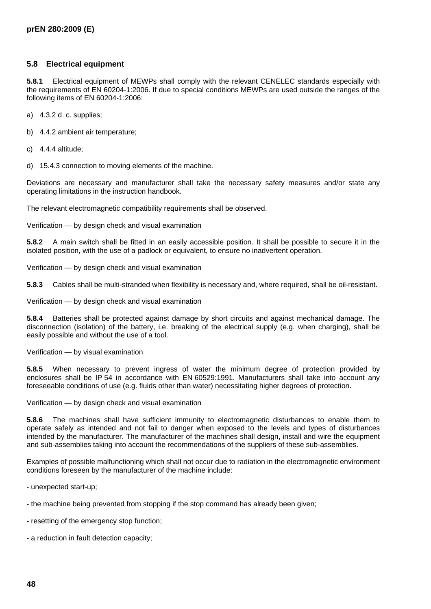## **5.8 Electrical equipment**

**5.8.1** Electrical equipment of MEWPs shall comply with the relevant CENELEC standards especially with the requirements of EN 60204-1:2006. If due to special conditions MEWPs are used outside the ranges of the following items of EN 60204-1:2006:

- a) 4.3.2 d. c. supplies;
- b) 4.4.2 ambient air temperature;
- c) 4.4.4 altitude;

d) 15.4.3 connection to moving elements of the machine.

Deviations are necessary and manufacturer shall take the necessary safety measures and/or state any operating limitations in the instruction handbook.

The relevant electromagnetic compatibility requirements shall be observed.

Verification — by design check and visual examination

**5.8.2** A main switch shall be fitted in an easily accessible position. It shall be possible to secure it in the isolated position, with the use of a padlock or equivalent, to ensure no inadvertent operation.

Verification — by design check and visual examination

**5.8.3** Cables shall be multi-stranded when flexibility is necessary and, where required, shall be oil-resistant.

Verification — by design check and visual examination

**5.8.4** Batteries shall be protected against damage by short circuits and against mechanical damage. The disconnection (isolation) of the battery, i.e. breaking of the electrical supply (e.g. when charging), shall be easily possible and without the use of a tool.

Verification — by visual examination

**5.8.5** When necessary to prevent ingress of water the minimum degree of protection provided by enclosures shall be IP 54 in accordance with EN 60529:1991. Manufacturers shall take into account any foreseeable conditions of use (e.g. fluids other than water) necessitating higher degrees of protection.

Verification — by design check and visual examination

**5.8.6** The machines shall have sufficient immunity to electromagnetic disturbances to enable them to operate safely as intended and not fail to danger when exposed to the levels and types of disturbances intended by the manufacturer. The manufacturer of the machines shall design, install and wire the equipment and sub-assemblies taking into account the recommendations of the suppliers of these sub-assemblies.

Examples of possible malfunctioning which shall not occur due to radiation in the electromagnetic environment conditions foreseen by the manufacturer of the machine include:

- unexpected start-up;

- the machine being prevented from stopping if the stop command has already been given;
- resetting of the emergency stop function;
- a reduction in fault detection capacity;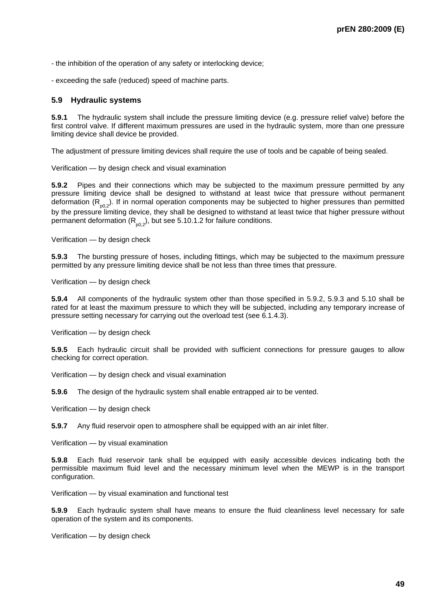- the inhibition of the operation of any safety or interlocking device;

- exceeding the safe (reduced) speed of machine parts.

#### **5.9 Hydraulic systems**

**5.9.1** The hydraulic system shall include the pressure limiting device (e.g. pressure relief valve) before the first control valve. If different maximum pressures are used in the hydraulic system, more than one pressure limiting device shall device be provided.

The adjustment of pressure limiting devices shall require the use of tools and be capable of being sealed.

Verification — by design check and visual examination

**5.9.2** Pipes and their connections which may be subjected to the maximum pressure permitted by any pressure limiting device shall be designed to withstand at least twice that pressure without permanent deformation  $(R_{p0.2})$ . If in normal operation components may be subjected to higher pressures than permitted by the pressure limiting device, they shall be designed to withstand at least twice that higher pressure without permanent deformation  $(R_{0.2})$ , but see 5.10.1.2 for failure conditions.

Verification — by design check

**5.9.3** The bursting pressure of hoses, including fittings, which may be subjected to the maximum pressure permitted by any pressure limiting device shall be not less than three times that pressure.

Verification — by design check

**5.9.4** All components of the hydraulic system other than those specified in 5.9.2, 5.9.3 and 5.10 shall be rated for at least the maximum pressure to which they will be subjected, including any temporary increase of pressure setting necessary for carrying out the overload test (see 6.1.4.3).

Verification — by design check

**5.9.5** Each hydraulic circuit shall be provided with sufficient connections for pressure gauges to allow checking for correct operation.

Verification — by design check and visual examination

**5.9.6** The design of the hydraulic system shall enable entrapped air to be vented.

Verification — by design check

**5.9.7** Any fluid reservoir open to atmosphere shall be equipped with an air inlet filter.

Verification — by visual examination

**5.9.8** Each fluid reservoir tank shall be equipped with easily accessible devices indicating both the permissible maximum fluid level and the necessary minimum level when the MEWP is in the transport configuration.

Verification — by visual examination and functional test

**5.9.9** Each hydraulic system shall have means to ensure the fluid cleanliness level necessary for safe operation of the system and its components.

Verification — by design check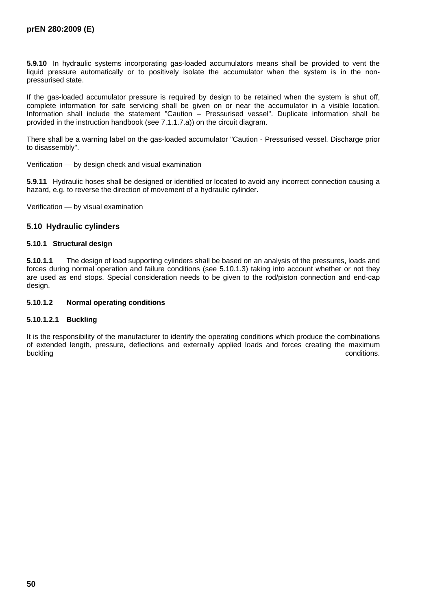**5.9.10** In hydraulic systems incorporating gas-loaded accumulators means shall be provided to vent the liquid pressure automatically or to positively isolate the accumulator when the system is in the nonpressurised state.

If the gas-loaded accumulator pressure is required by design to be retained when the system is shut off, complete information for safe servicing shall be given on or near the accumulator in a visible location. Information shall include the statement "Caution – Pressurised vessel". Duplicate information shall be provided in the instruction handbook (see 7.1.1.7.a)) on the circuit diagram.

There shall be a warning label on the gas-loaded accumulator "Caution - Pressurised vessel. Discharge prior to disassembly".

Verification — by design check and visual examination

**5.9.11** Hydraulic hoses shall be designed or identified or located to avoid any incorrect connection causing a hazard, e.g. to reverse the direction of movement of a hydraulic cylinder.

Verification — by visual examination

## **5.10 Hydraulic cylinders**

#### **5.10.1 Structural design**

**5.10.1.1** The design of load supporting cylinders shall be based on an analysis of the pressures, loads and forces during normal operation and failure conditions (see 5.10.1.3) taking into account whether or not they are used as end stops. Special consideration needs to be given to the rod/piston connection and end-cap design.

### **5.10.1.2 Normal operating conditions**

### **5.10.1.2.1 Buckling**

It is the responsibility of the manufacturer to identify the operating conditions which produce the combinations of extended length, pressure, deflections and externally applied loads and forces creating the maximum buckling conditions. The conditions of the conditions of the conditions of the conditions of the conditions.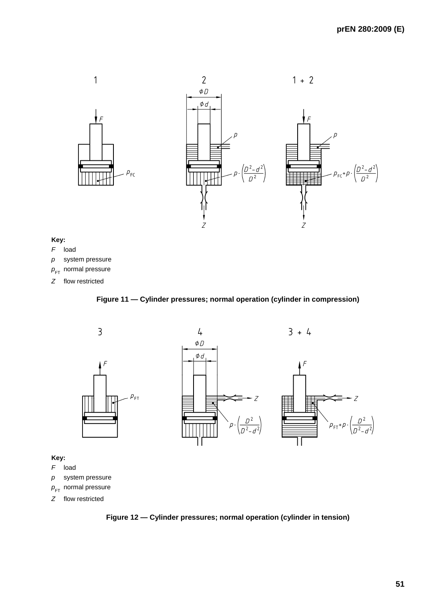

## **Key:**

- *F* load
- *p* system pressure
- $p_{\text{FT}}$  normal pressure
- *Z* flow restricted

# **Figure 11 — Cylinder pressures; normal operation (cylinder in compression)**



- $p_{\text{FT}}$  normal pressure
- *Z* flow restricted

**Figure 12 — Cylinder pressures; normal operation (cylinder in tension)**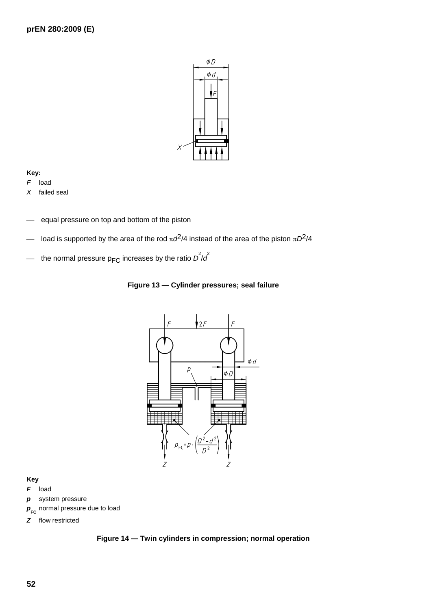

## **Key:**

*F* load

*X* failed seal

- equal pressure on top and bottom of the piston
- load is supported by the area of the rod  $πd<sup>2</sup>/4$  instead of the area of the piston  $πD<sup>2</sup>/4$
- $-$  the normal pressure p<sub>FC</sub> increases by the ratio  $\overline{D}^2/\overline{d}^2$





#### **Key**

- *F* load
- *p* system pressure
- $p_{\text{FC}}$  normal pressure due to load
- *Z* flow restricted

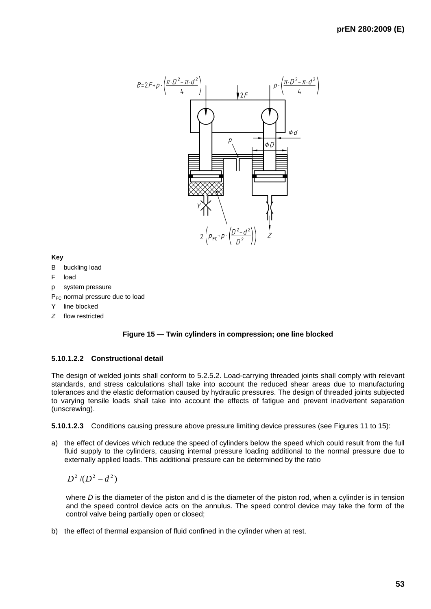

**Key** 

- B buckling load
- F load
- p system pressure

P<sub>FC</sub> normal pressure due to load

- Y line blocked
- *Z* flow restricted



# **5.10.1.2.2 Constructional detail**

The design of welded joints shall conform to 5.2.5.2. Load-carrying threaded joints shall comply with relevant standards, and stress calculations shall take into account the reduced shear areas due to manufacturing tolerances and the elastic deformation caused by hydraulic pressures. The design of threaded joints subjected to varying tensile loads shall take into account the effects of fatigue and prevent inadvertent separation (unscrewing).

**5.10.1.2.3** Conditions causing pressure above pressure limiting device pressures (see Figures 11 to 15):

a) the effect of devices which reduce the speed of cylinders below the speed which could result from the full fluid supply to the cylinders, causing internal pressure loading additional to the normal pressure due to externally applied loads. This additional pressure can be determined by the ratio

 $D^2/(D^2 - d^2)$ 

where *D* is the diameter of the piston and d is the diameter of the piston rod, when a cylinder is in tension and the speed control device acts on the annulus. The speed control device may take the form of the control valve being partially open or closed;

b) the effect of thermal expansion of fluid confined in the cylinder when at rest.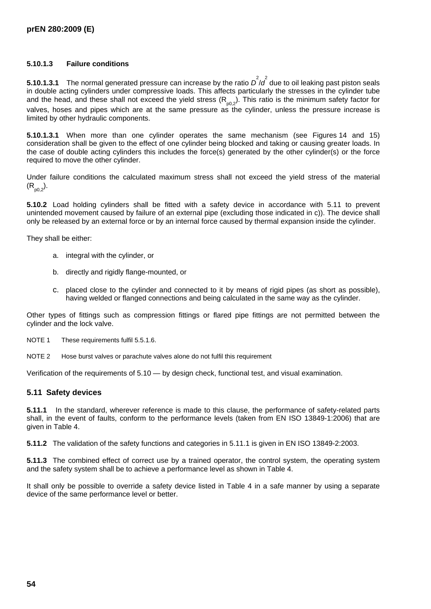## **5.10.1.3 Failure conditions**

**5.10.1.3.1** The normal generated pressure can increase by the ratio  $D^2/d^2$  due to oil leaking past piston seals in double acting cylinders under compressive loads. This affects particularly the stresses in the cylinder tube and the head, and these shall not exceed the yield stress  $(R_{p0,2})$ . This ratio is the minimum safety factor for valves, hoses and pipes which are at the same pressure as the cylinder, unless the pressure increase is limited by other hydraulic components.

**5.10.1.3.1** When more than one cylinder operates the same mechanism (see Figures 14 and 15) consideration shall be given to the effect of one cylinder being blocked and taking or causing greater loads. In the case of double acting cylinders this includes the force(s) generated by the other cylinder(s) or the force required to move the other cylinder.

Under failure conditions the calculated maximum stress shall not exceed the yield stress of the material  $(R_{p0.2})$ .

**5.10.2** Load holding cylinders shall be fitted with a safety device in accordance with 5.11 to prevent unintended movement caused by failure of an external pipe (excluding those indicated in c)). The device shall only be released by an external force or by an internal force caused by thermal expansion inside the cylinder.

They shall be either:

- a. integral with the cylinder, or
- b. directly and rigidly flange-mounted, or
- c. placed close to the cylinder and connected to it by means of rigid pipes (as short as possible), having welded or flanged connections and being calculated in the same way as the cylinder.

Other types of fittings such as compression fittings or flared pipe fittings are not permitted between the cylinder and the lock valve.

NOTE 1 These requirements fulfil 5.5.1.6.

NOTE 2 Hose burst valves or parachute valves alone do not fulfil this requirement

Verification of the requirements of 5.10 — by design check, functional test, and visual examination.

### **5.11 Safety devices**

**5.11.1** In the standard, wherever reference is made to this clause, the performance of safety-related parts shall, in the event of faults, conform to the performance levels (taken from EN ISO 13849-1:2006) that are given in Table 4.

**5.11.2** The validation of the safety functions and categories in 5.11.1 is given in EN ISO 13849-2:2003.

**5.11.3** The combined effect of correct use by a trained operator, the control system, the operating system and the safety system shall be to achieve a performance level as shown in Table 4.

It shall only be possible to override a safety device listed in Table 4 in a safe manner by using a separate device of the same performance level or better.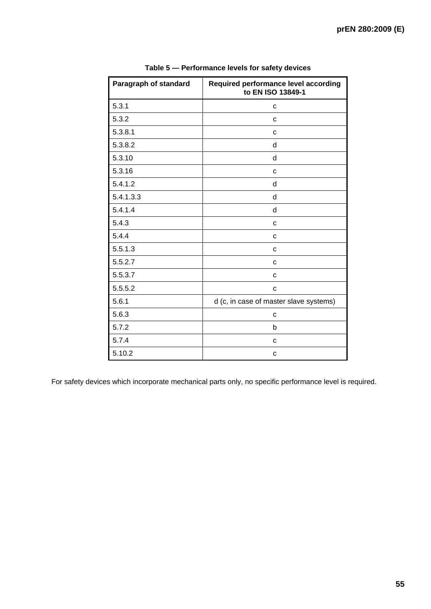| Paragraph of standard | Required performance level according<br>to EN ISO 13849-1 |
|-----------------------|-----------------------------------------------------------|
| 5.3.1                 | C                                                         |
| 5.3.2                 | C                                                         |
| 5.3.8.1               | C                                                         |
| 5.3.8.2               | d                                                         |
| 5.3.10                | d                                                         |
| 5.3.16                | C                                                         |
| 5.4.1.2               | d                                                         |
| 5.4.1.3.3             | d                                                         |
| 5.4.1.4               | d                                                         |
| 5.4.3                 | C                                                         |
| 5.4.4                 | C                                                         |
| 5.5.1.3               | C                                                         |
| 5.5.2.7               | C                                                         |
| 5.5.3.7               | C                                                         |
| 5.5.5.2               | C                                                         |
| 5.6.1                 | d (c, in case of master slave systems)                    |
| 5.6.3                 | C                                                         |
| 5.7.2                 | b                                                         |
| 5.7.4                 | C                                                         |
| 5.10.2                | C                                                         |

**Table 5 — Performance levels for safety devices** 

For safety devices which incorporate mechanical parts only, no specific performance level is required.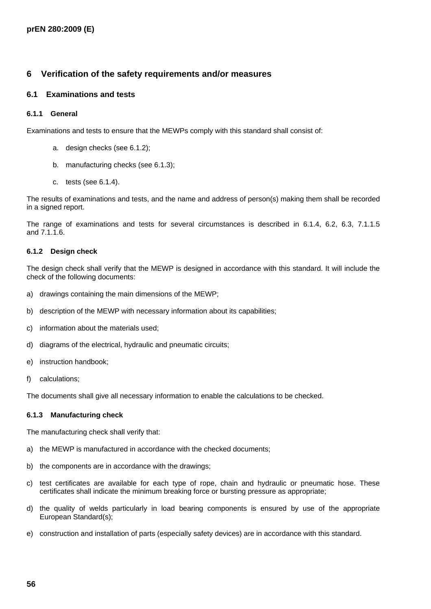# **6 Verification of the safety requirements and/or measures**

## **6.1 Examinations and tests**

#### **6.1.1 General**

Examinations and tests to ensure that the MEWPs comply with this standard shall consist of:

- a. design checks (see 6.1.2);
- b. manufacturing checks (see 6.1.3);
- c. tests (see 6.1.4).

The results of examinations and tests, and the name and address of person(s) making them shall be recorded in a signed report.

The range of examinations and tests for several circumstances is described in 6.1.4, 6.2, 6.3, 7.1.1.5 and 7.1.1.6.

#### **6.1.2 Design check**

The design check shall verify that the MEWP is designed in accordance with this standard. It will include the check of the following documents:

- a) drawings containing the main dimensions of the MEWP;
- b) description of the MEWP with necessary information about its capabilities;
- c) information about the materials used;
- d) diagrams of the electrical, hydraulic and pneumatic circuits;
- e) instruction handbook;
- f) calculations;

The documents shall give all necessary information to enable the calculations to be checked.

#### **6.1.3 Manufacturing check**

The manufacturing check shall verify that:

- a) the MEWP is manufactured in accordance with the checked documents;
- b) the components are in accordance with the drawings;
- c) test certificates are available for each type of rope, chain and hydraulic or pneumatic hose. These certificates shall indicate the minimum breaking force or bursting pressure as appropriate;
- d) the quality of welds particularly in load bearing components is ensured by use of the appropriate European Standard(s);
- e) construction and installation of parts (especially safety devices) are in accordance with this standard.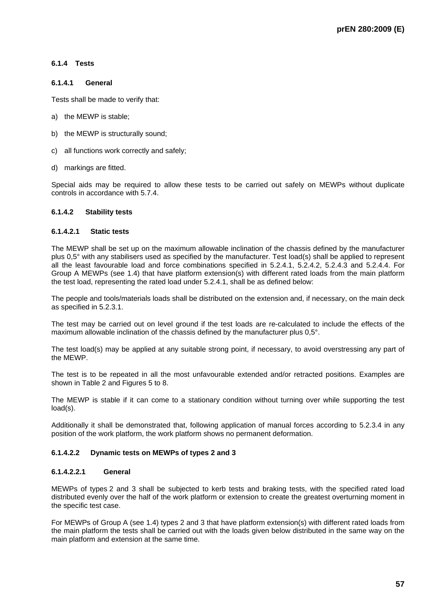### **6.1.4 Tests**

#### **6.1.4.1 General**

Tests shall be made to verify that:

- a) the MEWP is stable;
- b) the MEWP is structurally sound;
- c) all functions work correctly and safely;
- d) markings are fitted.

Special aids may be required to allow these tests to be carried out safely on MEWPs without duplicate controls in accordance with 5.7.4.

### **6.1.4.2 Stability tests**

#### **6.1.4.2.1 Static tests**

The MEWP shall be set up on the maximum allowable inclination of the chassis defined by the manufacturer plus 0,5° with any stabilisers used as specified by the manufacturer. Test load(s) shall be applied to represent all the least favourable load and force combinations specified in 5.2.4.1, 5.2.4.2, 5.2.4.3 and 5.2.4.4. For Group A MEWPs (see 1.4) that have platform extension(s) with different rated loads from the main platform the test load, representing the rated load under 5.2.4.1, shall be as defined below:

The people and tools/materials loads shall be distributed on the extension and, if necessary, on the main deck as specified in 5.2.3.1.

The test may be carried out on level ground if the test loads are re-calculated to include the effects of the maximum allowable inclination of the chassis defined by the manufacturer plus 0,5°.

The test load(s) may be applied at any suitable strong point, if necessary, to avoid overstressing any part of the MEWP.

The test is to be repeated in all the most unfavourable extended and/or retracted positions. Examples are shown in Table 2 and Figures 5 to 8.

The MEWP is stable if it can come to a stationary condition without turning over while supporting the test load(s).

Additionally it shall be demonstrated that, following application of manual forces according to 5.2.3.4 in any position of the work platform, the work platform shows no permanent deformation.

#### **6.1.4.2.2 Dynamic tests on MEWPs of types 2 and 3**

#### **6.1.4.2.2.1 General**

MEWPs of types 2 and 3 shall be subjected to kerb tests and braking tests, with the specified rated load distributed evenly over the half of the work platform or extension to create the greatest overturning moment in the specific test case.

For MEWPs of Group A (see 1.4) types 2 and 3 that have platform extension(s) with different rated loads from the main platform the tests shall be carried out with the loads given below distributed in the same way on the main platform and extension at the same time.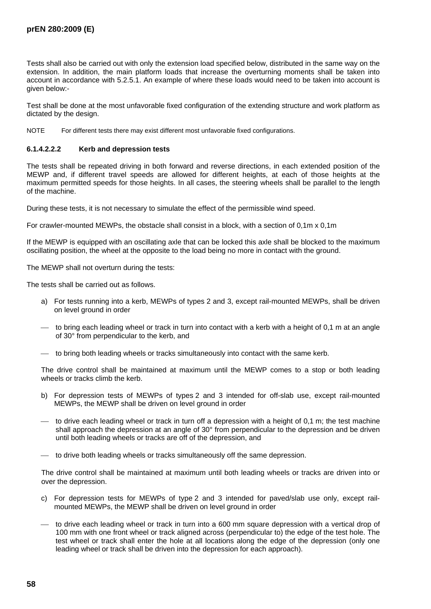Tests shall also be carried out with only the extension load specified below, distributed in the same way on the extension. In addition, the main platform loads that increase the overturning moments shall be taken into account in accordance with 5.2.5.1. An example of where these loads would need to be taken into account is given below:-

Test shall be done at the most unfavorable fixed configuration of the extending structure and work platform as dictated by the design.

NOTE For different tests there may exist different most unfavorable fixed configurations.

#### **6.1.4.2.2.2 Kerb and depression tests**

The tests shall be repeated driving in both forward and reverse directions, in each extended position of the MEWP and, if different travel speeds are allowed for different heights, at each of those heights at the maximum permitted speeds for those heights. In all cases, the steering wheels shall be parallel to the length of the machine.

During these tests, it is not necessary to simulate the effect of the permissible wind speed.

For crawler-mounted MEWPs, the obstacle shall consist in a block, with a section of 0,1m x 0,1m

If the MEWP is equipped with an oscillating axle that can be locked this axle shall be blocked to the maximum oscillating position, the wheel at the opposite to the load being no more in contact with the ground.

The MEWP shall not overturn during the tests:

The tests shall be carried out as follows.

- a) For tests running into a kerb, MEWPs of types 2 and 3, except rail-mounted MEWPs, shall be driven on level ground in order
- $-$  to bring each leading wheel or track in turn into contact with a kerb with a height of 0,1 m at an angle of 30° from perpendicular to the kerb, and
- ⎯ to bring both leading wheels or tracks simultaneously into contact with the same kerb.

The drive control shall be maintained at maximum until the MEWP comes to a stop or both leading wheels or tracks climb the kerb.

- b) For depression tests of MEWPs of types 2 and 3 intended for off-slab use, except rail-mounted MEWPs, the MEWP shall be driven on level ground in order
- to drive each leading wheel or track in turn off a depression with a height of 0,1 m; the test machine shall approach the depression at an angle of 30° from perpendicular to the depression and be driven until both leading wheels or tracks are off of the depression, and
- ⎯ to drive both leading wheels or tracks simultaneously off the same depression.

The drive control shall be maintained at maximum until both leading wheels or tracks are driven into or over the depression.

- c) For depression tests for MEWPs of type 2 and 3 intended for paved/slab use only, except railmounted MEWPs, the MEWP shall be driven on level ground in order
- ⎯ to drive each leading wheel or track in turn into a 600 mm square depression with a vertical drop of 100 mm with one front wheel or track aligned across (perpendicular to) the edge of the test hole. The test wheel or track shall enter the hole at all locations along the edge of the depression (only one leading wheel or track shall be driven into the depression for each approach).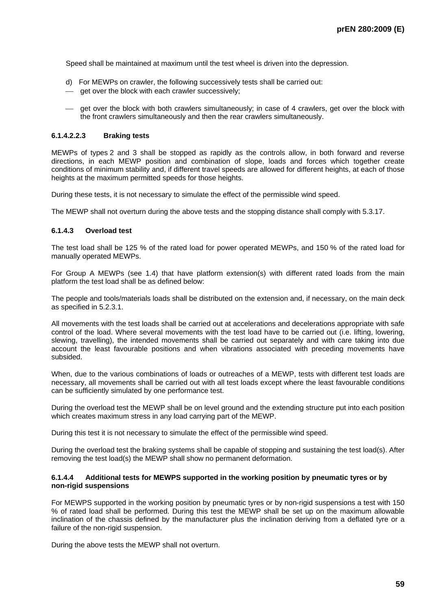Speed shall be maintained at maximum until the test wheel is driven into the depression.

- d) For MEWPs on crawler, the following successively tests shall be carried out:
- ⎯ get over the block with each crawler successively;
- $\equiv$  get over the block with both crawlers simultaneously; in case of 4 crawlers, get over the block with the front crawlers simultaneously and then the rear crawlers simultaneously.

#### **6.1.4.2.2.3 Braking tests**

MEWPs of types 2 and 3 shall be stopped as rapidly as the controls allow, in both forward and reverse directions, in each MEWP position and combination of slope, loads and forces which together create conditions of minimum stability and, if different travel speeds are allowed for different heights, at each of those heights at the maximum permitted speeds for those heights.

During these tests, it is not necessary to simulate the effect of the permissible wind speed.

The MEWP shall not overturn during the above tests and the stopping distance shall comply with 5.3.17.

#### **6.1.4.3 Overload test**

The test load shall be 125 % of the rated load for power operated MEWPs, and 150 % of the rated load for manually operated MEWPs.

For Group A MEWPs (see 1.4) that have platform extension(s) with different rated loads from the main platform the test load shall be as defined below:

The people and tools/materials loads shall be distributed on the extension and, if necessary, on the main deck as specified in 5.2.3.1.

All movements with the test loads shall be carried out at accelerations and decelerations appropriate with safe control of the load. Where several movements with the test load have to be carried out (i.e. lifting, lowering, slewing, travelling), the intended movements shall be carried out separately and with care taking into due account the least favourable positions and when vibrations associated with preceding movements have subsided.

When, due to the various combinations of loads or outreaches of a MEWP, tests with different test loads are necessary, all movements shall be carried out with all test loads except where the least favourable conditions can be sufficiently simulated by one performance test.

During the overload test the MEWP shall be on level ground and the extending structure put into each position which creates maximum stress in any load carrying part of the MEWP.

During this test it is not necessary to simulate the effect of the permissible wind speed.

During the overload test the braking systems shall be capable of stopping and sustaining the test load(s). After removing the test load(s) the MEWP shall show no permanent deformation.

#### **6.1.4.4 Additional tests for MEWPS supported in the working position by pneumatic tyres or by non-rigid suspensions**

For MEWPS supported in the working position by pneumatic tyres or by non-rigid suspensions a test with 150 % of rated load shall be performed. During this test the MEWP shall be set up on the maximum allowable inclination of the chassis defined by the manufacturer plus the inclination deriving from a deflated tyre or a failure of the non-rigid suspension.

During the above tests the MEWP shall not overturn.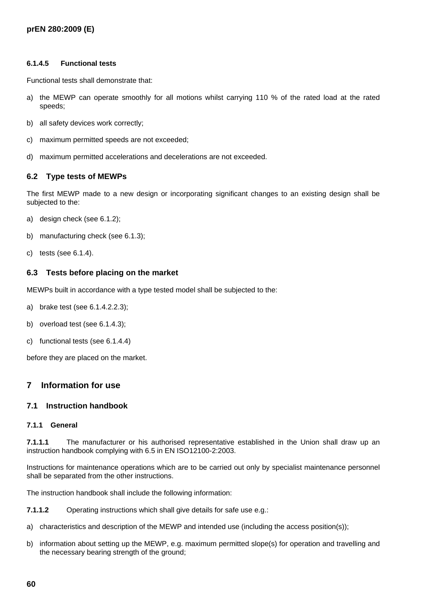## **6.1.4.5 Functional tests**

Functional tests shall demonstrate that:

- a) the MEWP can operate smoothly for all motions whilst carrying 110 % of the rated load at the rated speeds;
- b) all safety devices work correctly;
- c) maximum permitted speeds are not exceeded;
- d) maximum permitted accelerations and decelerations are not exceeded.

## **6.2 Type tests of MEWPs**

The first MEWP made to a new design or incorporating significant changes to an existing design shall be subjected to the:

- a) design check (see 6.1.2);
- b) manufacturing check (see 6.1.3);
- c) tests (see 6.1.4).

## **6.3 Tests before placing on the market**

MEWPs built in accordance with a type tested model shall be subjected to the:

- a) brake test (see 6.1.4.2.2.3);
- b) overload test (see 6.1.4.3);
- c) functional tests (see 6.1.4.4)

before they are placed on the market.

# **7 Information for use**

## **7.1 Instruction handbook**

## **7.1.1 General**

**7.1.1.1** The manufacturer or his authorised representative established in the Union shall draw up an instruction handbook complying with 6.5 in EN ISO12100-2:2003.

Instructions for maintenance operations which are to be carried out only by specialist maintenance personnel shall be separated from the other instructions.

The instruction handbook shall include the following information:

**7.1.1.2** Operating instructions which shall give details for safe use e.g.:

- a) characteristics and description of the MEWP and intended use (including the access position(s));
- b) information about setting up the MEWP, e.g. maximum permitted slope(s) for operation and travelling and the necessary bearing strength of the ground;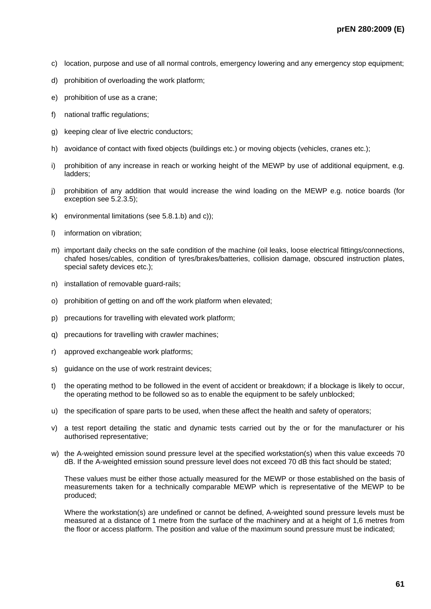- c) location, purpose and use of all normal controls, emergency lowering and any emergency stop equipment;
- d) prohibition of overloading the work platform;
- e) prohibition of use as a crane;
- f) national traffic regulations;
- g) keeping clear of live electric conductors;
- h) avoidance of contact with fixed objects (buildings etc.) or moving objects (vehicles, cranes etc.);
- i) prohibition of any increase in reach or working height of the MEWP by use of additional equipment, e.g. ladders;
- j) prohibition of any addition that would increase the wind loading on the MEWP e.g. notice boards (for exception see 5.2.3.5);
- k) environmental limitations (see 5.8.1.b) and c));
- l) information on vibration;
- m) important daily checks on the safe condition of the machine (oil leaks, loose electrical fittings/connections, chafed hoses/cables, condition of tyres/brakes/batteries, collision damage, obscured instruction plates, special safety devices etc.);
- n) installation of removable guard-rails;
- o) prohibition of getting on and off the work platform when elevated;
- p) precautions for travelling with elevated work platform;
- q) precautions for travelling with crawler machines;
- r) approved exchangeable work platforms;
- s) guidance on the use of work restraint devices;
- t) the operating method to be followed in the event of accident or breakdown; if a blockage is likely to occur. the operating method to be followed so as to enable the equipment to be safely unblocked;
- u) the specification of spare parts to be used, when these affect the health and safety of operators;
- v) a test report detailing the static and dynamic tests carried out by the or for the manufacturer or his authorised representative;
- w) the A-weighted emission sound pressure level at the specified workstation(s) when this value exceeds 70 dB. If the A-weighted emission sound pressure level does not exceed 70 dB this fact should be stated;

These values must be either those actually measured for the MEWP or those established on the basis of measurements taken for a technically comparable MEWP which is representative of the MEWP to be produced;

Where the workstation(s) are undefined or cannot be defined, A-weighted sound pressure levels must be measured at a distance of 1 metre from the surface of the machinery and at a height of 1,6 metres from the floor or access platform. The position and value of the maximum sound pressure must be indicated;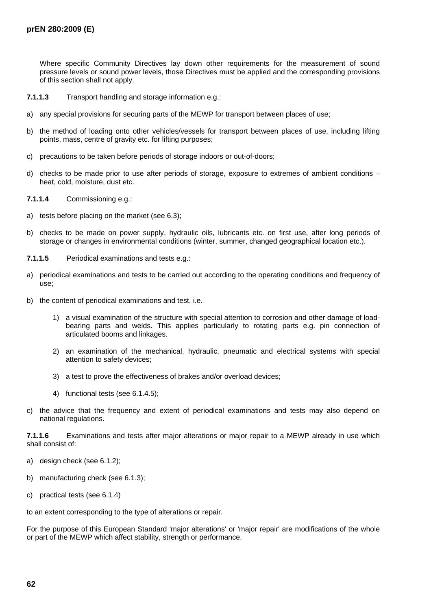Where specific Community Directives lay down other requirements for the measurement of sound pressure levels or sound power levels, those Directives must be applied and the corresponding provisions of this section shall not apply.

- **7.1.1.3** Transport handling and storage information e.g.:
- a) any special provisions for securing parts of the MEWP for transport between places of use;
- b) the method of loading onto other vehicles/vessels for transport between places of use, including lifting points, mass, centre of gravity etc. for lifting purposes;
- c) precautions to be taken before periods of storage indoors or out-of-doors;
- d) checks to be made prior to use after periods of storage, exposure to extremes of ambient conditions heat, cold, moisture, dust etc.
- **7.1.1.4** Commissioning e.g.:
- a) tests before placing on the market (see 6.3);
- b) checks to be made on power supply, hydraulic oils, lubricants etc. on first use, after long periods of storage or changes in environmental conditions (winter, summer, changed geographical location etc.).
- **7.1.1.5** Periodical examinations and tests e.g.:
- a) periodical examinations and tests to be carried out according to the operating conditions and frequency of use;
- b) the content of periodical examinations and test, i.e.
	- 1) a visual examination of the structure with special attention to corrosion and other damage of loadbearing parts and welds. This applies particularly to rotating parts e.g. pin connection of articulated booms and linkages.
	- 2) an examination of the mechanical, hydraulic, pneumatic and electrical systems with special attention to safety devices;
	- 3) a test to prove the effectiveness of brakes and/or overload devices;
	- 4) functional tests (see 6.1.4.5);
- c) the advice that the frequency and extent of periodical examinations and tests may also depend on national regulations.

**7.1.1.6** Examinations and tests after major alterations or major repair to a MEWP already in use which shall consist of:

- a) design check (see 6.1.2);
- b) manufacturing check (see 6.1.3);
- c) practical tests (see 6.1.4)

to an extent corresponding to the type of alterations or repair.

For the purpose of this European Standard 'major alterations' or 'major repair' are modifications of the whole or part of the MEWP which affect stability, strength or performance.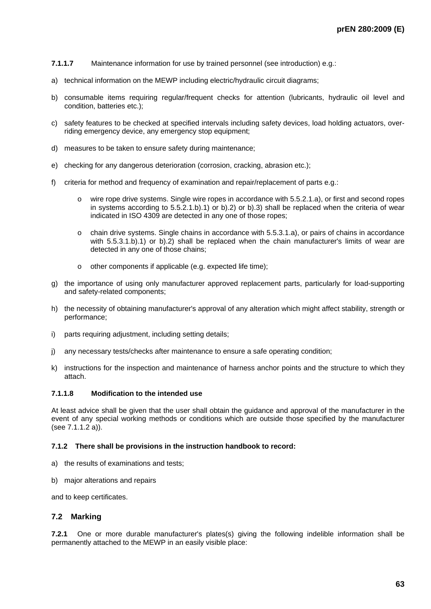- **7.1.1.7** Maintenance information for use by trained personnel (see introduction) e.g.:
- a) technical information on the MEWP including electric/hydraulic circuit diagrams;
- b) consumable items requiring regular/frequent checks for attention (lubricants, hydraulic oil level and condition, batteries etc.);
- c) safety features to be checked at specified intervals including safety devices, load holding actuators, overriding emergency device, any emergency stop equipment;
- d) measures to be taken to ensure safety during maintenance;
- e) checking for any dangerous deterioration (corrosion, cracking, abrasion etc.);
- f) criteria for method and frequency of examination and repair/replacement of parts e.g.:
	- o wire rope drive systems. Single wire ropes in accordance with 5.5.2.1.a), or first and second ropes in systems according to 5.5.2.1.b).1) or b).2) or b).3) shall be replaced when the criteria of wear indicated in ISO 4309 are detected in any one of those ropes;
	- o chain drive systems. Single chains in accordance with 5.5.3.1.a), or pairs of chains in accordance with 5.5.3.1.b).1) or b).2) shall be replaced when the chain manufacturer's limits of wear are detected in any one of those chains;
	- o other components if applicable (e.g. expected life time);
- g) the importance of using only manufacturer approved replacement parts, particularly for load-supporting and safety-related components;
- h) the necessity of obtaining manufacturer's approval of any alteration which might affect stability, strength or performance;
- i) parts requiring adjustment, including setting details;
- j) any necessary tests/checks after maintenance to ensure a safe operating condition;
- k) instructions for the inspection and maintenance of harness anchor points and the structure to which they attach.

### **7.1.1.8 Modification to the intended use**

At least advice shall be given that the user shall obtain the guidance and approval of the manufacturer in the event of any special working methods or conditions which are outside those specified by the manufacturer (see 7.1.1.2 a)).

#### **7.1.2 There shall be provisions in the instruction handbook to record:**

- a) the results of examinations and tests;
- b) major alterations and repairs

and to keep certificates.

## **7.2 Marking**

**7.2.1** One or more durable manufacturer's plates(s) giving the following indelible information shall be permanently attached to the MEWP in an easily visible place: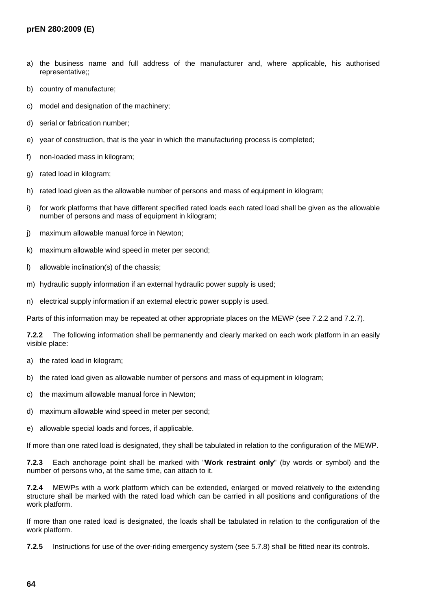- a) the business name and full address of the manufacturer and, where applicable, his authorised representative;;
- b) country of manufacture;
- c) model and designation of the machinery;
- d) serial or fabrication number;
- e) year of construction, that is the year in which the manufacturing process is completed;
- f) non-loaded mass in kilogram;
- g) rated load in kilogram;
- h) rated load given as the allowable number of persons and mass of equipment in kilogram;
- i) for work platforms that have different specified rated loads each rated load shall be given as the allowable number of persons and mass of equipment in kilogram;
- j) maximum allowable manual force in Newton;
- k) maximum allowable wind speed in meter per second;
- l) allowable inclination(s) of the chassis;
- m) hydraulic supply information if an external hydraulic power supply is used;
- n) electrical supply information if an external electric power supply is used.

Parts of this information may be repeated at other appropriate places on the MEWP (see 7.2.2 and 7.2.7).

**7.2.2** The following information shall be permanently and clearly marked on each work platform in an easily visible place:

- a) the rated load in kilogram;
- b) the rated load given as allowable number of persons and mass of equipment in kilogram;
- c) the maximum allowable manual force in Newton;
- d) maximum allowable wind speed in meter per second;
- e) allowable special loads and forces, if applicable.

If more than one rated load is designated, they shall be tabulated in relation to the configuration of the MEWP.

**7.2.3** Each anchorage point shall be marked with "**Work restraint only**" (by words or symbol) and the number of persons who, at the same time, can attach to it.

**7.2.4** MEWPs with a work platform which can be extended, enlarged or moved relatively to the extending structure shall be marked with the rated load which can be carried in all positions and configurations of the work platform.

If more than one rated load is designated, the loads shall be tabulated in relation to the configuration of the work platform.

**7.2.5** Instructions for use of the over-riding emergency system (see 5.7.8) shall be fitted near its controls.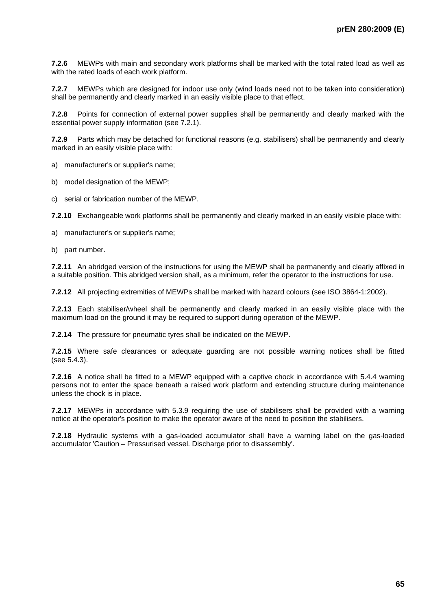**7.2.6** MEWPs with main and secondary work platforms shall be marked with the total rated load as well as with the rated loads of each work platform.

**7.2.7** MEWPs which are designed for indoor use only (wind loads need not to be taken into consideration) shall be permanently and clearly marked in an easily visible place to that effect.

**7.2.8** Points for connection of external power supplies shall be permanently and clearly marked with the essential power supply information (see 7.2.1).

**7.2.9** Parts which may be detached for functional reasons (e.g. stabilisers) shall be permanently and clearly marked in an easily visible place with:

a) manufacturer's or supplier's name;

b) model designation of the MEWP;

c) serial or fabrication number of the MEWP.

**7.2.10** Exchangeable work platforms shall be permanently and clearly marked in an easily visible place with:

a) manufacturer's or supplier's name;

b) part number.

**7.2.11** An abridged version of the instructions for using the MEWP shall be permanently and clearly affixed in a suitable position. This abridged version shall, as a minimum, refer the operator to the instructions for use.

**7.2.12** All projecting extremities of MEWPs shall be marked with hazard colours (see ISO 3864-1:2002).

**7.2.13** Each stabiliser/wheel shall be permanently and clearly marked in an easily visible place with the maximum load on the ground it may be required to support during operation of the MEWP.

**7.2.14** The pressure for pneumatic tyres shall be indicated on the MEWP.

**7.2.15** Where safe clearances or adequate guarding are not possible warning notices shall be fitted (see 5.4.3).

**7.2.16** A notice shall be fitted to a MEWP equipped with a captive chock in accordance with 5.4.4 warning persons not to enter the space beneath a raised work platform and extending structure during maintenance unless the chock is in place.

**7.2.17** MEWPs in accordance with 5.3.9 requiring the use of stabilisers shall be provided with a warning notice at the operator's position to make the operator aware of the need to position the stabilisers.

**7.2.18** Hydraulic systems with a gas-loaded accumulator shall have a warning label on the gas-loaded accumulator 'Caution – Pressurised vessel. Discharge prior to disassembly'.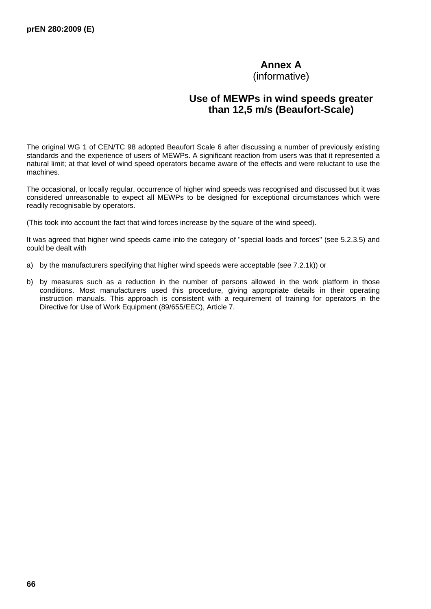# **Annex A**

(informative)

# **Use of MEWPs in wind speeds greater than 12,5 m/s (Beaufort-Scale)**

The original WG 1 of CEN/TC 98 adopted Beaufort Scale 6 after discussing a number of previously existing standards and the experience of users of MEWPs. A significant reaction from users was that it represented a natural limit; at that level of wind speed operators became aware of the effects and were reluctant to use the machines.

The occasional, or locally regular, occurrence of higher wind speeds was recognised and discussed but it was considered unreasonable to expect all MEWPs to be designed for exceptional circumstances which were readily recognisable by operators.

(This took into account the fact that wind forces increase by the square of the wind speed).

It was agreed that higher wind speeds came into the category of "special loads and forces" (see 5.2.3.5) and could be dealt with

- a) by the manufacturers specifying that higher wind speeds were acceptable (see 7.2.1k)) or
- b) by measures such as a reduction in the number of persons allowed in the work platform in those conditions. Most manufacturers used this procedure, giving appropriate details in their operating instruction manuals. This approach is consistent with a requirement of training for operators in the Directive for Use of Work Equipment (89/655/EEC), Article 7.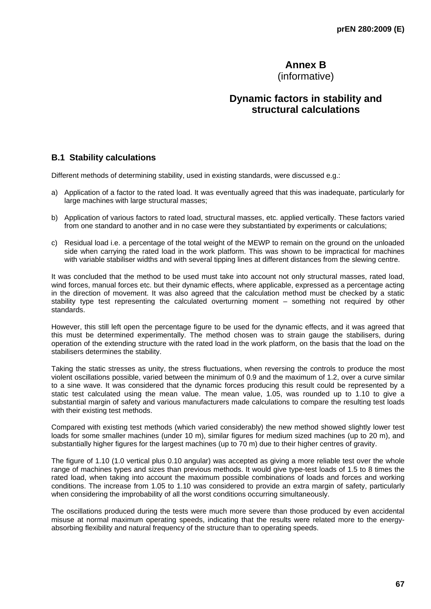# **Annex B**

(informative)

# **Dynamic factors in stability and structural calculations**

# **B.1 Stability calculations**

Different methods of determining stability, used in existing standards, were discussed e.g.:

- a) Application of a factor to the rated load. It was eventually agreed that this was inadequate, particularly for large machines with large structural masses;
- b) Application of various factors to rated load, structural masses, etc. applied vertically. These factors varied from one standard to another and in no case were they substantiated by experiments or calculations;
- c) Residual load i.e. a percentage of the total weight of the MEWP to remain on the ground on the unloaded side when carrying the rated load in the work platform. This was shown to be impractical for machines with variable stabiliser widths and with several tipping lines at different distances from the slewing centre.

It was concluded that the method to be used must take into account not only structural masses, rated load, wind forces, manual forces etc. but their dynamic effects, where applicable, expressed as a percentage acting in the direction of movement. It was also agreed that the calculation method must be checked by a static stability type test representing the calculated overturning moment – something not required by other standards.

However, this still left open the percentage figure to be used for the dynamic effects, and it was agreed that this must be determined experimentally. The method chosen was to strain gauge the stabilisers, during operation of the extending structure with the rated load in the work platform, on the basis that the load on the stabilisers determines the stability.

Taking the static stresses as unity, the stress fluctuations, when reversing the controls to produce the most violent oscillations possible, varied between the minimum of 0.9 and the maximum of 1.2, over a curve similar to a sine wave. It was considered that the dynamic forces producing this result could be represented by a static test calculated using the mean value. The mean value, 1.05, was rounded up to 1.10 to give a substantial margin of safety and various manufacturers made calculations to compare the resulting test loads with their existing test methods.

Compared with existing test methods (which varied considerably) the new method showed slightly lower test loads for some smaller machines (under 10 m), similar figures for medium sized machines (up to 20 m), and substantially higher figures for the largest machines (up to 70 m) due to their higher centres of gravity.

The figure of 1.10 (1.0 vertical plus 0.10 angular) was accepted as giving a more reliable test over the whole range of machines types and sizes than previous methods. It would give type-test loads of 1.5 to 8 times the rated load, when taking into account the maximum possible combinations of loads and forces and working conditions. The increase from 1.05 to 1.10 was considered to provide an extra margin of safety, particularly when considering the improbability of all the worst conditions occurring simultaneously.

The oscillations produced during the tests were much more severe than those produced by even accidental misuse at normal maximum operating speeds, indicating that the results were related more to the energyabsorbing flexibility and natural frequency of the structure than to operating speeds.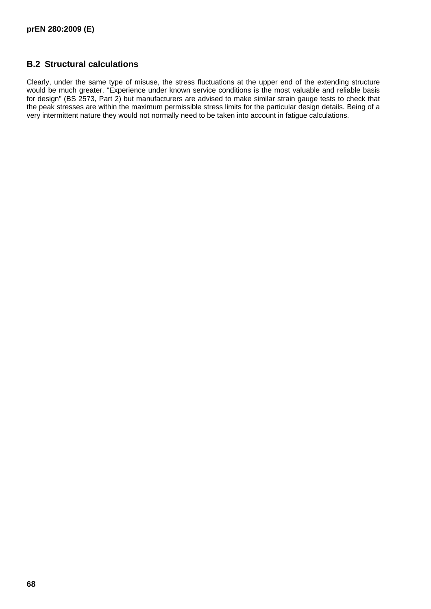# **B.2 Structural calculations**

Clearly, under the same type of misuse, the stress fluctuations at the upper end of the extending structure would be much greater. "Experience under known service conditions is the most valuable and reliable basis for design" (BS 2573, Part 2) but manufacturers are advised to make similar strain gauge tests to check that the peak stresses are within the maximum permissible stress limits for the particular design details. Being of a very intermittent nature they would not normally need to be taken into account in fatigue calculations.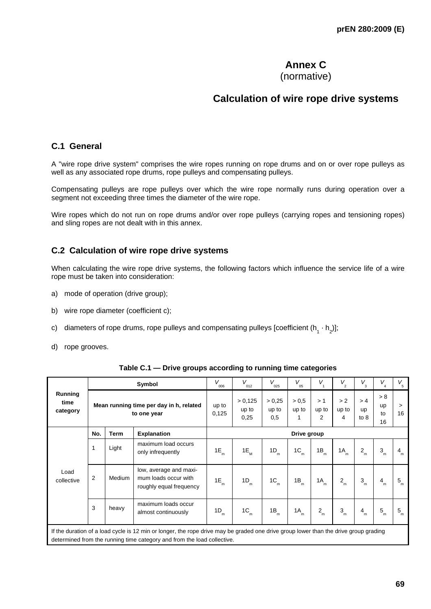# **Annex C**

(normative)

# **Calculation of wire rope drive systems**

# **C.1 General**

A "wire rope drive system" comprises the wire ropes running on rope drums and on or over rope pulleys as well as any associated rope drums, rope pulleys and compensating pulleys.

Compensating pulleys are rope pulleys over which the wire rope normally runs during operation over a segment not exceeding three times the diameter of the wire rope.

Wire ropes which do not run on rope drums and/or over rope pulleys (carrying ropes and tensioning ropes) and sling ropes are not dealt with in this annex.

# **C.2 Calculation of wire rope drive systems**

When calculating the wire rope drive systems, the following factors which influence the service life of a wire rope must be taken into consideration:

- a) mode of operation (drive group);
- b) wire rope diameter (coefficient c);
- c) diameters of rope drums, rope pulleys and compensating pulleys [coefficient  $(h_1 \cdot h_2)$ ];
- d) rope grooves.

|                                                                                       |                                                         |                | Symbol                                                                                                                                                                                                          | V<br>006               | $V_{_{012}}$        | V<br>025                      | V<br>05           | $V_{1}$                    | $V_{2}$               | $V_{3}$             | $V_{\!\!\!~4}^{\phantom{\dagger}}$ | $V_{\rm s}$ |
|---------------------------------------------------------------------------------------|---------------------------------------------------------|----------------|-----------------------------------------------------------------------------------------------------------------------------------------------------------------------------------------------------------------|------------------------|---------------------|-------------------------------|-------------------|----------------------------|-----------------------|---------------------|------------------------------------|-------------|
| Running<br>time<br>Mean running time per day in h, related<br>category<br>to one year |                                                         | up to<br>0,125 | > 0,125<br>up to<br>0,25                                                                                                                                                                                        | > 0.25<br>up to<br>0,5 | > 0.5<br>up to<br>1 | >1<br>up to<br>$\overline{2}$ | > 2<br>up to<br>4 | > 4<br><b>up</b><br>to $8$ | > 8<br>up<br>to<br>16 | $\geq$<br>16        |                                    |             |
|                                                                                       | No.<br><b>Term</b><br><b>Explanation</b><br>Drive group |                |                                                                                                                                                                                                                 |                        |                     |                               |                   |                            |                       |                     |                                    |             |
| Load<br>collective                                                                    | 1                                                       | Light          | maximum load occurs<br>only infrequently                                                                                                                                                                        | 1E<br>m                | $1E_{_{M}}$         | 1D<br>m                       | 1C<br>m           | 1B<br>m                    | 1A<br>m               | $\overline{2}$<br>m | $3_{m}$                            | $4_{m}$     |
|                                                                                       | 2                                                       | Medium         | low, average and maxi-<br>mum loads occur with<br>roughly equal frequency                                                                                                                                       | 1E<br>m                | 1D<br>m             | 1C<br>'n.                     | 1B<br>m.          | 1A<br>m                    | $2_{\rm m}$           | 3<br>'n             | $4_{m}$                            | $5_{\rm m}$ |
|                                                                                       | 3                                                       | heavy          | maximum loads occur<br>almost continuously                                                                                                                                                                      | 1D<br>m                | 1C<br>m             | 1B<br>m                       | 1A<br>m           | $2_{m}$                    | 3<br>m                | $\overline{4}$<br>m | 5<br>m                             | $5_{\rm m}$ |
|                                                                                       |                                                         |                | If the duration of a load cycle is 12 min or longer, the rope drive may be graded one drive group lower than the drive group grading<br>determined from the running time category and from the load collective. |                        |                     |                               |                   |                            |                       |                     |                                    |             |
|                                                                                       |                                                         |                |                                                                                                                                                                                                                 |                        |                     |                               |                   |                            |                       |                     |                                    |             |

**Table C.1 — Drive groups according to running time categories**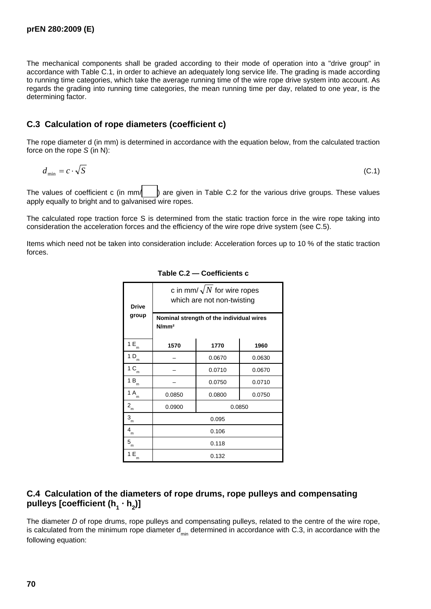The mechanical components shall be graded according to their mode of operation into a "drive group" in accordance with Table C.1, in order to achieve an adequately long service life. The grading is made according to running time categories, which take the average running time of the wire rope drive system into account. As regards the grading into running time categories, the mean running time per day, related to one year, is the determining factor.

# **C.3 Calculation of rope diameters (coefficient c)**

The rope diameter d (in mm) is determined in accordance with the equation below, from the calculated traction force on the rope *S* (in N):

$$
d_{\min} = c \cdot \sqrt{S} \tag{C.1}
$$

The values of coefficient c (in mm/  $\parallel$  ) are given in Table C.2 for the various drive groups. These values apply equally to bright and to galvanised wire ropes.

The calculated rope traction force S is determined from the static traction force in the wire rope taking into consideration the acceleration forces and the efficiency of the wire rope drive system (see C.5).

Items which need not be taken into consideration include: Acceleration forces up to 10 % of the static traction forces.

| <b>Drive</b><br>group                | c in mm/ $\sqrt{N}$ for wire ropes<br>which are not non-twisting<br>Nominal strength of the individual wires |                  |        |  |  |  |
|--------------------------------------|--------------------------------------------------------------------------------------------------------------|------------------|--------|--|--|--|
|                                      | N/mm <sup>2</sup>                                                                                            |                  |        |  |  |  |
| 1 E<br>m                             | 1770<br>1570<br>1960                                                                                         |                  |        |  |  |  |
| 1 D<br>m                             |                                                                                                              | 0.0670           | 0.0630 |  |  |  |
| 1 C<br>m                             |                                                                                                              | 0.0670<br>0.0710 |        |  |  |  |
| $1B_m$                               |                                                                                                              | 0.0710<br>0.0750 |        |  |  |  |
| 1 A<br>m                             | 0.0850                                                                                                       | 0.0750<br>0.0800 |        |  |  |  |
| $2_{\scriptscriptstyle{\mathsf{m}}}$ | 0.0850<br>0.0900                                                                                             |                  |        |  |  |  |
| 3<br>'n                              | 0.095                                                                                                        |                  |        |  |  |  |
| 4<br>m                               | 0.106                                                                                                        |                  |        |  |  |  |
| ${\bf 5}_{_{\sf m}}$                 | 0.118                                                                                                        |                  |        |  |  |  |
| 1 E<br>m                             | 0.132                                                                                                        |                  |        |  |  |  |

**Table C.2 — Coefficients c** 

# **C.4 Calculation of the diameters of rope drums, rope pulleys and compensating**  pulleys [coefficient (h<sub>1</sub> · h<sub>2</sub>)]

The diameter *D* of rope drums, rope pulleys and compensating pulleys, related to the centre of the wire rope, is calculated from the minimum rope diameter  $d_{min}$  determined in accordance with C.3, in accordance with the following equation: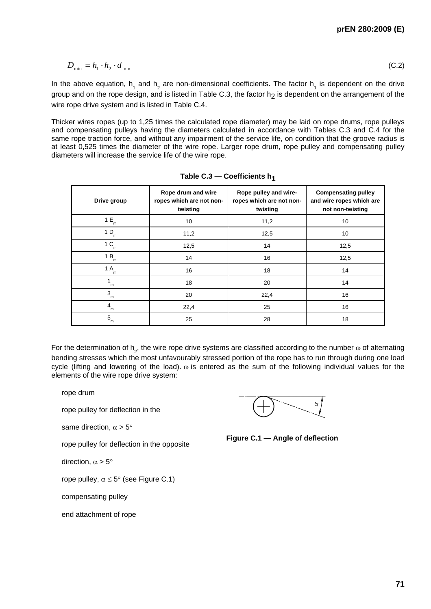$$
D_{\min} = h_1 \cdot h_2 \cdot d_{\min} \tag{C.2}
$$

In the above equation,  $h_1$  and  $h_2$  are non-dimensional coefficients. The factor  $h_1$  is dependent on the drive group and on the rope design, and is listed in Table C.3, the factor  $h_2$  is dependent on the arrangement of the wire rope drive system and is listed in Table C.4.

Thicker wires ropes (up to 1,25 times the calculated rope diameter) may be laid on rope drums, rope pulleys and compensating pulleys having the diameters calculated in accordance with Tables C.3 and C.4 for the same rope traction force, and without any impairment of the service life, on condition that the groove radius is at least 0,525 times the diameter of the wire rope. Larger rope drum, rope pulley and compensating pulley diameters will increase the service life of the wire rope.

| Drive group         | Rope drum and wire<br>ropes which are not non-<br>twisting | Rope pulley and wire-<br>ropes which are not non-<br>twisting | <b>Compensating pulley</b><br>and wire ropes which are<br>not non-twisting |
|---------------------|------------------------------------------------------------|---------------------------------------------------------------|----------------------------------------------------------------------------|
| 1E<br>m             | 10                                                         | 11,2                                                          | 10                                                                         |
| 1 D<br>m            | 11,2                                                       | 12,5                                                          | 10                                                                         |
| 1 <sup>C</sup><br>m | 12,5                                                       | 14                                                            | 12,5                                                                       |
| 1B<br>m             | 14                                                         | 16                                                            | 12,5                                                                       |
| 1 A<br>m            | 16                                                         | 18                                                            | 14                                                                         |
| m                   | 18                                                         | 20                                                            | 14                                                                         |
| 3<br>m              | 20                                                         | 22,4                                                          | 16                                                                         |
| 4<br>m              | 22,4                                                       | 25                                                            | 16                                                                         |
| 5<br>m              | 25                                                         | 28                                                            | 18                                                                         |

| Table C.3 – Coefficients $h_1$ |  |
|--------------------------------|--|
|--------------------------------|--|

For the determination of  $\mathsf{h}_{2}^{}$ , the wire rope drive systems are classified according to the number  $\omega$  of alternating bending stresses which the most unfavourably stressed portion of the rope has to run through during one load cycle (lifting and lowering of the load).  $\omega$  is entered as the sum of the following individual values for the elements of the wire rope drive system:

rope drum

rope pulley for deflection in the

same direction, 
$$
\alpha > 5^{\circ}
$$

rope pulley for deflection in the opposite

direction,  $\alpha > 5^{\circ}$ 

rope pulley,  $\alpha \leq 5^{\circ}$  (see Figure C.1)

compensating pulley

end attachment of rope

**Figure C.1 — Angle of deflection**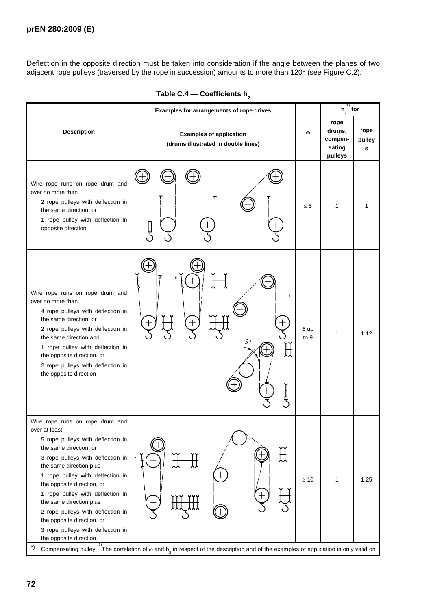Deflection in the opposite direction must be taken into consideration if the angle between the planes of two adjacent rope pulleys (traversed by the rope in succession) amounts to more than 120° (see Figure C.2).

|                                                                                                                                                                                                                                                                                                                                                                                                                                                          |                                                                                                                                                                                        | $h_{2}$ for  |                                                |                     |
|----------------------------------------------------------------------------------------------------------------------------------------------------------------------------------------------------------------------------------------------------------------------------------------------------------------------------------------------------------------------------------------------------------------------------------------------------------|----------------------------------------------------------------------------------------------------------------------------------------------------------------------------------------|--------------|------------------------------------------------|---------------------|
| <b>Description</b>                                                                                                                                                                                                                                                                                                                                                                                                                                       | <b>Examples of application</b><br>(drums illustrated in double lines)                                                                                                                  | ω            | rope<br>drums,<br>compen-<br>sating<br>pulleys | rope<br>pulley<br>s |
| Wire rope runs on rope drum and<br>over no more than<br>2 rope pulleys with deflection in<br>the same direction, or<br>1 rope pulley with deflection in<br>opposite direction                                                                                                                                                                                                                                                                            |                                                                                                                                                                                        | $\leq 5$     | $\mathbf{1}$                                   |                     |
| Wire rope runs on rope drum and<br>over no more than<br>4 rope pulleys with deflection in<br>the same direction, or<br>2 rope pulleys with deflection in<br>the same direction and<br>1 rope pulley with deflection in<br>the opposite direction, or<br>2 rope pulleys with deflection in<br>the opposite direction                                                                                                                                      | a<br>┯<br>50                                                                                                                                                                           | 6 up<br>to 9 | 1                                              | 1.12                |
| Wire rope runs on rope drum and<br>over at least<br>5 rope pulleys with deflection in<br>the same direction, or<br>3 rope pulleys with deflection in<br>the same direction plus<br>1 rope pulley with deflection in<br>the opposite direction, or<br>1 rope pulley with deflection in<br>the same direction plus<br>2 rope pulleys with deflection in<br>the opposite direction, or<br>3 rope pulleys with deflection in<br>the opposite direction<br>*) | Ŭ<br>H<br>a<br>$\, + \,$<br>Compensating pulley; $\frac{1}{1}$ The correlation of $\omega$ and $h_2$ in respect of the description and of the examples of application is only valid on | $\geq 10$    | 1                                              | 1.25                |

| Table C.4 — Coefficients h <sub>2</sub> |  |
|-----------------------------------------|--|
|-----------------------------------------|--|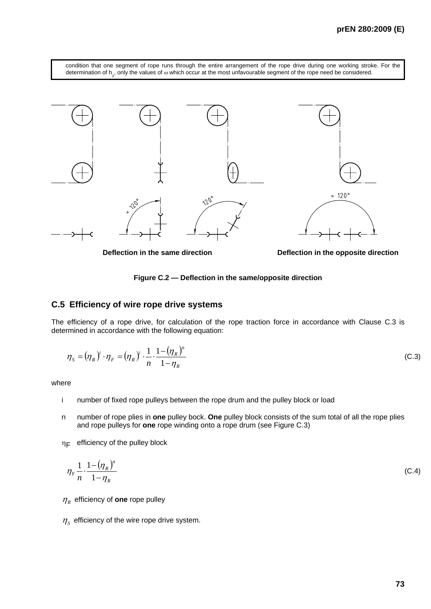condition that one segment of rope runs through the entire arrangement of the rope drive during one working stroke. For the determination of  $h_2$ , only the values of  $\omega$  which occur at the most unfavourable segment of the rope need be considered.



**Deflection in the same direction Deflection in the opposite direction**



#### **C.5 Efficiency of wire rope drive systems**

The efficiency of a rope drive, for calculation of the rope traction force in accordance with Clause C.3 is determined in accordance with the following equation:

$$
\eta_s = (\eta_R)^i \cdot \eta_F = (\eta_R)^i \cdot \frac{1}{n} \cdot \frac{1 - (\eta_R)^n}{1 - \eta_R}
$$
 (C.3)

where

- i number of fixed rope pulleys between the rope drum and the pulley block or load
- n number of rope plies in **one** pulley bock. **One** pulley block consists of the sum total of all the rope plies and rope pulleys for **one** rope winding onto a rope drum (see Figure C.3)
- $\eta_F$  efficiency of the pulley block

$$
\eta_{\rm F} \frac{1}{n} \cdot \frac{1 - (\eta_R)^n}{1 - \eta_R} \tag{C.4}
$$

 $\eta_R$  efficiency of **one** rope pulley

 $\eta_s$  efficiency of the wire rope drive system.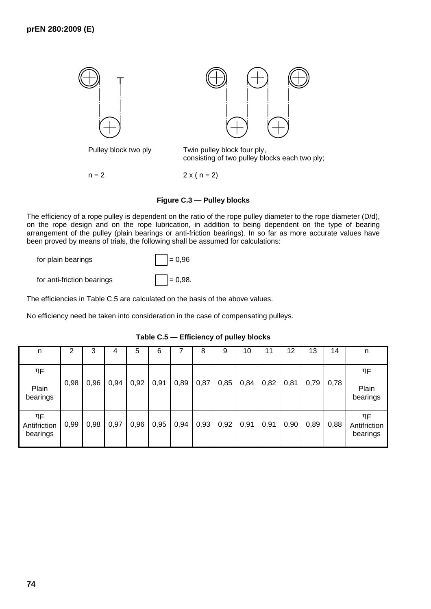

 $n = 2$  2 x ( $n = 2$ )

#### **Figure C.3 — Pulley blocks**

The efficiency of a rope pulley is dependent on the ratio of the rope pulley diameter to the rope diameter (D/d), on the rope design and on the rope lubrication, in addition to being dependent on the type of bearing arrangement of the pulley (plain bearings or anti-friction bearings). In so far as more accurate values have been proved by means of trials, the following shall be assumed for calculations:

| for plain bearings |  |
|--------------------|--|
|                    |  |

| for anti-friction bearings |  | $= 0.98.$ |
|----------------------------|--|-----------|
|----------------------------|--|-----------|

The efficiencies in Table C.5 are calculated on the basis of the above values.

No efficiency need be taken into consideration in the case of compensating pulleys.

 $= 0.96$ 

| n                              | 2    | 3    | 4    | 5    | 6    |      | 8    | 9    | 10   | 11   | 12   | 13   | 14   | n                              |
|--------------------------------|------|------|------|------|------|------|------|------|------|------|------|------|------|--------------------------------|
| $\eta_{\mathsf{F}}$            |      |      |      |      |      |      |      |      |      |      |      |      |      | $\eta_{\mathsf{F}}$            |
| Plain<br>bearings              | 0,98 | 0,96 | 0,94 | 0,92 | 0,91 | 0,89 | 0,87 | 0,85 | 0,84 | 0,82 | 0,81 | 0,79 | 0,78 | Plain<br>bearings              |
| ηF<br>Antifriction<br>bearings | 0,99 | 0,98 | 0,97 | 0,96 | 0,95 | 0,94 | 0,93 | 0,92 | 0,91 | 0,91 | 0,90 | 0,89 | 0,88 | ηF<br>Antifriction<br>bearings |

**Table C.5 — Efficiency of pulley blocks**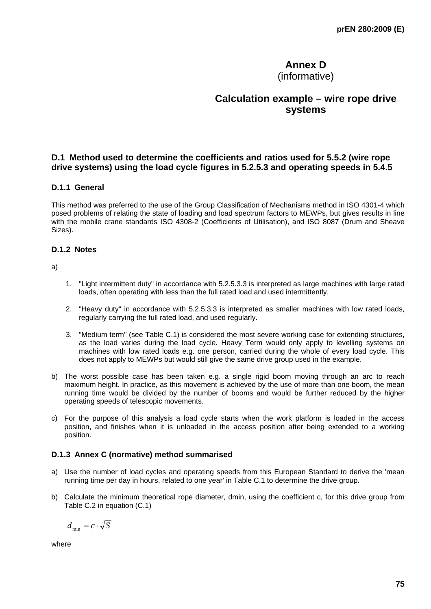# **Annex D**

(informative)

# **Calculation example – wire rope drive systems**

## **D.1 Method used to determine the coefficients and ratios used for 5.5.2 (wire rope drive systems) using the load cycle figures in 5.2.5.3 and operating speeds in 5.4.5**

#### **D.1.1 General**

This method was preferred to the use of the Group Classification of Mechanisms method in ISO 4301-4 which posed problems of relating the state of loading and load spectrum factors to MEWPs, but gives results in line with the mobile crane standards ISO 4308-2 (Coefficients of Utilisation), and ISO 8087 (Drum and Sheave Sizes).

#### **D.1.2 Notes**

a)

- 1. "Light intermittent duty" in accordance with 5.2.5.3.3 is interpreted as large machines with large rated loads, often operating with less than the full rated load and used intermittently.
- 2. "Heavy duty" in accordance with 5.2.5.3.3 is interpreted as smaller machines with low rated loads, regularly carrying the full rated load, and used regularly.
- 3. "Medium term" (see Table C.1) is considered the most severe working case for extending structures, as the load varies during the load cycle. Heavy Term would only apply to levelling systems on machines with low rated loads e.g. one person, carried during the whole of every load cycle. This does not apply to MEWPs but would still give the same drive group used in the example.
- b) The worst possible case has been taken e.g. a single rigid boom moving through an arc to reach maximum height. In practice, as this movement is achieved by the use of more than one boom, the mean running time would be divided by the number of booms and would be further reduced by the higher operating speeds of telescopic movements.
- c) For the purpose of this analysis a load cycle starts when the work platform is loaded in the access position, and finishes when it is unloaded in the access position after being extended to a working position.

#### **D.1.3 Annex C (normative) method summarised**

- a) Use the number of load cycles and operating speeds from this European Standard to derive the 'mean running time per day in hours, related to one year' in Table C.1 to determine the drive group.
- b) Calculate the minimum theoretical rope diameter, dmin, using the coefficient c, for this drive group from Table C.2 in equation (C.1)

$$
d_{\min} = c \cdot \sqrt{S}
$$

where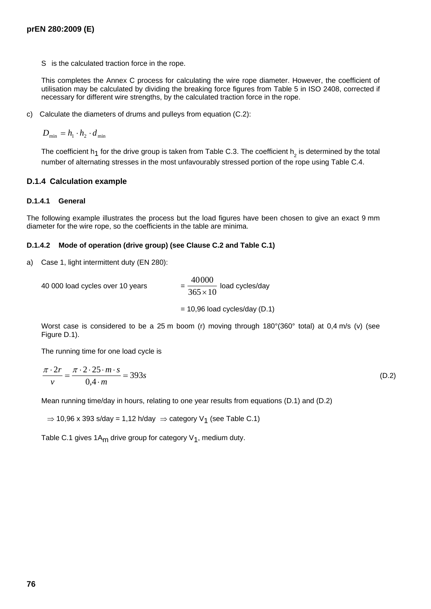S is the calculated traction force in the rope.

This completes the Annex C process for calculating the wire rope diameter. However, the coefficient of utilisation may be calculated by dividing the breaking force figures from Table 5 in ISO 2408, corrected if necessary for different wire strengths, by the calculated traction force in the rope.

c) Calculate the diameters of drums and pulleys from equation (C.2):

 $D_{\min} = h_1 \cdot h_2 \cdot d_{\min}$ 

The coefficient h<sub>1</sub> for the drive group is taken from Table C.3. The coefficient h<sub>2</sub> is determined by the total number of alternating stresses in the most unfavourably stressed portion of the rope using Table C.4.

#### **D.1.4 Calculation example**

#### **D.1.4.1 General**

The following example illustrates the process but the load figures have been chosen to give an exact 9 mm diameter for the wire rope, so the coefficients in the table are minima.

#### **D.1.4.2 Mode of operation (drive group) (see Clause C.2 and Table C.1)**

a) Case 1, light intermittent duty (EN 280):

40 000 load cycles over 10 years 40000  $\frac{10000}{365 \times 10}$  load cycles/day  $= 10,96$  load cycles/day (D.1)

Worst case is considered to be a 25 m boom (r) moving through 180°(360° total) at 0,4 m/s (v) (see Figure D.1).

The running time for one load cycle is

$$
\frac{\pi \cdot 2r}{v} = \frac{\pi \cdot 2 \cdot 25 \cdot m \cdot s}{0.4 \cdot m} = 393s
$$
 (D.2)

Mean running time/day in hours, relating to one year results from equations (D.1) and (D.2)

 $\Rightarrow$  10,96 x 393 s/day = 1,12 h/day  $\Rightarrow$  category V<sub>1</sub> (see Table C.1)

Table C.1 gives 1A<sub>m</sub> drive group for category  $V_1$ , medium duty.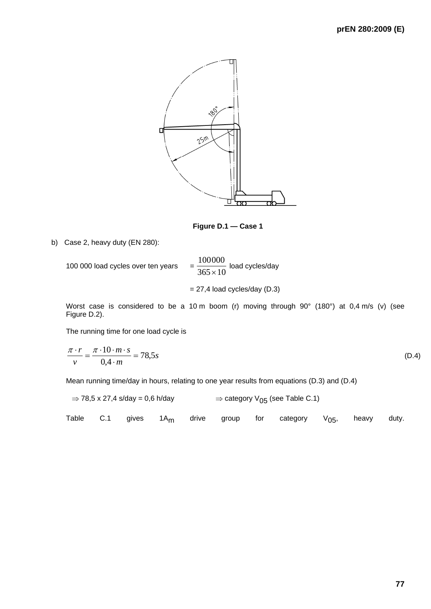

**Figure D.1 — Case 1** 

b) Case 2, heavy duty (EN 280):

100 000 load cycles over ten years 100000  $\frac{1888880}{365 \times 10}$  load cycles/day  $= 27,4$  load cycles/day (D.3)

Worst case is considered to be a 10 m boom (r) moving through 90° (180°) at 0,4 m/s (v) (see Figure D.2).

The running time for one load cycle is

$$
\frac{\pi \cdot r}{v} = \frac{\pi \cdot 10 \cdot m \cdot s}{0.4 \cdot m} = 78.5s
$$
 (D.4)

Mean running time/day in hours, relating to one year results from equations (D.3) and (D.4)

$$
\Rightarrow 78.5 \times 27.4 \text{ s/day} = 0.6 \text{ h/day} \qquad \Rightarrow \text{category } V_{05} \text{ (see Table C.1)}
$$

|  |  |  |  |  |  |  | Table C.1 gives 1A <sub>m</sub> drive group for category $V_{05}$ , heavy duty. |  |  |  |
|--|--|--|--|--|--|--|---------------------------------------------------------------------------------|--|--|--|
|--|--|--|--|--|--|--|---------------------------------------------------------------------------------|--|--|--|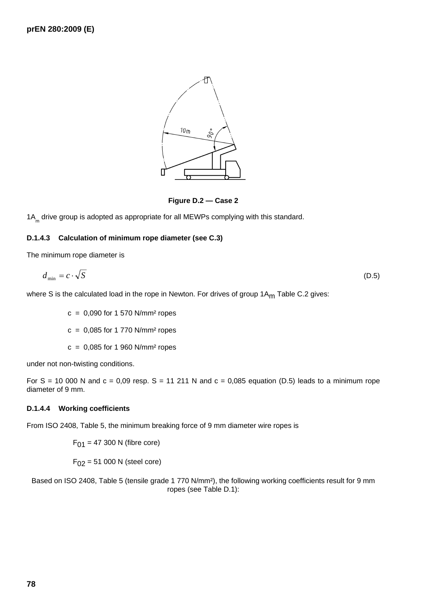

**Figure D.2 — Case 2** 

1A<sub>m</sub> drive group is adopted as appropriate for all MEWPs complying with this standard.

#### **D.1.4.3 Calculation of minimum rope diameter (see C.3)**

The minimum rope diameter is

$$
d_{\min} = c \cdot \sqrt{S} \tag{D.5}
$$

where S is the calculated load in the rope in Newton. For drives of group  $1A_{m}$  Table C.2 gives:

 $c = 0.090$  for 1 570 N/mm<sup>2</sup> ropes

 $c = 0.085$  for 1 770 N/mm<sup>2</sup> ropes

 $c = 0,085$  for 1 960 N/mm<sup>2</sup> ropes

under not non-twisting conditions.

For S = 10 000 N and  $c = 0.09$  resp. S = 11 211 N and  $c = 0.085$  equation (D.5) leads to a minimum rope diameter of 9 mm.

#### **D.1.4.4 Working coefficients**

From ISO 2408, Table 5, the minimum breaking force of 9 mm diameter wire ropes is

 $F_{01}$  = 47 300 N (fibre core)

 $F_{02} = 51 000 N$  (steel core)

Based on ISO 2408, Table 5 (tensile grade 1 770 N/mm²), the following working coefficients result for 9 mm ropes (see Table D.1):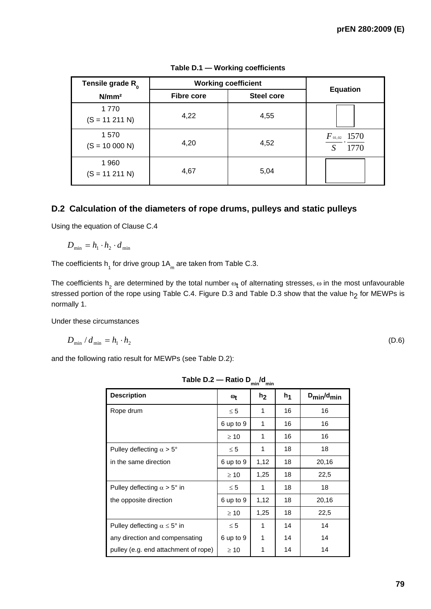| Tensile grade R <sub>0</sub> | <b>Working coefficient</b> | <b>Equation</b>   |                          |  |
|------------------------------|----------------------------|-------------------|--------------------------|--|
| N/mm <sup>2</sup>            | <b>Fibre core</b>          | <b>Steel core</b> |                          |  |
| 1770<br>$(S = 11 211 N)$     | 4,22                       | 4,55              |                          |  |
| 1570<br>$(S = 10000 N)$      | 4,20                       | 4,52              | $F_{01,02}$ 1570<br>1770 |  |
| 1960<br>$(S = 11 211 N)$     | 4,67                       | 5,04              |                          |  |

#### **Table D.1 — Working coefficients**

# **D.2 Calculation of the diameters of rope drums, pulleys and static pulleys**

Using the equation of Clause C.4

$$
D_{\min} = h_1 \cdot h_2 \cdot d_{\min}
$$

The coefficients  $h_{\text{1}}$  for drive group 1A<sub>m</sub> are taken from Table C.3.

The coefficients  $h_2^{}$  are determined by the total number  $\omega_{\bf t}$  of alternating stresses,  $\omega$  in the most unfavourable stressed portion of the rope using Table C.4. Figure D.3 and Table D.3 show that the value h<sub>2</sub> for MEWPs is normally 1.

Under these circumstances

$$
D_{\min} / d_{\min} = h_1 \cdot h_2 \tag{D.6}
$$

and the following ratio result for MEWPs (see Table D.2):

|                                              |                                | ,,,,,,<br>,,,,,, |       |                                 |
|----------------------------------------------|--------------------------------|------------------|-------|---------------------------------|
| <b>Description</b>                           | $\mathbf{\omega}_{\mathbf{f}}$ | h <sub>2</sub>   | $h_1$ | $D_{\text{min}}/d_{\text{min}}$ |
| Rope drum                                    | $\leq 5$                       | 1                | 16    | 16                              |
|                                              | 6 up to 9                      | 1                | 16    | 16                              |
|                                              | $\geq 10$                      | 1                | 16    | 16                              |
| Pulley deflecting $\alpha > 5^{\circ}$       | $\leq 5$                       | 1                | 18    | 18                              |
| in the same direction                        | 6 up to 9                      | 1,12             | 18    | 20,16                           |
|                                              | $\geq 10$                      | 1,25             | 18    | 22,5                            |
| Pulley deflecting $\alpha > 5^{\circ}$ in    | $\leq 5$                       | 1                | 18    | 18                              |
| the opposite direction                       | 6 up to 9                      | 1,12             | 18    | 20,16                           |
|                                              | $\geq 10$                      | 1,25             | 18    | 22,5                            |
| Pulley deflecting $\alpha \leq 5^{\circ}$ in | $\leq 5$                       | 1                | 14    | 14                              |
| any direction and compensating               | 6 up to 9                      | 1                | 14    | 14                              |
| pulley (e.g. end attachment of rope)         | $\geq 10$                      | 1                | 14    | 14                              |

Table D.2 — Ratio D<sub>min</sub>/d<sub>min</sub>

**79**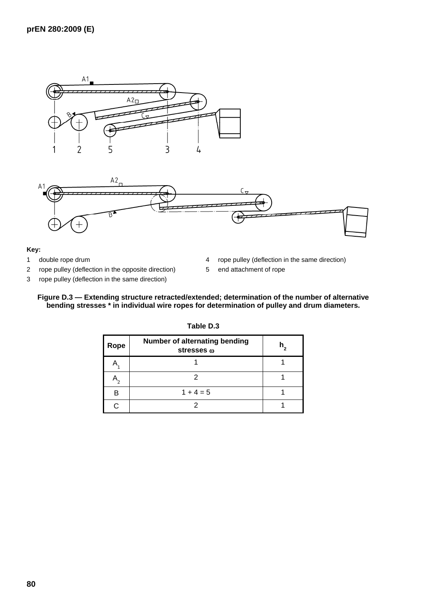



#### **Key:**

- 1 double rope drum
- 2 rope pulley (deflection in the opposite direction)
- 3 rope pulley (deflection in the same direction)
- 4 rope pulley (deflection in the same direction)
- 5 end attachment of rope

#### **Figure D.3 — Extending structure retracted/extended; determination of the number of alternative bending stresses \* in individual wire ropes for determination of pulley and drum diameters.**

| Rope | Number of alternating bending<br>stresses @ |  |
|------|---------------------------------------------|--|
|      |                                             |  |
|      |                                             |  |
| B    | $1 + 4 = 5$                                 |  |
|      |                                             |  |

**Table D.3**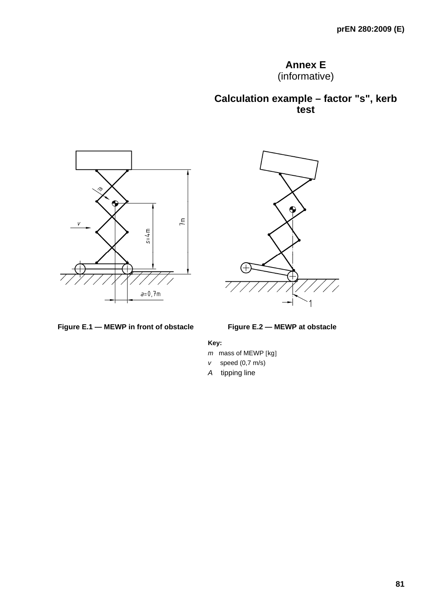# **Annex E**

(informative)

**Calculation example – factor "s", kerb test** 





#### Figure E.1 — MEWP in front of obstacle **Figure E.2 — MEWP at obstacle**

#### **Key:**

- *m* mass of MEWP [kg]
- *v* speed (0,7 m/s)
- *A* tipping line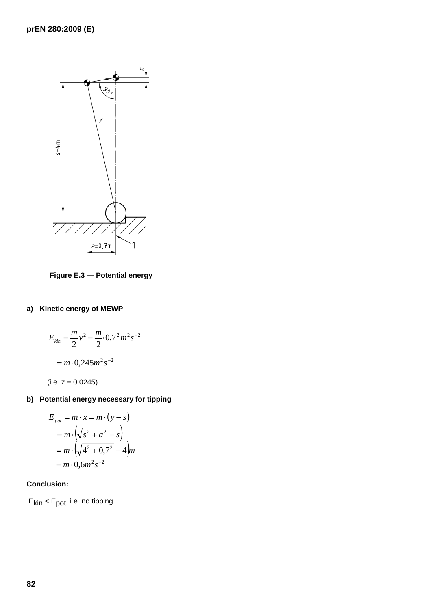

**Figure E.3 — Potential energy** 

# **a) Kinetic energy of MEWP**

$$
E_{kin} = \frac{m}{2}v^2 = \frac{m}{2} \cdot 0.7^2 m^2 s^{-2}
$$

$$
= m \cdot 0.245 m^2 s^{-2}
$$

 $(i.e. z = 0.0245)$ 

# **b) Potential energy necessary for tipping**

$$
E_{pot} = m \cdot x = m \cdot (y - s)
$$
  
=  $m \cdot (\sqrt{s^2 + a^2} - s)$   
=  $m \cdot (\sqrt{4^2 + 0.7^2} - 4)m$   
=  $m \cdot 0.6m^2 s^{-2}$ 

### **Conclusion:**

 $E_{kin}$  <  $E_{pot}$ , i.e. no tipping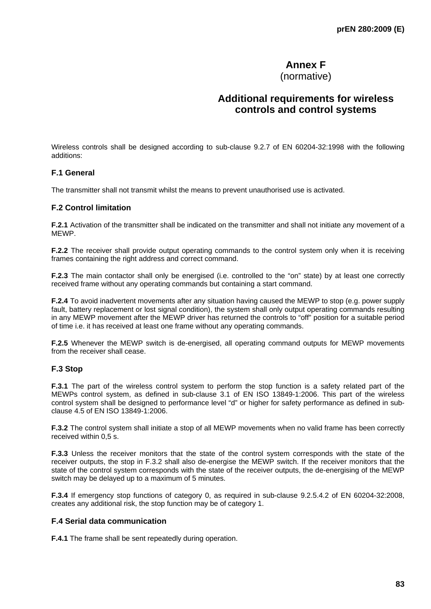# **Annex F**

(normative)

# **Additional requirements for wireless controls and control systems**

Wireless controls shall be designed according to sub-clause 9.2.7 of EN 60204-32:1998 with the following additions:

#### **F.1 General**

The transmitter shall not transmit whilst the means to prevent unauthorised use is activated.

#### **F.2 Control limitation**

**F.2.1** Activation of the transmitter shall be indicated on the transmitter and shall not initiate any movement of a MEWP.

**F.2.2** The receiver shall provide output operating commands to the control system only when it is receiving frames containing the right address and correct command.

**F.2.3** The main contactor shall only be energised (i.e. controlled to the "on" state) by at least one correctly received frame without any operating commands but containing a start command.

**F.2.4** To avoid inadvertent movements after any situation having caused the MEWP to stop (e.g. power supply fault, battery replacement or lost signal condition), the system shall only output operating commands resulting in any MEWP movement after the MEWP driver has returned the controls to "off" position for a suitable period of time i.e. it has received at least one frame without any operating commands.

**F.2.5** Whenever the MEWP switch is de-energised, all operating command outputs for MEWP movements from the receiver shall cease.

#### **F.3 Stop**

**F.3.1** The part of the wireless control system to perform the stop function is a safety related part of the MEWPs control system, as defined in sub-clause 3.1 of EN ISO 13849-1:2006. This part of the wireless control system shall be designed to performance level "d" or higher for safety performance as defined in subclause 4.5 of EN ISO 13849-1:2006.

**F.3.2** The control system shall initiate a stop of all MEWP movements when no valid frame has been correctly received within 0,5 s.

**F.3.3** Unless the receiver monitors that the state of the control system corresponds with the state of the receiver outputs, the stop in F.3.2 shall also de-energise the MEWP switch. If the receiver monitors that the state of the control system corresponds with the state of the receiver outputs, the de-energising of the MEWP switch may be delayed up to a maximum of 5 minutes.

**F.3.4** If emergency stop functions of category 0, as required in sub-clause 9.2.5.4.2 of EN 60204-32:2008, creates any additional risk, the stop function may be of category 1.

#### **F.4 Serial data communication**

**F.4.1** The frame shall be sent repeatedly during operation.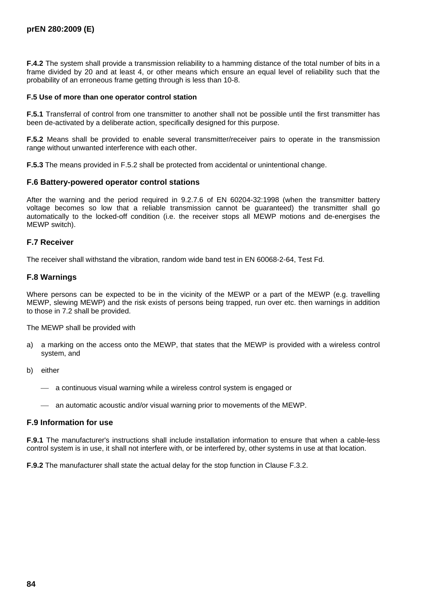**F.4.2** The system shall provide a transmission reliability to a hamming distance of the total number of bits in a frame divided by 20 and at least 4, or other means which ensure an equal level of reliability such that the probability of an erroneous frame getting through is less than 10-8.

#### **F.5 Use of more than one operator control station**

**F.5.1** Transferral of control from one transmitter to another shall not be possible until the first transmitter has been de-activated by a deliberate action, specifically designed for this purpose.

**F.5.2** Means shall be provided to enable several transmitter/receiver pairs to operate in the transmission range without unwanted interference with each other.

**F.5.3** The means provided in F.5.2 shall be protected from accidental or unintentional change.

#### **F.6 Battery-powered operator control stations**

After the warning and the period required in 9.2.7.6 of EN 60204-32:1998 (when the transmitter battery voltage becomes so low that a reliable transmission cannot be guaranteed) the transmitter shall go automatically to the locked-off condition (i.e. the receiver stops all MEWP motions and de-energises the MEWP switch).

#### **F.7 Receiver**

The receiver shall withstand the vibration, random wide band test in EN 60068-2-64, Test Fd.

#### **F.8 Warnings**

Where persons can be expected to be in the vicinity of the MEWP or a part of the MEWP (e.g. travelling MEWP, slewing MEWP) and the risk exists of persons being trapped, run over etc. then warnings in addition to those in 7.2 shall be provided.

The MEWP shall be provided with

- a) a marking on the access onto the MEWP, that states that the MEWP is provided with a wireless control system, and
- b) either
	- $\equiv$  a continuous visual warning while a wireless control system is engaged or
	- $-$  an automatic acoustic and/or visual warning prior to movements of the MEWP.

#### **F.9 Information for use**

**F.9.1** The manufacturer's instructions shall include installation information to ensure that when a cable-less control system is in use, it shall not interfere with, or be interfered by, other systems in use at that location.

**F.9.2** The manufacturer shall state the actual delay for the stop function in Clause F.3.2.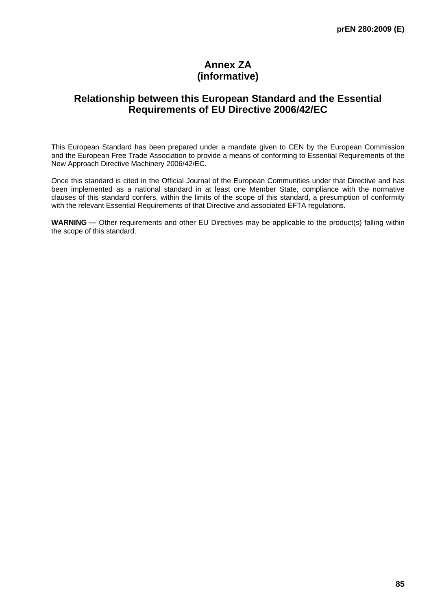# **Annex ZA (informative)**

# **Relationship between this European Standard and the Essential Requirements of EU Directive 2006/42/EC**

This European Standard has been prepared under a mandate given to CEN by the European Commission and the European Free Trade Association to provide a means of conforming to Essential Requirements of the New Approach Directive Machinery 2006/42/EC.

Once this standard is cited in the Official Journal of the European Communities under that Directive and has been implemented as a national standard in at least one Member State, compliance with the normative clauses of this standard confers, within the limits of the scope of this standard, a presumption of conformity with the relevant Essential Requirements of that Directive and associated EFTA regulations.

WARNING — Other requirements and other EU Directives may be applicable to the product(s) falling within the scope of this standard.